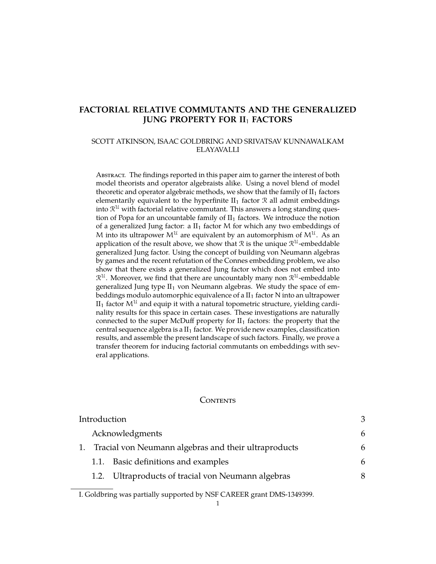## **FACTORIAL RELATIVE COMMUTANTS AND THE GENERALIZED JUNG PROPERTY FOR II**<sup>1</sup> **FACTORS**

### SCOTT ATKINSON, ISAAC GOLDBRING AND SRIVATSAV KUNNAWALKAM ELAYAVALLI

ABSTRACT. The findings reported in this paper aim to garner the interest of both model theorists and operator algebraists alike. Using a novel blend of model theoretic and operator algebraic methods, we show that the family of  $II<sub>1</sub>$  factors elementarily equivalent to the hyperfinite  $II_1$  factor  $\mathcal R$  all admit embeddings into  $\mathcal{R}^{\mathfrak{U}}$  with factorial relative commutant. This answers a long standing question of Popa for an uncountable family of  $II_1$  factors. We introduce the notion of a generalized Jung factor: a  $II_1$  factor M for which any two embeddings of M into its ultrapower  $M^{\mathfrak{U}}$  are equivalent by an automorphism of  $M^{\mathfrak{U}}$ . As an application of the result above, we show that  $\mathcal R$  is the unique  $\mathcal R^{\mathcal U}$ -embeddable generalized Jung factor. Using the concept of building von Neumann algebras by games and the recent refutation of the Connes embedding problem, we also show that there exists a generalized Jung factor which does not embed into  $\mathcal{R}^\mathfrak{U}.$  Moreover, we find that there are uncountably many non  $\mathcal{R}^\mathfrak{U}.$  embeddable generalized Jung type  $II_1$  von Neumann algebras. We study the space of embeddings modulo automorphic equivalence of a  $II_1$  factor N into an ultrapower  $II_1$  factor  $M^{\mathcal{U}}$  and equip it with a natural topometric structure, yielding cardinality results for this space in certain cases. These investigations are naturally connected to the super McDuff property for  $II_1$  factors: the property that the central sequence algebra is a  $II_1$  factor. We provide new examples, classification results, and assemble the present landscape of such factors. Finally, we prove a transfer theorem for inducing factorial commutants on embeddings with several applications.

#### **CONTENTS**

| Introduction |                 |                                                      |   |
|--------------|-----------------|------------------------------------------------------|---|
|              | Acknowledgments |                                                      |   |
|              |                 | Tracial von Neumann algebras and their ultraproducts |   |
|              | 1.1.            | Basic definitions and examples                       | 6 |
|              |                 | 1.2. Ultraproducts of tracial von Neumann algebras   | 8 |

I. Goldbring was partially supported by NSF CAREER grant DMS-1349399.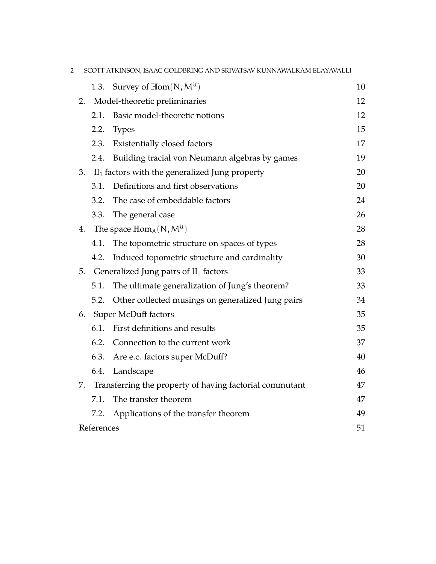| 2 |            |                                                                               | SCOTT ATKINSON, ISAAC GOLDBRING AND SRIVATSAV KUNNAWALKAM ELAYAVALLI |    |
|---|------------|-------------------------------------------------------------------------------|----------------------------------------------------------------------|----|
|   |            |                                                                               | 1.3. Survey of $\mathbb{H}$ om $(N, M^{\mathcal{U}})$                | 10 |
|   | 2.         |                                                                               | Model-theoretic preliminaries                                        | 12 |
|   |            | 2.1.                                                                          | Basic model-theoretic notions                                        | 12 |
|   |            | 2.2.                                                                          | <b>Types</b>                                                         | 15 |
|   |            | 2.3.                                                                          | Existentially closed factors                                         | 17 |
|   |            | 2.4.                                                                          | Building tracial von Neumann algebras by games                       | 19 |
|   | 3.         |                                                                               | $II1$ factors with the generalized Jung property                     | 20 |
|   |            | 3.1.                                                                          | Definitions and first observations                                   | 20 |
|   |            | 3.2.                                                                          | The case of embeddable factors                                       | 24 |
|   |            | 3.3.                                                                          | The general case                                                     | 26 |
|   |            | 4. The space $\mathbb{H}\text{om}_{A}(\mathsf{N}, \mathsf{M}^{\mathfrak{U}})$ |                                                                      | 28 |
|   |            | 4.1.                                                                          | The topometric structure on spaces of types                          | 28 |
|   |            | 4.2.                                                                          | Induced topometric structure and cardinality                         | 30 |
|   | 5.         |                                                                               | Generalized Jung pairs of $II_1$ factors                             | 33 |
|   |            | 5.1.                                                                          | The ultimate generalization of Jung's theorem?                       | 33 |
|   |            | 5.2.                                                                          | Other collected musings on generalized Jung pairs                    | 34 |
|   | 6.         | <b>Super McDuff factors</b>                                                   |                                                                      | 35 |
|   |            | 6.1.                                                                          | First definitions and results                                        | 35 |
|   |            | 6.2.                                                                          | Connection to the current work                                       | 37 |
|   |            | 6.3.                                                                          | Are e.c. factors super McDuff?                                       | 40 |
|   |            | 6.4.                                                                          | Landscape                                                            | 46 |
|   | 7.         |                                                                               | Transferring the property of having factorial commutant              | 47 |
|   |            | 7.1.                                                                          | The transfer theorem                                                 | 47 |
|   |            | 7.2.                                                                          | Applications of the transfer theorem                                 | 49 |
|   | References |                                                                               |                                                                      | 51 |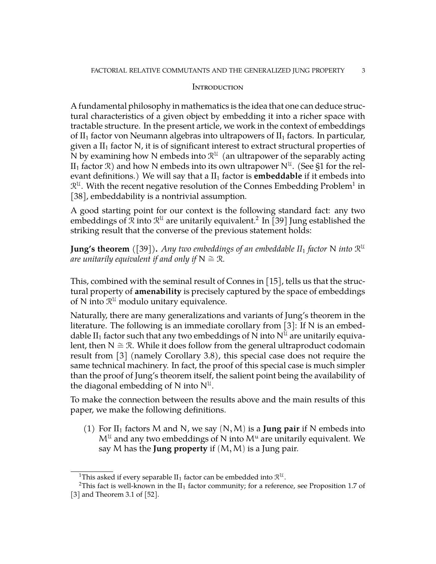### <span id="page-2-0"></span>**INTRODUCTION**

A fundamental philosophy in mathematics is the idea that one can deduce structural characteristics of a given object by embedding it into a richer space with tractable structure. In the present article, we work in the context of embeddings of II<sub>1</sub> factor von Neumann algebras into ultrapowers of II<sub>1</sub> factors. In particular, given a  $II_1$  factor N, it is of significant interest to extract structural properties of N by examining how N embeds into  $\mathcal{R}^{U}$  (an ultrapower of the separably acting  ${\rm II}_1$  factor  $\mathcal{R})$  and how N embeds into its own ultrapower  $\mathsf{N}^{\mathfrak{U}}.$  (See [§1](#page-5-1) for the relevant definitions.) We will say that a  $II<sub>1</sub>$  factor is **embeddable** if it embeds into  $\mathcal{R}^\mathfrak{U}.$  With the recent negative resolution of the Connes Embedding Problem $^1$  $^1$  in [\[38\]](#page-52-0), embeddability is a nontrivial assumption.

A good starting point for our context is the following standard fact: any two embeddings of  ${\mathfrak{R}}$  into  ${\mathfrak{R}}^{\mathfrak{U}}$  are unitarily equivalent. $^2$  $^2$  In  $[39]$  Jung established the striking result that the converse of the previous statement holds:

**Jung's theorem** ([\[39\]](#page-52-1))**.** *Any two embeddings of an embeddable II*<sup>1</sup> *factor* N *into* R U *are unitarily equivalent if and only if*  $N \cong \mathbb{R}$ *.* 

This, combined with the seminal result of Connes in [\[15\]](#page-51-0), tells us that the structural property of **amenability** is precisely captured by the space of embeddings of N into  $\mathcal{R}^{\mathfrak{U}}$  modulo unitary equivalence.

Naturally, there are many generalizations and variants of Jung's theorem in the literature. The following is an immediate corollary from  $[3]$ : If N is an embeddable II<sub>1</sub> factor such that any two embeddings of N into  $N^{\mathcal{U}}$  are unitarily equivalent, then  $N \cong \mathcal{R}$ . While it does follow from the general ultraproduct codomain result from [\[3\]](#page-50-1) (namely Corollary 3.8), this special case does not require the same technical machinery. In fact, the proof of this special case is much simpler than the proof of Jung's theorem itself, the salient point being the availability of the diagonal embedding of N into  $N^{\mathfrak{U}}$ .

To make the connection between the results above and the main results of this paper, we make the following definitions.

(1) For  $II_1$  factors M and N, we say  $(N, M)$  is a **Jung pair** if N embeds into  $M^{\mathfrak{U}}$  and any two embeddings of N into  $M^{\mathfrak{u}}$  are unitarily equivalent. We say M has the **Jung property** if (M,M) is a Jung pair.

<span id="page-2-2"></span><span id="page-2-1"></span><sup>&</sup>lt;sup>1</sup>This asked if every separable II<sub>1</sub> factor can be embedded into  $\mathcal{R}^{\mathfrak{U}}$ .

<sup>&</sup>lt;sup>2</sup>This fact is well-known in the  $II_1$  factor community; for a reference, see Proposition 1.7 of [\[3\]](#page-50-1) and Theorem 3.1 of [\[52\]](#page-52-2).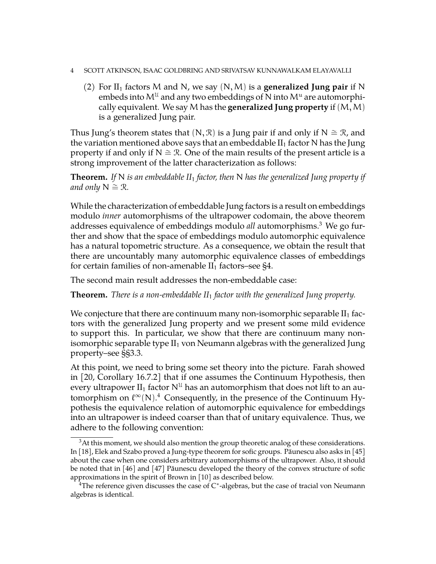- 4 SCOTT ATKINSON, ISAAC GOLDBRING AND SRIVATSAV KUNNAWALKAM ELAYAVALLI
	- (2) For  $II_1$  factors M and N, we say  $(N, M)$  is a **generalized Jung pair** if N embeds into  $M^{\mathfrak{U}}$  and any two embeddings of N into  $M^{\mathfrak{u}}$  are automorphically equivalent. We say M has the **generalized Jung property** if  $(M, M)$ is a generalized Jung pair.

Thus Jung's theorem states that  $(N, \mathcal{R})$  is a Jung pair if and only if N  $\cong \mathcal{R}$ , and the variation mentioned above says that an embeddable  $II_1$  factor N has the Jung property if and only if  $N \cong \mathcal{R}$ . One of the main results of the present article is a strong improvement of the latter characterization as follows:

**Theorem.** *If* N *is an embeddable II*<sup>1</sup> *factor, then* N *has the generalized Jung property if and only*  $N \cong \mathcal{R}$ *.* 

While the characterization of embeddable Jung factors is a result on embeddings modulo *inner* automorphisms of the ultrapower codomain, the above theorem addresses equivalence of embeddings modulo *all* automorphisms.[3](#page-3-0) We go further and show that the space of embeddings modulo automorphic equivalence has a natural topometric structure. As a consequence, we obtain the result that there are uncountably many automorphic equivalence classes of embeddings for certain families of non-amenable  $II_1$  factors–see [§4.](#page-27-0)

The second main result addresses the non-embeddable case:

**Theorem.** *There is a non-embeddable II*<sup>1</sup> *factor with the generalized Jung property.*

We conjecture that there are continuum many non-isomorphic separable  $II_1$  factors with the generalized Jung property and we present some mild evidence to support this. In particular, we show that there are continuum many nonisomorphic separable type  $II_1$  von Neumann algebras with the generalized Jung property–see §[§3.3.](#page-25-0)

At this point, we need to bring some set theory into the picture. Farah showed in [\[20,](#page-51-1) Corollary 16.7.2] that if one assumes the Continuum Hypothesis, then every ultrapower  $II_1$  factor  $N^{\mathfrak{U}}$  has an automorphism that does not lift to an automorphism on  $\ell^{\infty}$ (N).<sup>[4](#page-3-1)</sup> Consequently, in the presence of the Continuum Hypothesis the equivalence relation of automorphic equivalence for embeddings into an ultrapower is indeed coarser than that of unitary equivalence. Thus, we adhere to the following convention:

<span id="page-3-0"></span><sup>&</sup>lt;sup>3</sup>At this moment, we should also mention the group theoretic analog of these considerations. In  $[18]$ , Elek and Szabo proved a Jung-type theorem for sofic groups. Păunescu also asks in  $[45]$ about the case when one considers arbitrary automorphisms of the ultrapower. Also, it should be noted that in  $[46]$  and  $[47]$  Păunescu developed the theory of the convex structure of sofic approximations in the spirit of Brown in [\[10\]](#page-51-3) as described below.

<span id="page-3-1"></span> ${}^{4}$ The reference given discusses the case of C\*-algebras, but the case of tracial von Neumann algebras is identical.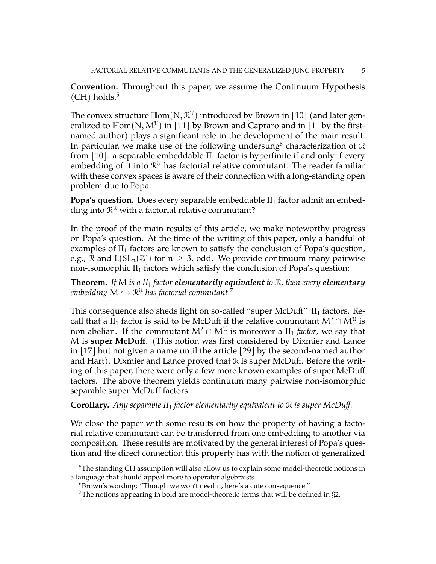**Convention.** Throughout this paper, we assume the Continuum Hypothesis  $(CH)$  holds.<sup>[5](#page-4-0)</sup>

The convex structure  $\mathbb{H}$ om $(N, \mathcal{R}^{U})$  introduced by Brown in  $[10]$  (and later generalized to  $\mathbb{H}$ om $(N, M^{\mathcal{U}})$  in [\[11\]](#page-51-4) by Brown and Capraro and in [\[1\]](#page-50-2) by the firstnamed author) plays a significant role in the development of the main result. In particular, we make use of the following undersung $^6$  $^6$  characterization of  $\mathcal R$ from [\[10\]](#page-51-3): a separable embeddable  $II_1$  factor is hyperfinite if and only if every embedding of it into  $\mathcal{R}^{\mathfrak{U}}$  has factorial relative commutant. The reader familiar with these convex spaces is aware of their connection with a long-standing open problem due to Popa:

**Popa's question.** Does every separable embeddable II<sub>1</sub> factor admit an embedding into  $\mathcal{R}^{\mathfrak{U}}$  with a factorial relative commutant?

In the proof of the main results of this article, we make noteworthy progress on Popa's question. At the time of the writing of this paper, only a handful of examples of  $II_1$  factors are known to satisfy the conclusion of Popa's question, e.g.,  $\mathcal{R}$  and  $L(SL_n(\mathbb{Z}))$  for  $n \geq 3$ , odd. We provide continuum many pairwise non-isomorphic  $II_1$  factors which satisfy the conclusion of Popa's question:

**Theorem.** *If* M *is a II*<sup>1</sup> *factor elementarily equivalent to* R*, then every elementary* embedding  $\mathsf{M} \hookrightarrow \mathbb{R}^{\mathfrak{U}}$  has factorial commutant.<sup>[7](#page-4-2)</sup>

This consequence also sheds light on so-called "super McDuff"  $II_1$  factors. Recall that a II<sub>1</sub> factor is said to be McDuff if the relative commutant  $\mathsf{M}^{\prime}\cap\mathsf{M}^{\mathfrak{U}}$  is non abelian. If the commutant  $M' \cap M^{\mathfrak{U}}$  is moreover a  $\mathrm{II}_1$  *factor*, we say that M is **super McDuff**. (This notion was first considered by Dixmier and Lance in [\[17\]](#page-51-5) but not given a name until the article [\[29\]](#page-51-6) by the second-named author and Hart). Dixmier and Lance proved that  $\mathcal R$  is super McDuff. Before the writing of this paper, there were only a few more known examples of super McDuff factors. The above theorem yields continuum many pairwise non-isomorphic separable super McDuff factors:

**Corollary.** *Any separable II*<sup>1</sup> *factor elementarily equivalent to* R *is super McDuff.*

We close the paper with some results on how the property of having a factorial relative commutant can be transferred from one embedding to another via composition. These results are motivated by the general interest of Popa's question and the direct connection this property has with the notion of generalized

<span id="page-4-0"></span> $5$ The standing CH assumption will also allow us to explain some model-theoretic notions in a language that should appeal more to operator algebraists.

<span id="page-4-1"></span> $6Brown's$  wording: "Though we won't need it, here's a cute consequence."

<span id="page-4-2"></span><sup>&</sup>lt;sup>7</sup>The notions appearing in bold are model-theoretic terms that will be defined in  $\S$ 2.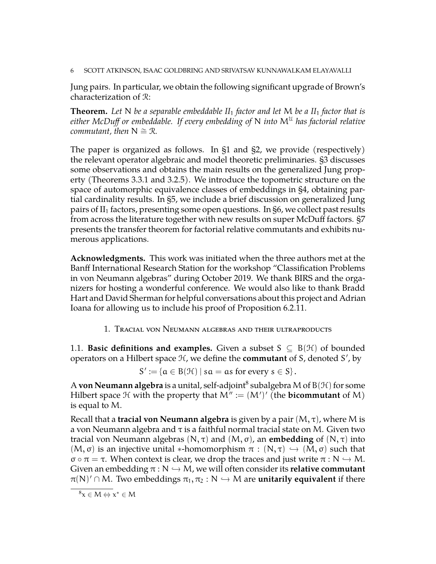6 SCOTT ATKINSON, ISAAC GOLDBRING AND SRIVATSAV KUNNAWALKAM ELAYAVALLI

Jung pairs. In particular, we obtain the following significant upgrade of Brown's characterization of R:

**Theorem.** *Let* N *be a separable embeddable II*<sup>1</sup> *factor and let* M *be a II*<sup>1</sup> *factor that is either McDuff or embeddable. If every embedding of* N *into*  $M<sup>U</sup>$  has factorial relative *commutant, then*  $N \cong \mathcal{R}$ *.* 

The paper is organized as follows. In [§1](#page-5-1) and [§2,](#page-11-0) we provide (respectively) the relevant operator algebraic and model theoretic preliminaries. [§3](#page-19-0) discusses some observations and obtains the main results on the generalized Jung property (Theorems [3.3.1](#page-25-1) and [3.2.5\)](#page-25-2). We introduce the topometric structure on the space of automorphic equivalence classes of embeddings in [§4,](#page-27-0) obtaining partial cardinality results. In [§5,](#page-32-0) we include a brief discussion on generalized Jung pairs of  $II_1$  factors, presenting some open questions. In [§6,](#page-34-0) we collect past results from across the literature together with new results on super McDuff factors. [§7](#page-46-0) presents the transfer theorem for factorial relative commutants and exhibits numerous applications.

<span id="page-5-0"></span>**Acknowledgments.** This work was initiated when the three authors met at the Banff International Research Station for the workshop "Classification Problems in von Neumann algebras" during October 2019. We thank BIRS and the organizers for hosting a wonderful conference. We would also like to thank Bradd Hart and David Sherman for helpful conversations about this project and Adrian Ioana for allowing us to include his proof of Proposition [6.2.11.](#page-38-0)

1. Tracial von Neumann algebras and their ultraproducts

<span id="page-5-2"></span><span id="page-5-1"></span>1.1. **Basic definitions and examples.** Given a subset  $S \subseteq B(\mathcal{H})$  of bounded operators on a Hilbert space  $H$ , we define the **commutant** of S, denoted S', by

 $S' := \{ \alpha \in B(\mathcal{H}) \mid s\alpha = \alpha s \text{ for every } s \in S \}.$ 

A **von Neumann algebra** is a unital, self-adjoint $^8$  $^8$  subalgebra M of B(H) for some Hilbert space  $H$  with the property that  $M' := (M')'$  (the **bicommutant** of M) is equal to M.

Recall that a **tracial von Neumann algebra** is given by a pair (M, τ), where M is a von Neumann algebra and  $\tau$  is a faithful normal tracial state on M. Given two tracial von Neumann algebras (N, τ) and (M, σ), an **embedding** of (N, τ) into  $(M, \sigma)$  is an injective unital \*-homomorphism  $\pi : (N, \tau) \hookrightarrow (M, \sigma)$  such that σ  $\sigma \circ \pi = \tau$ . When context is clear, we drop the traces and just write  $\pi : N \hookrightarrow M$ . Given an embedding  $\pi : N \hookrightarrow M$ , we will often consider its **relative commutant**  $\pi(N)' \cap M$ . Two embeddings  $\pi_1, \pi_2 : N \hookrightarrow M$  are **unitarily equivalent** if there

<span id="page-5-3"></span> $x^* \in M \Leftrightarrow x^* \in M$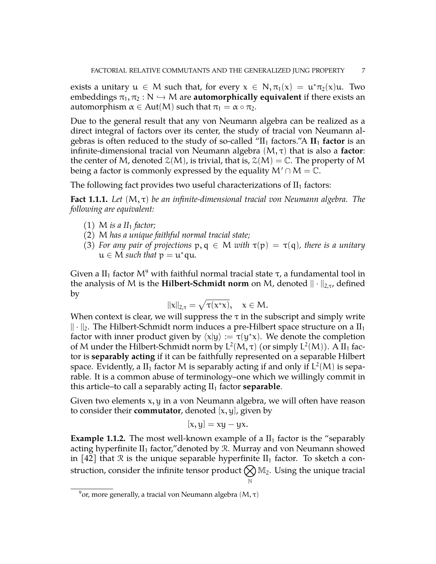exists a unitary  $u \in M$  such that, for every  $x \in N, \pi_1(x) = u^* \pi_2(x) u$ . Two embeddings  $\pi_1, \pi_2 : N \hookrightarrow M$  are **automorphically equivalent** if there exists an automorphism  $\alpha \in Aut(M)$  such that  $\pi_1 = \alpha \circ \pi_2$ .

Due to the general result that any von Neumann algebra can be realized as a direct integral of factors over its center, the study of tracial von Neumann algebras is often reduced to the study of so-called " $II_1$  factors."A  $II_1$  **factor** is an infinite-dimensional tracial von Neumann algebra (M, τ) that is also a **factor**: the center of M, denoted  $\mathcal{Z}(M)$ , is trivial, that is,  $\mathcal{Z}(M) = \mathbb{C}$ . The property of M being a factor is commonly expressed by the equality  $M' \cap M = \mathbb{C}$ .

The following fact provides two useful characterizations of  $II_1$  factors:

<span id="page-6-2"></span>**Fact 1.1.1.** *Let* (M, τ) *be an infinite-dimensional tracial von Neumann algebra. The following are equivalent:*

- $(1)$  M *is a II*<sub>1</sub> *factor*;
- (2) M *has a unique faithful normal tracial state;*
- (3) *For any pair of projections*  $p, q \in M$  *with*  $\tau(p) = \tau(q)$ *, there is a unitary*  $u \in M$  *such that*  $p = u^*$ qu.

Given a II<sub>1</sub> factor  $M^9$  $M^9$  with faithful normal tracial state  $\tau$ , a fundamental tool in the analysis of M is the **Hilbert-Schmidt norm** on M, denoted  $|| \cdot ||_{2,\tau}$ , defined by

$$
\|\mathrm{x}\|_{2,\tau}=\sqrt{\tau(\mathrm{x}^*\mathrm{x})},\quad \mathrm{x}\in\mathsf{M}.
$$

When context is clear, we will suppress the  $\tau$  in the subscript and simply write  $\|\cdot\|_2$ . The Hilbert-Schmidt norm induces a pre-Hilbert space structure on a  $II_1$ factor with inner product given by  $\langle x|y\rangle := \tau(y^*x)$ . We denote the completion of M under the Hilbert-Schmidt norm by  $L^2(M, \tau)$  (or simply  $L^2(M)$ ). A II<sub>1</sub> factor is **separably acting** if it can be faithfully represented on a separable Hilbert space. Evidently, a II<sub>1</sub> factor M is separably acting if and only if  $L^2(M)$  is separable. It is a common abuse of terminology–one which we willingly commit in this article–to call a separably acting  $II_1$  factor **separable**.

Given two elements x, y in a von Neumann algebra, we will often have reason to consider their **commutator**, denoted  $[x, y]$ , given by

$$
[x, y] = xy - yx.
$$

<span id="page-6-1"></span>**Example 1.1.2.** The most well-known example of a  $II_1$  factor is the "separably" acting hyperfinite  $II_1$  factor," denoted by  $R$ . Murray and von Neumann showed in [\[42\]](#page-52-6) that R is the unique separable hyperfinite  $II_1$  factor. To sketch a construction, consider the infinite tensor product  $\bigotimes \mathbb{M}_2.$  Using the unique tracial N

<span id="page-6-0"></span><sup>&</sup>lt;sup>9</sup> or, more generally, a tracial von Neumann algebra (M,  $\tau$ )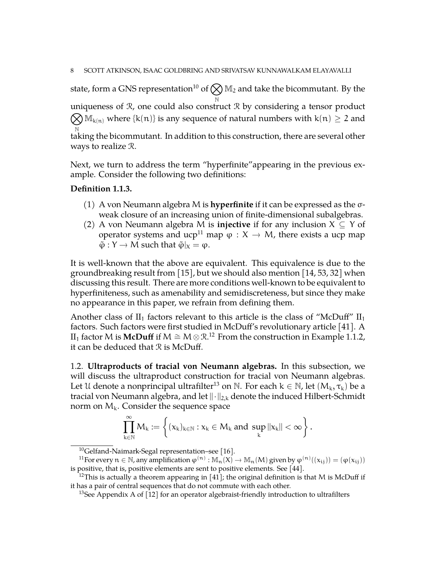state, form a GNS representation $^{10}$  $^{10}$  $^{10}$  of  $\bigotimes$   $\mathbb{M}_2$  and take the bicommutant. By the N uniqueness of R, one could also construct R by considering a tensor product  $\bigotimes \mathbb{M}_{k(n)}$  where  $\{k(n)\}$  is any sequence of natural numbers with  $k(n) \geq 2$  and

N taking the bicommutant. In addition to this construction, there are several other ways to realize R.

Next, we turn to address the term "hyperfinite"appearing in the previous example. Consider the following two definitions:

### **Definition 1.1.3.**

- (1) A von Neumann algebra M is **hyperfinite** if it can be expressed as the σweak closure of an increasing union of finite-dimensional subalgebras.
- (2) A von Neumann algebra M is **injective** if for any inclusion X ⊆ Y of operator systems and ucp<sup>[11](#page-7-2)</sup> map  $\varphi : X \to M$ , there exists a ucp map  $\tilde{\varphi}: Y \to M$  such that  $\tilde{\varphi}|_X = \varphi$ .

It is well-known that the above are equivalent. This equivalence is due to the groundbreaking result from [\[15\]](#page-51-0), but we should also mention [\[14,](#page-51-7) [53,](#page-52-7) [32\]](#page-51-8) when discussing this result. There are more conditions well-known to be equivalent to hyperfiniteness, such as amenability and semidiscreteness, but since they make no appearance in this paper, we refrain from defining them.

Another class of  $II_1$  factors relevant to this article is the class of "McDuff"  $II_1$ factors. Such factors were first studied in McDuff's revolutionary article [\[41\]](#page-52-8). A  $II_1$  factor M is **McDuff** if M  $\cong$  M  $\otimes$  R.<sup>[12](#page-7-3)</sup> From the construction in Example [1.1.2,](#page-6-1) it can be deduced that  $\mathcal R$  is McDuff.

<span id="page-7-0"></span>1.2. **Ultraproducts of tracial von Neumann algebras.** In this subsection, we will discuss the ultraproduct construction for tracial von Neumann algebras. Let U denote a nonprincipal ultrafilter<sup>[13](#page-7-4)</sup> on N. For each  $k \in \mathbb{N}$ , let  $(M_k, \tau_k)$  be a tracial von Neumann algebra, and let  $\|\cdot\|_{2,k}$  denote the induced Hilbert-Schmidt norm on  $M_k$ . Consider the sequence space

$$
\prod_{k\in\mathbb{N}}^{\infty}M_k:=\left\{(x_k)_{k\in\mathbb{N}}:x_k\in M_k\text{ and }\sup_k\|x_k\|<\infty\right\}.
$$

<span id="page-7-2"></span><span id="page-7-1"></span><sup>10</sup>Gelfand-Naimark-Segal representation–see [\[16\]](#page-51-9).

<sup>&</sup>lt;sup>11</sup>For every  $n \in \mathbb{N}$ , any amplification  $\varphi^{(n)} : \mathbb{M}_n(X) \to \mathbb{M}_n(M)$  given by  $\varphi^{(n)}((x_{ij})) = (\varphi(x_{ij}))$ is positive, that is, positive elements are sent to positive elements. See [\[44\]](#page-52-9).

<span id="page-7-3"></span><sup>&</sup>lt;sup>12</sup>This is actually a theorem appearing in [\[41\]](#page-52-8); the original definition is that M is McDuff if it has a pair of central sequences that do not commute with each other.

<span id="page-7-4"></span><sup>&</sup>lt;sup>13</sup>See Appendix A of  $\lceil 12 \rceil$  for an operator algebraist-friendly introduction to ultrafilters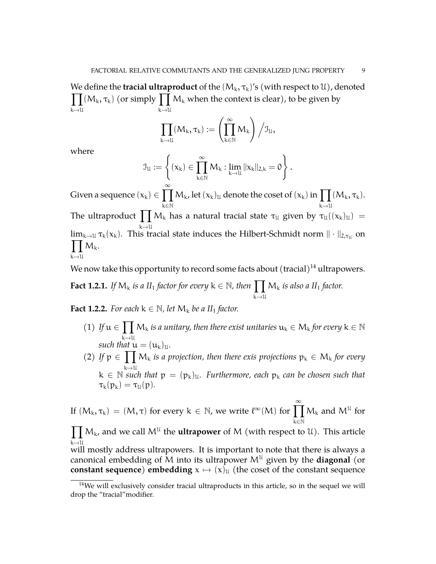We define the **tracial ultraproduct** of the  $(M_k,\tau_k)'$ s (with respect to  $\mathfrak{U})$ , denoted  $\prod (M_k, \tau_k)$  (or simply  $\prod M_k$  when the context is clear), to be given by  $k \rightarrow \mathcal{U}$  $k\rightarrow \mathcal{U}$ 

$$
\prod_{k\rightarrow \mathcal{U}}(M_k,\tau_k):=\left(\prod_{k\in \mathbb{N}}^{\infty}M_k\right)\Big/ \mathfrak{I}_{\mathcal{U}},
$$

where

$$
\mathfrak{I}_{\mathcal{U}}:=\left\{(\boldsymbol{x}_k)\in\prod_{k\in\mathbb{N}}^{\infty}\mathsf{M}_k: \lim_{k\rightarrow\mathcal{U}}||\boldsymbol{x}_k||_{2,k}=0\right\}.
$$

Given a sequence  $(x_k) \in \prod_{k=1}^{\infty}$ k∈N  $M_k$ , let  $(x_k)_u$  denote the coset of  $(x_k)$  in  $\prod$  $k\rightarrow \mathcal{U}$  $(M_k, \tau_k).$ The ultraproduct  $\prod M_k$  has a natural tracial state  $\tau_{\mathfrak{U}}$  given by  $\tau_{\mathfrak{U}}((x_k)_{\mathfrak{U}})$  = <sup>k</sup>→<sup>U</sup>  $\lim_{k\to\mathfrak{U}}\tau_k(x_k)$ . This tracial state induces the Hilbert-Schmidt norm  $\|\cdot\|_{2,\tau_{\mathfrak{U}}}$  on  $\prod M_k$ .  $k \rightarrow 11$ 

We now take this opportunity to record some facts about  $($ tracial $)$ <sup>[14](#page-8-0)</sup> ultrapowers.

**Fact 1.2.1.** *If*  $M_k$  *is a II*<sub>1</sub> *factor for every*  $k \in \mathbb{N}$ *, then*  $\prod$  $k\rightarrow \mathcal{U}$ M<sup>k</sup> *is also a II*<sup>1</sup> *factor.*

<span id="page-8-1"></span>**Fact 1.2.2.** *For each*  $k \in \mathbb{N}$ *, let*  $M_k$  *be a II*<sub>1</sub> *factor.* 

- (1) If  $u \in \prod M_k$  *is a unitary, then there exist unitaries*  $u_k \in M_k$  *for every*  $k \in \mathbb{N}$  $k \rightarrow U$ *such that*  $u = (u_k)_u$ *.*
- (2) If  $p \in \prod M_k$  *is a projection, then there exis projections*  $p_k \in M_k$  *for every*  $k \in \mathbb{N}$  such that  $p = (p_k)_u$ . Furthermore, each  $p_k$  can be chosen such that  $\tau_k(p_k) = \tau_{\mathfrak{U}}(p)$ .

If  $(M_k, \tau_k) = (M, \tau)$  for every  $k \in \mathbb{N}$ , we write  $\ell^{\infty}(M)$  for  $\prod_{k=1}^{\infty}$ k∈N  $M_k$  and  $M^{\mathcal{U}}$  for

 $\prod M_k$ , and we call  $M^U$  the **ultrapower** of M (with respect to U). This article k→ $\mathfrak{u}$  mostly address ultrapowers. It is important to note that there is always a

canonical embedding of  $\overline{M}$  into its ultrapower  $M^{\mathfrak{U}}$  given by the **diagonal** (or **constant sequence) <b>embedding**  $x \mapsto (x)_{\mathfrak{U}}$  (the coset of the constant sequence

<span id="page-8-0"></span> $14$ We will exclusively consider tracial ultraproducts in this article, so in the sequel we will drop the "tracial"modifier.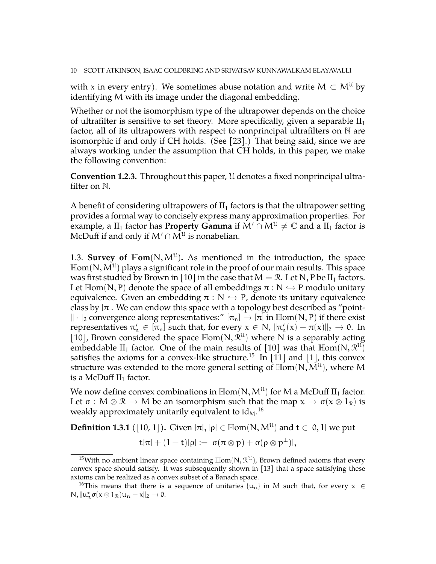with x in every entry). We sometimes abuse notation and write  $M \subset M^{\mathfrak{u}}$  by identifying M with its image under the diagonal embedding.

Whether or not the isomorphism type of the ultrapower depends on the choice of ultrafilter is sensitive to set theory. More specifically, given a separable  $II_1$ factor, all of its ultrapowers with respect to nonprincipal ultrafilters on  $\mathbb N$  are isomorphic if and only if CH holds. (See [\[23\]](#page-51-11).) That being said, since we are always working under the assumption that CH holds, in this paper, we make the following convention:

**Convention 1.2.3.** Throughout this paper, U denotes a fixed nonprincipal ultrafilter on N.

A benefit of considering ultrapowers of  $II<sub>1</sub>$  factors is that the ultrapower setting provides a formal way to concisely express many approximation properties. For example, a II<sub>1</sub> factor has **Property Gamma** if  $M' \cap M^{\mathfrak{U}} \neq \mathbb{C}$  and a II<sub>1</sub> factor is McDuff if and only if  $M' \cap M^{\mathfrak{U}}$  is nonabelian.

<span id="page-9-0"></span>1.3. **Survey of**  $\mathbb{H}$ **om**(N,  $M^{\mathcal{U}}$ ). As mentioned in the introduction, the space  $\mathbb{H}\mathsf{om}(\mathsf{N},\mathsf{M}^{\mathfrak{U}})$  plays a significant role in the proof of our main results. This space was first studied by Brown in [\[10\]](#page-51-3) in the case that  $M = \mathcal{R}$ . Let N, P be II<sub>1</sub> factors. Let  $\text{Hom}(N, P)$  denote the space of all embeddings  $\pi : N \hookrightarrow P$  modulo unitary equivalence. Given an embedding  $\pi : N \hookrightarrow P$ , denote its unitary equivalence class by  $[\pi]$ . We can endow this space with a topology best described as "point- $|| \cdot ||_2$  convergence along representatives:"  $[\pi_n] \to [\pi]$  in  $\mathbb{H}$ om(N, P) if there exist representatives  $\pi'_n \in [\pi_n]$  such that, for every  $x \in N$ ,  $\|\pi'_n(x) - \pi(x)\|_2 \to 0$ . In [\[10\]](#page-51-3), Brown considered the space  $\mathbb{H}$ om(N,  $\mathcal{R}^{u}$ ) where N is a separably acting embeddable II<sub>1</sub> factor. One of the main results of [\[10\]](#page-51-3) was that  $\mathbb{H}$ om $(N, \mathcal{R}^{U})$ satisfies the axioms for a convex-like structure.<sup>[15](#page-9-1)</sup> In [\[11\]](#page-51-4) and [\[1\]](#page-50-2), this convex structure was extended to the more general setting of  $\mathbb{H}\mathsf{om}(\mathsf{N},\mathsf{M}^{\mathfrak{U}})$ , where M is a McDuff  $II<sub>1</sub>$  factor.

We now define convex combinations in  $\mathbb{H}\text{om}(\mathsf{N},\mathsf{M}^{\mathfrak{U}})$  for  $\mathsf{M}$  a McDuff  $\mathrm{II}_1$  factor. Let  $\sigma : M \otimes \mathbb{R} \to M$  be an isomorphism such that the map  $x \to \sigma(x \otimes 1_{\mathbb{R}})$  is weakly approximately unitarily equivalent to id $_{\rm M}$ . $^{16}$  $^{16}$  $^{16}$ 

**Definition 1.3.1** ([\[10,](#page-51-3) [1\]](#page-50-2)). Given  $[\pi], [\rho] \in \mathbb{H}$ om $(N, M^{\mathcal{U}})$  and  $t \in [0, 1]$  we put

$$
t[\pi]+(1-t)[\rho]:=[\sigma(\pi\otimes p)+\sigma(\rho\otimes p^{\perp})],
$$

<span id="page-9-1"></span><sup>&</sup>lt;sup>15</sup>With no ambient linear space containing  $\mathbb{H}$ om(N,  $\mathcal{R}^{\mathcal{U}}$ ), Brown defined axioms that every convex space should satisfy. It was subsequently shown in [\[13\]](#page-51-12) that a space satisfying these axioms can be realized as a convex subset of a Banach space.

<span id="page-9-2"></span><sup>&</sup>lt;sup>16</sup>This means that there is a sequence of unitaries  $\{u_n\}$  in M such that, for every  $x \in$  $N$ ,  $||u_n^* \sigma(x \otimes 1_{\mathcal{R}})u_n - x||_2 \to 0$ .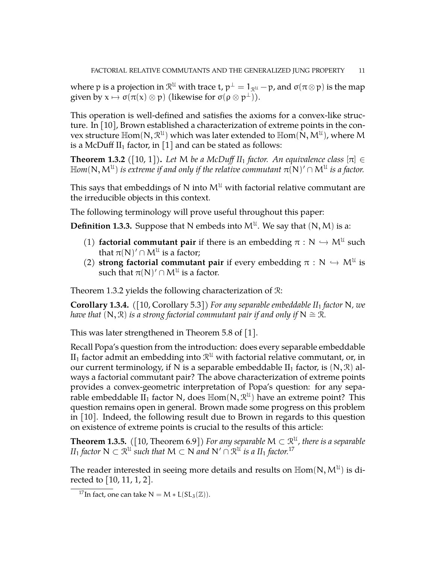where  $\bm{\mathsf{p}}$  is a projection in  $\mathcal{R}^\mathfrak{U}$  with trace t,  $\bm{\mathsf{p}}^\perp = 1_{\mathcal{R}^\mathfrak{U}}-\bm{\mathsf{p}}$ , and  $\sigma(\pi\otimes \bm{\mathsf{p}})$  is the map given by  $x \mapsto \sigma(\pi(x) \otimes p)$  (likewise for  $\sigma(\rho \otimes p^{\perp})$ ).

This operation is well-defined and satisfies the axioms for a convex-like structure. In [\[10\]](#page-51-3), Brown established a characterization of extreme points in the convex structure  $\mathbb{H}$ om $(N, \mathcal{R}^{\mathcal{U}})$  which was later extended to  $\mathbb{H}$ om $(N, M^{\mathcal{U}})$ , where M is a McDuff II<sub>1</sub> factor, in [\[1\]](#page-50-2) and can be stated as follows:

<span id="page-10-0"></span>**Theorem 1.3.2** ([\[10,](#page-51-3) [1\]](#page-50-2)). Let M be a McDuff II<sub>1</sub> factor. An equivalence class [ $\pi$ ]  $\in$  $\mathbb{H}\mathsf{om}(\mathsf{N},\mathsf{M}^{\mathfrak{U}})$  is extreme if and only if the relative commutant  $\pi(\mathsf{N})'\cap\mathsf{M}^{\mathfrak{U}}$  is a factor.

This says that embeddings of N into  $M^{\mathcal{U}}$  with factorial relative commutant are the irreducible objects in this context.

The following terminology will prove useful throughout this paper:

**Definition 1.3.3.** Suppose that N embeds into  $M^{\mathcal{U}}$ . We say that  $(N, M)$  is a:

- (1) **factorial commutant pair** if there is an embedding  $\pi : N \hookrightarrow M^{\mathcal{U}}$  such that  $\pi(N)/Q$  M<sup>I</sup>l is a factory that  $\pi(\mathsf{N})^{\prime}\cap\mathsf{M}^{\mathfrak{U}}$  is a factor;
- (2) **strong factorial commutant pair** if every embedding  $\pi : N \hookrightarrow M^{\mathfrak{U}}$  is exactly that  $\pi(\mathbb{N}) \subseteq M^{\mathfrak{U}}$  is a factor. such that  $\pi(N)' \cap M^{\mathfrak{U}}$  is a factor.

Theorem [1.3.2](#page-10-0) yields the following characterization of R:

<span id="page-10-2"></span>**Corollary 1.3.4.** *(*[\[10,](#page-51-3) Corollary 5.3]*) For any separable embeddable II*<sup>1</sup> *factor* N*, we have that*  $(N, \mathcal{R})$  *is a strong factorial commutant pair if and only if*  $N \cong \mathcal{R}$ *.* 

This was later strengthened in Theorem 5.8 of [\[1\]](#page-50-2).

Recall Popa's question from the introduction: does every separable embeddable  ${\rm II}_1$  factor admit an embedding into  $\mathcal{R}^{\mathfrak{U}}$  with factorial relative commutant, or, in our current terminology, if N is a separable embeddable  $II_1$  factor, is  $(N, \mathcal{R})$  always a factorial commutant pair? The above characterization of extreme points provides a convex-geometric interpretation of Popa's question: for any separable embeddable  $\overline{II}_1$  factor N, does  $\mathbb{H}$ om $(N, \mathcal{R}^{\mathcal{U}})$  have an extreme point? This question remains open in general. Brown made some progress on this problem in [\[10\]](#page-51-3). Indeed, the following result due to Brown in regards to this question on existence of extreme points is crucial to the results of this article:

<span id="page-10-3"></span>**Theorem 1.3.5.** ([\[10,](#page-51-3) Theorem 6.9]) For any separable  $M \subset \mathbb{R}^{\mathfrak{U}}$ , there is a separable  $II_1$  *factor*  $\mathsf{N} \subset \mathfrak{R}^\mathfrak{U}$  *such that*  $\mathsf{M} \subset \mathsf{N}$  *and*  $\mathsf{N}' \cap \mathfrak{R}^\mathfrak{U}$  *is a*  $II_1$  *factor.*<sup>[17](#page-10-1)</sup>

The reader interested in seeing more details and results on  $\mathbb{H}\mathsf{om}(\mathsf{N},\mathsf{M}^{\mathfrak{U}})$  is directed to [\[10,](#page-51-3) [11,](#page-51-4) [1,](#page-50-2) [2\]](#page-50-3).

<span id="page-10-1"></span><sup>&</sup>lt;sup>17</sup>In fact, one can take  $N = M * L(SL_3(\mathbb{Z}))$ .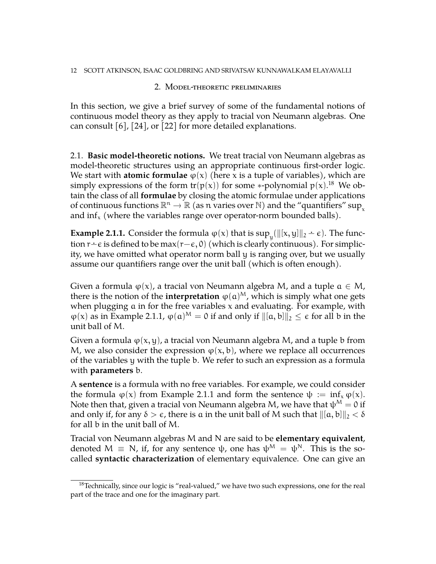# 2. Model-theoretic preliminaries

<span id="page-11-0"></span>In this section, we give a brief survey of some of the fundamental notions of continuous model theory as they apply to tracial von Neumann algebras. One can consult [\[6\]](#page-50-4), [\[24\]](#page-51-13), or [\[22\]](#page-51-14) for more detailed explanations.

<span id="page-11-1"></span>2.1. **Basic model-theoretic notions.** We treat tracial von Neumann algebras as model-theoretic structures using an appropriate continuous first-order logic. We start with **atomic formulae**  $\varphi(x)$  (here x is a tuple of variables), which are simply expressions of the form  $tr(p(x))$  for some \*-polynomial  $p(x)$ .<sup>[18](#page-11-2)</sup> We obtain the class of all **formulae** by closing the atomic formulae under applications of continuous functions  $\mathbb{R}^n \to \mathbb{R}$  (as n varies over N) and the "quantifiers" sup<sub>x</sub><br>and inf. (where the variables range over energies near hounded halls) and inf<sub>x</sub> (where the variables range over operator-norm bounded balls).

<span id="page-11-3"></span>**Example 2.1.1.** Consider the formula  $\varphi(x)$  that is  $\sup_y(||[x, y]||_2 \div \epsilon)$ . The function  $r\text{–} \epsilon$  is defined to be max( $r-\epsilon$ , 0) (which is clearly continuous). For simplicity, we have omitted what operator norm ball y is ranging over, but we usually assume our quantifiers range over the unit ball (which is often enough).

Given a formula  $\varphi(x)$ , a tracial von Neumann algebra M, and a tuple  $a \in M$ , there is the notion of the **interpretation**  $\varphi(a)^M$ , which is simply what one gets when plugging  $a$  in for the free variables  $x$  and evaluating. For example, with  $\varphi(x)$  as in Example [2.1.1,](#page-11-3)  $\varphi(\alpha)^M = 0$  if and only if  $\|\alpha, b\|_2 \leq \epsilon$  for all b in the unit ball of M.

Given a formula  $\varphi(x, y)$ , a tracial von Neumann algebra M, and a tuple b from M, we also consider the expression  $\varphi(x, b)$ , where we replace all occurrences of the variables y with the tuple b. We refer to such an expression as a formula with **parameters** b.

A **sentence** is a formula with no free variables. For example, we could consider the formula  $\varphi(x)$  from Example [2.1.1](#page-11-3) and form the sentence  $\psi := \inf_x \varphi(x)$ . Note then that, given a tracial von Neumann algebra M, we have that  $\psi^M = 0$  if and only if, for any  $\delta > \epsilon$ , there is a in the unit ball of M such that  $\|[a, b]\|_2 < \delta$ for all b in the unit ball of M.

Tracial von Neumann algebras M and N are said to be **elementary equivalent**, denoted  $M \equiv N$ , if, for any sentence  $\psi$ , one has  $\psi^M = \psi^N$ . This is the socalled **syntactic characterization** of elementary equivalence. One can give an

<span id="page-11-2"></span> $18$ Technically, since our logic is "real-valued," we have two such expressions, one for the real part of the trace and one for the imaginary part.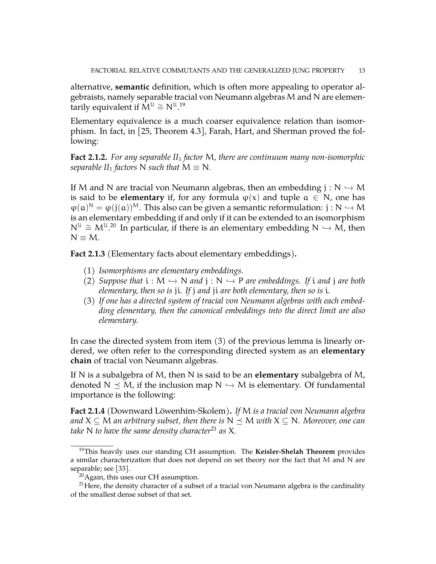alternative, **semantic** definition, which is often more appealing to operator algebraists, namely separable tracial von Neumann algebras M and N are elementarily equivalent if  $\mathbf{M}^{\mathcal{U}} \cong \mathsf{N}^{\mathcal{U},19}$  $\mathbf{M}^{\mathcal{U}} \cong \mathsf{N}^{\mathcal{U},19}$  $\mathbf{M}^{\mathcal{U}} \cong \mathsf{N}^{\mathcal{U},19}$ 

Elementary equivalence is a much coarser equivalence relation than isomorphism. In fact, in [\[25,](#page-51-15) Theorem 4.3], Farah, Hart, and Sherman proved the following:

**Fact 2.1.2.** *For any separable II*<sup>1</sup> *factor* M*, there are continuum many non-isomorphic separable*  $II_1$  *factors* N *such that*  $M \equiv N$ *.* 

If M and N are tracial von Neumann algebras, then an embedding  $j : N \hookrightarrow M$ is said to be **elementary** if, for any formula  $\varphi(x)$  and tuple  $a \in N$ , one has  $\varphi(a)^N = \varphi(j(a))^M$ . This also can be given a semantic reformulation:  $j : N \hookrightarrow M$ is an elementary embedding if and only if it can be extended to an isomorphism  $N^{\mathcal{U}} \cong M^{\mathcal{U},20}$  $N^{\mathcal{U}} \cong M^{\mathcal{U},20}$  $N^{\mathcal{U}} \cong M^{\mathcal{U},20}$  In particular, if there is an elementary embedding  $N \hookrightarrow M$ , then  $N \equiv M$ .

<span id="page-12-3"></span>**Fact 2.1.3** (Elementary facts about elementary embeddings)**.**

- (1) *Isomorphisms are elementary embeddings.*
- (2) *Suppose that*  $i : M \hookrightarrow N$  *and*  $j : N \hookrightarrow P$  *are embeddings. If* i *and* j *are both elementary, then so is* ji*. If* j *and* ji *are both elementary, then so is* i*.*
- (3) *If one has a directed system of tracial von Neumann algebras with each embedding elementary, then the canonical embeddings into the direct limit are also elementary.*

In case the directed system from item (3) of the previous lemma is linearly ordered, we often refer to the corresponding directed system as an **elementary chain** of tracial von Neumann algebras.

If N is a subalgebra of M, then N is said to be an **elementary** subalgebra of M, denoted  $N \preceq M$ , if the inclusion map  $N \hookrightarrow M$  is elementary. Of fundamental importance is the following:

<span id="page-12-4"></span>**Fact 2.1.4** (Downward Löwenhim-Skolem)**.** *If* M *is a tracial von Neumann algebra and*  $X \subseteq M$  *an arbitrary subset, then there is*  $N \leq M$  *with*  $X \subseteq N$ *. Moreover, one can take* N *to have the same density character*<sup>[21](#page-12-2)</sup> *as* X.

<span id="page-12-0"></span><sup>19</sup>This heavily uses our standing CH assumption. The **Keisler-Shelah Theorem** provides a similar characterization that does not depend on set theory nor the fact that M and N are separable; see [\[33\]](#page-52-10).

<span id="page-12-2"></span><span id="page-12-1"></span><sup>&</sup>lt;sup>20</sup> Again, this uses our CH assumption.

<sup>&</sup>lt;sup>21</sup>Here, the density character of a subset of a tracial von Neumann algebra is the cardinality of the smallest dense subset of that set.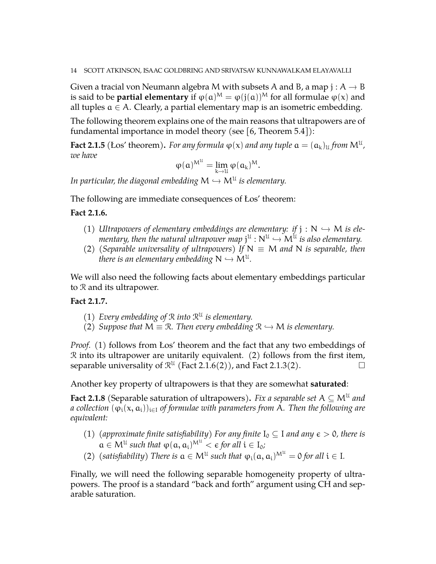Given a tracial von Neumann algebra M with subsets A and B, a map  $j : A \rightarrow B$ is said to be **partial elementary** if  $\varphi(\mathfrak{a})^M = \varphi(\mathfrak{j}(\mathfrak{a}))^M$  for all formulae  $\varphi(\mathfrak{x})$  and all tuples  $a \in A$ . Clearly, a partial elementary map is an isometric embedding.

The following theorem explains one of the main reasons that ultrapowers are of fundamental importance in model theory (see  $[6,$  Theorem 5.4 $]$ ):

**Fact 2.1.5** (Los' theorem). For any formula  $\varphi(x)$  and any tuple  $a = (a_k)_\mathfrak{U}$  from  $\mathsf{M}^\mathfrak{U}$ , *we have*

$$
\phi(\mathfrak{a})^{M^{\mathfrak{U}}}=\lim_{k\rightarrow\mathfrak{U}}\phi(\mathfrak{a}_k)^M.
$$

In particular, the diagonal embedding  $\mathsf{M} \hookrightarrow \mathsf{M}^{\mathfrak{U}}$  is elementary.

The following are immediate consequences of Łos' theorem:

## <span id="page-13-0"></span>**Fact 2.1.6.**

- (1) *Ultrapowers of elementary embeddings are elementary: if*  $j : N \rightarrow M$  *is elementary, then the natural ultrapower map*  $j^{\mathfrak{U}} : \mathbb{N}^{\mathfrak{U}} \hookrightarrow \mathbb{N}^{\mathfrak{U}}$  *is also elementary.*<br>(Consumble universality of ultrapowers) If  $\mathbb{N} = \mathbb{N}$  and  $\mathbb{N}$  is assemble, then
- (2) *(Separable universality of ultrapowers)* If  $N \equiv M$  *and* N *is separable, then* there is an elementary embedding  $\mathsf{N} \hookrightarrow \mathsf{M}^{\mathfrak{U}}$ .

We will also need the following facts about elementary embeddings particular to R and its ultrapower.

# <span id="page-13-1"></span>**Fact 2.1.7.**

- (1) Every embedding of  $\mathcal{R}$  into  $\mathcal{R}^{\mathfrak{U}}$  is elementary.
- (2) *Suppose that*  $M \equiv \mathcal{R}$ *. Then every embedding*  $\mathcal{R} \hookrightarrow M$  *is elementary.*

*Proof.* (1) follows from Los' theorem and the fact that any two embeddings of R into its ultrapower are unitarily equivalent. (2) follows from the first item, separable universality of  $\mathcal{R}^{\mathfrak{U}}$  (Fact [2.1.6\(](#page-13-0)2)), and Fact [2.1.3\(](#page-12-3)2).

Another key property of ultrapowers is that they are somewhat **saturated**:

**Fact 2.1.8** (Separable saturation of ultrapowers). Fix a separable set  $A \subseteq M^{\mathfrak{U}}$  and *a collection*  $(\varphi_i(x, a_i))_{i \in I}$  *of formulae with parameters from* A. Then the following are *equivalent:*

- (1) (approximate finite satisfiability) For any finite  $I_0 \subseteq I$  and any  $\epsilon > 0$ , there is  $a \in M^{\mathfrak{U}}$  such that  $\varphi(a, a_i)^{\mathcal{M}^{\mathfrak{U}}} < \epsilon$  for all  $i \in I_0$ ;
- (2) (satisfiability) There is  $a \in M^{\mathfrak{U}}$  such that  $\varphi_i(a, a_i)^{M^{\mathfrak{U}}} = 0$  for all  $i \in I$ .

Finally, we will need the following separable homogeneity property of ultrapowers. The proof is a standard "back and forth" argument using CH and separable saturation.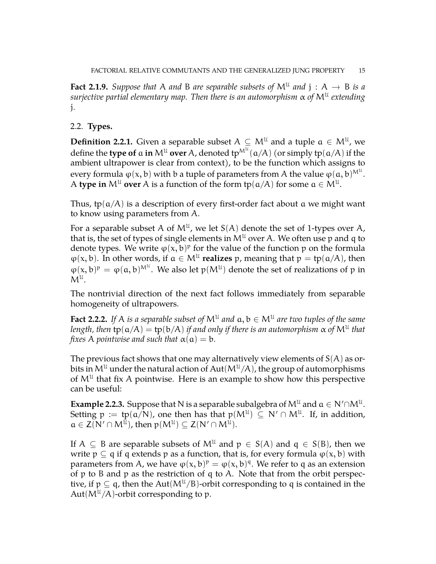<span id="page-14-1"></span>**Fact 2.1.9.** Suppose that A and B are separable subsets of  $M^{\mathfrak{U}}$  and  $j : A \rightarrow B$  is a<br>conjective neutral elementary man. Then there is an automorphism as of M<sup>II</sup> anterding *surjective partial elementary map. Then there is an automorphism* α *of* M<sup>U</sup> *extending* j*.*

# <span id="page-14-0"></span>2.2. **Types.**

**Definition 2.2.1.** Given a separable subset  $A \subseteq M^{\mathfrak{U}}$  and a tuple  $\mathfrak{a} \in M^{\mathfrak{U}}$ , we define the **type of**  $\mathfrak a$  **in**  $\mathsf{M}^{\mathfrak U}$  **over** A, denoted  $\mathfrak{tp}^{\mathsf{M}^{\mathfrak U}}(\mathfrak a/\mathfrak A)$  (or simply  $\mathfrak{tp}(\mathfrak a/\mathfrak A)$  if the ambient ultrapower is clear from context), to be the function which assigns to every formula  $\phi({\mathsf{x}},{\mathsf{b}})$  with  ${\mathsf{b}}$  a tuple of parameters from A the value  $\phi({\mathsf{a}},{\mathsf{b}})^{{\mathsf{M}}^{\mathsf{u}}}.$ A **type in**  $M^{\mathfrak{U}}$  **over** A is a function of the form  $tp(a/A)$  for some  $a \in M^{\mathfrak{U}}$ .

Thus, tp( $\alpha$ /A) is a description of every first-order fact about a we might want to know using parameters from A.

For a separable subset A of  $M^{\mathfrak{U}}$ , we let  $S(A)$  denote the set of 1-types over A, that is, the set of types of single elements in  $M^{\mathfrak{U}}$  over A. We often use p and q to denote types. We write  $\varphi(x, b)^p$  for the value of the function p on the formula  $\varphi(x, b)$ . In other words, if  $a \in M^{\mathcal{U}}$  **realizes** p, meaning that  $p = tp(a/A)$ , then  $\varphi(x, b)^p = \varphi(a, b)^{M^u}$ . We also let  $p(M^u)$  denote the set of realizations of p in  $M^{\mathfrak{U}}.$ 

The nontrivial direction of the next fact follows immediately from separable homogeneity of ultrapowers.

<span id="page-14-3"></span>**Fact 2.2.2.** If A is a separable subset of  $M^{\mathfrak{U}}$  and  $\mathfrak{a}, \mathfrak{b} \in M^{\mathfrak{U}}$  are two tuples of the same  $l$ ength, then  $\text{tp}(\alpha/A) = \text{tp}(\text{b}/\text{A})$  *if and only if there is an automorphism*  $\alpha$  *of*  $\mathsf{M}^\mathfrak{U}$  *that fixes* A *pointwise and such that*  $\alpha(\mathfrak{a}) = \mathfrak{b}$ *.* 

The previous fact shows that one may alternatively view elements of  $S(A)$  as orbits in  $M^{\mathfrak{U}}$  under the natural action of Aut( $M^{\mathfrak{U}}/A$ ), the group of automorphisms of  $M^{\mathfrak{U}}$  that fix A pointwise. Here is an example to show how this perspective can be useful:

<span id="page-14-2"></span>**Example 2.2.3.** Suppose that N is a separable subalgebra of  $M^{\mathfrak{U}}$  and  $\mathfrak{a} \in N' \cap M^{\mathfrak{U}}$ . Setting  $p := tp(a/N)$ , one then has that  $p(M^{\mathfrak{U}}) \subseteq N' \cap M^{\mathfrak{U}}$ . If, in addition,  $a \in Z(N' \cap M^{\mathcal{U}})$ , then  $p(M^{\mathcal{U}}) \subseteq Z(N' \cap M^{\mathcal{U}})$ .

If A  $\subseteq$  B are separable subsets of M<sup>U</sup> and  $p \in S(A)$  and  $q \in S(B)$ , then we write  $p \subseteq q$  if q extends p as a function, that is, for every formula  $\varphi(x, b)$  with parameters from A, we have  $\varphi(x, b)^p = \varphi(x, b)^q$ . We refer to q as an extension of p to B and p as the restriction of q to A. Note that from the orbit perspective, if  $p \subseteq q$ , then the Aut( $M^{\mathfrak{U}}/B$ )-orbit corresponding to q is contained in the Aut $(M^{\mathfrak{U}}/A)$ -orbit corresponding to p.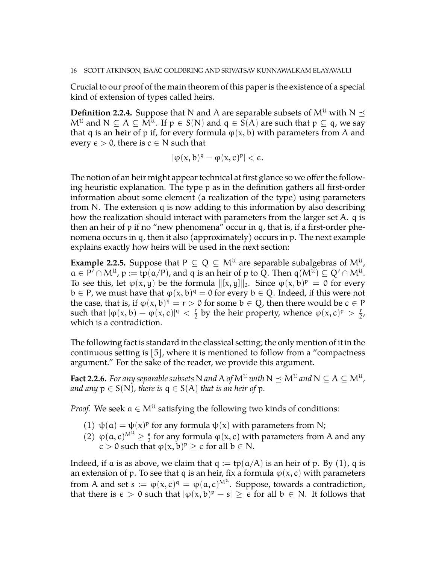Crucial to our proof of the main theorem of this paper is the existence of a special kind of extension of types called heirs.

**Definition 2.2.4.** Suppose that N and A are separable subsets of  $M^{\mathcal{U}}$  with  $N \leq$  $\mathsf{M}^{\mathfrak{U}}$  and  $\mathsf{N}\subseteq\mathsf{A}\subseteq\mathsf{M}^{\mathfrak{U}}$ . If  $\mathsf{p}\in\mathsf{S}(\mathsf{N})$  and  $\mathsf{q}\in\mathsf{S}(\mathsf{A})$  are such that  $\mathsf{p}\subseteq\mathsf{q}$ , we say that q is an **heir** of p if, for every formula  $\varphi(x, b)$  with parameters from A and every  $\epsilon > 0$ , there is  $c \in N$  such that

 $|\varphi(x, b)|^q - \varphi(x, c)|^p| < \epsilon.$ 

The notion of an heir might appear technical at first glance so we offer the following heuristic explanation. The type p as in the definition gathers all first-order information about some element (a realization of the type) using parameters from N. The extension q is now adding to this information by also describing how the realization should interact with parameters from the larger set A. q is then an heir of  $p$  if no "new phenomena" occur in q, that is, if a first-order phenomena occurs in q, then it also (approximately) occurs in p. The next example explains exactly how heirs will be used in the next section:

<span id="page-15-1"></span>**Example 2.2.5.** Suppose that  $P \subseteq Q \subseteq M^{\mathcal{U}}$  are separable subalgebras of  $M^{\mathcal{U}}$ ,  $a \in P' \cap M^{\mathfrak{U}},$   $p := \text{tp}(a/P)$ , and q is an heir of p to Q. Then  $q(M^{\mathfrak{U}}) \subseteq Q' \cap M^{\mathfrak{U}}$ . To see this, let  $\varphi(x, y)$  be the formula  $\|[x, y]\|_2$ . Since  $\varphi(x, b)^p = 0$  for every  $b \in P$ , we must have that  $\varphi(x, b)^q = 0$  for every  $b \in Q$ . Indeed, if this were not the case, that is, if  $\varphi(x, b)^q = r > 0$  for some  $b \in Q$ , then there would be  $c \in P$ such that  $|\varphi(x, b) - \varphi(x, c)|^q < \frac{r}{2}$  $\frac{r}{2}$  by the heir property, whence  $\varphi(x, c)^p > \frac{r}{2}$  $rac{r}{2}$ , which is a contradiction.

The following fact is standard in the classical setting; the only mention of it in the continuous setting is [\[5\]](#page-50-5), where it is mentioned to follow from a "compactness argument." For the sake of the reader, we provide this argument.

<span id="page-15-0"></span>**Fact 2.2.6.** *For any separable subsets*  $N$  *and*  $A$  *of*  $M^u$  *with*  $N \preceq M^u$  *and*  $N \subseteq A \subseteq M^u$  *, and any*  $p \in S(N)$ *, there is*  $q \in S(A)$  *that is an heir of* p.

*Proof.* We seek  $a \in M^{\mathcal{U}}$  satisfying the following two kinds of conditions:

- (1)  $\psi(\mathfrak{a}) = \psi(x)^p$  for any formula  $\psi(x)$  with parameters from N;
- (2)  $\varphi(\alpha, c)^{M^{\mathcal{U}}} \geq \frac{\epsilon}{2}$  $\frac{\epsilon}{2}$  for any formula  $\varphi(x, c)$  with parameters from A and any  $\epsilon > 0$  such that  $\varphi(x, b)^p \geq \epsilon$  for all  $b \in N$ .

Indeed, if a is as above, we claim that  $q := tp(a/A)$  is an heir of p. By (1), q is an extension of p. To see that q is an heir, fix a formula  $\varphi(x, c)$  with parameters from A and set  $s := \varphi(x, c)^q = \varphi(a, c)^{M^u}$ . Suppose, towards a contradiction, that there is  $\epsilon > 0$  such that  $|\varphi(x, b)^p - s| \geq \epsilon$  for all  $b \in N$ . It follows that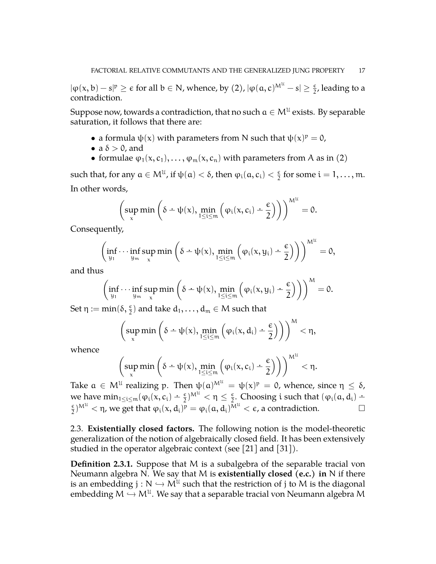$|\varphi(x,b)-s|^p\geq \epsilon$  for all  $b\in \mathbb{N}$ , whence, by  $(2)$ ,  $|\varphi(a,c)^{M^{\mathfrak{U}}}-s|\geq \frac{\epsilon}{2}$  $\frac{\epsilon}{2}$ , leading to a contradiction.

Suppose now, towards a contradiction, that no such  $\mathfrak{a}\in\mathsf{M}^{\mathfrak{U}}$  exists. By separable saturation, it follows that there are:

- a formula  $\psi(x)$  with parameters from N such that  $\psi(x)^p = 0$ ,
- a  $\delta > 0$ , and
- formulae  $\varphi_1(x, c_1), \ldots, \varphi_m(x, c_n)$  with parameters from A as in (2)

such that, for any  $a \in M^{\mathfrak{U}}$ , if  $\psi(\mathfrak{a}) < \delta$ , then  $\varphi_i(\mathfrak{a}, \mathfrak{c}_i) < \frac{\epsilon}{2}$  $\frac{\epsilon}{2}$  for some  $i = 1, \ldots, m$ . In other words,

$$
\left(\sup_x\min\left(\delta\div\psi(x),\min_{1\leq i\leq m}\left(\phi_i(x,c_i)\div\frac{\varepsilon}{2}\right)\right)\right)^{M^{\mathcal U}}=0.
$$

Consequently,

$$
\left(\inf_{y_1}\cdots\inf_{y_m}\sup_x\min\left(\delta\div\psi(x),\min_{1\leq i\leq m}\left(\phi_i(x,y_i)\div\frac{\varepsilon}{2}\right)\right)\right)^{M^{\mathcal U}}=0,
$$

and thus

$$
\left(\inf_{y_1}\cdots\inf_{y_m}\sup_x\min\left(\delta-\psi(x),\min_{1\leq i\leq m}\left(\phi_i(x,y_i)-\frac{\varepsilon}{2}\right)\right)\right)^M=0.
$$

Set  $\eta := \min(\delta, \frac{\epsilon}{2})$  and take  $d_1, \ldots, d_m \in \mathcal{M}$  such that

$$
\left(\sup_x \min\left(\delta \div \psi(x), \min_{1 \leq i \leq m} \left(\phi_i(x, d_i) \div \frac{\varepsilon}{2}\right)\right)\right)^M < \eta,
$$

whence

$$
\left(\sup_x\min\left(\delta\div\psi(x),\min_{1\leq i\leq m}\left(\phi_i(x,c_i)\div\frac{\varepsilon}{2}\right)\right)\right)^{M^{\mathcal U}}<\eta.
$$

Take  $a \in M^{\mathfrak{U}}$  realizing p. Then  $\psi(a)^{M^{\mathfrak{U}}} = \psi(x)^{\mathfrak{p}} = 0$ , whence, since  $\eta \leq \delta$ , we have  $\min_{1 \le i \le m} (\varphi_i(x, c_i) - \frac{\epsilon}{2})^{M^{\mathcal{U}}} < \eta \le \frac{\epsilon}{2}$  $\frac{e}{2}$ . Choosing i such that  $(\varphi_i(a, d_i) \epsilon$  $\frac{\epsilon}{2}$ )<sup>Mu</sup>  $<$   $\eta$ , we get that  $\varphi_i(x, d_i)^p = \varphi_i(a, d_i)^{M^U} < \epsilon$ , a contradiction.

<span id="page-16-0"></span>2.3. **Existentially closed factors.** The following notion is the model-theoretic generalization of the notion of algebraically closed field. It has been extensively studied in the operator algebraic context (see [\[21\]](#page-51-16) and [\[31\]](#page-51-17)).

**Definition 2.3.1.** Suppose that M is a subalgebra of the separable tracial von Neumann algebra N. We say that M is **existentially closed (e.c.) in** N if there is an embedding  $j : N \hookrightarrow M^{\mathcal{U}}$  such that the restriction of j to M is the diagonal<br>such a direction  $M \hookrightarrow M^{\mathcal{U}}$ . We see that a separable tracial van Neumann also hus M embedding  $M \hookrightarrow M^{\mathfrak{U}}$ . We say that a separable tracial von Neumann algebra M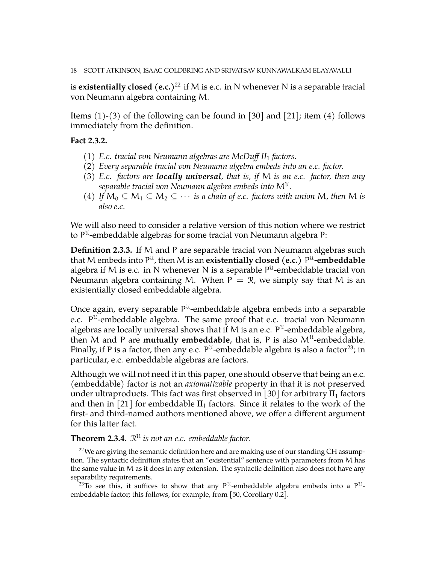#### 18 SCOTT ATKINSON, ISAAC GOLDBRING AND SRIVATSAV KUNNAWALKAM ELAYAVALLI

is **existentially closed** (e.c.)<sup>[22](#page-17-0)</sup> if M is e.c. in N whenever N is a separable tracial von Neumann algebra containing M.

Items  $(1)-(3)$  of the following can be found in [\[30\]](#page-51-18) and [\[21\]](#page-51-16); item  $(4)$  follows immediately from the definition.

## <span id="page-17-2"></span>**Fact 2.3.2.**

- (1) *E.c. tracial von Neumann algebras are McDuff II*<sup>1</sup> *factors.*
- (2) *Every separable tracial von Neumann algebra embeds into an e.c. factor.*
- (3) *E.c. factors are locally universal, that is, if* M *is an e.c. factor, then any* separable tracial von Neumann algebra embeds into  $\mathsf{M}^\mathfrak{U}.$
- (4) *If*  $M_0 \subseteq M_1 \subseteq M_2 \subseteq \cdots$  *is a chain of e.c. factors with union* M, then M *is also e.c.*

We will also need to consider a relative version of this notion where we restrict to  $P^{\mathfrak{U}}$ -embeddable algebras for some tracial von Neumann algebra P:

**Definition 2.3.3.** If M and P are separable tracial von Neumann algebras such that M embeds into P<sup>U</sup>, then M is an **existentially closed (e.c.)** P<sup>U</sup>-e**mbeddable** algebra if M is e.c. in N whenever N is a separable  $P^{\mathfrak{U}}$ -embeddable tracial von Neumann algebra containing M. When  $P = \mathcal{R}$ , we simply say that M is an existentially closed embeddable algebra.

Once again, every separable  $P^{\mathfrak{U}}$ -embeddable algebra embeds into a separable e.c. P<sup>u-</sup>embeddable algebra. The same proof that e.c. tracial von Neumann algebras are locally universal shows that if M is an e.c.  $P^{\mathfrak{U}}$ -embeddable algebra, then M and P are **mutually embeddable**, that is, P is also  $M^{\mathcal{U}}$ -embeddable. Finally, if P is a factor, then any e.c.  $P^{\mathfrak{U}}$ -embeddable algebra is also a factor<sup>[23](#page-17-1)</sup>; in particular, e.c. embeddable algebras are factors.

Although we will not need it in this paper, one should observe that being an e.c. (embeddable) factor is not an *axiomatizable* property in that it is not preserved under ultraproducts. This fact was first observed in [\[30\]](#page-51-18) for arbitrary  $II_1$  factors and then in [\[21\]](#page-51-16) for embeddable  $II_1$  factors. Since it relates to the work of the first- and third-named authors mentioned above, we offer a different argument for this latter fact.

**Theorem 2.3.4.**  $\mathbb{R}^{\mathbb{U}}$  is not an e.c. embeddable factor.

<span id="page-17-0"></span> $22$ We are giving the semantic definition here and are making use of our standing CH assumption. The syntactic definition states that an "existential" sentence with parameters from M has the same value in M as it does in any extension. The syntactic definition also does not have any separability requirements.

<span id="page-17-1"></span><sup>23</sup>To see this, it suffices to show that any  $P^{\mathcal{U}}$ -embeddable algebra embeds into a  $P^{\mathcal{U}}$ embeddable factor; this follows, for example, from [\[50,](#page-52-11) Corollary 0.2].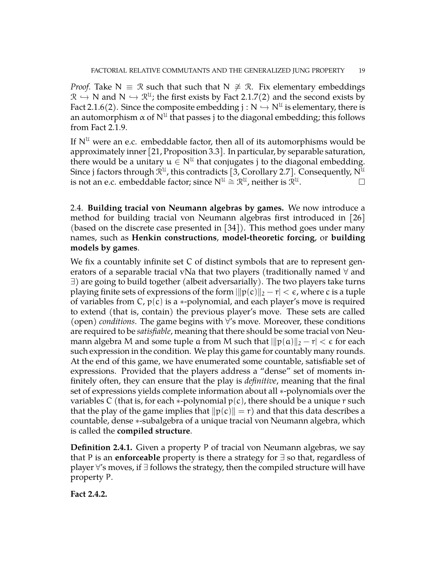*Proof.* Take N  $\equiv \Re$  such that such that N  $\neq \Re$ . Fix elementary embeddings  $\mathcal{R} \hookrightarrow N$  and  $N \hookrightarrow \mathcal{R}^{u}$ ; the first exists by Fact [2.1.7\(](#page-13-1)2) and the second exists by Fact [2.1.6\(](#page-13-0)2). Since the composite embedding  $j : N \hookrightarrow N^{\mathcal{U}}$  is elementary, there is an automorphism  $\alpha$  of  $\mathsf{N}^{\mathfrak{U}}$  that passes j to the diagonal embedding; this follows from Fact [2.1.9.](#page-14-1)

If  $N^{\mathfrak{U}}$  were an e.c. embeddable factor, then all of its automorphisms would be approximately inner [\[21,](#page-51-16) Proposition 3.3]. In particular, by separable saturation, there would be a unitary  $u \in N^{\mathfrak{U}}$  that conjugates j to the diagonal embedding. Since j factors through  $\mathcal{R}^{\mathfrak{U}}$ , this contradicts [\[3,](#page-50-1) Corollary 2.7]. Consequently, N $^{\mathfrak{U}}$ is not an e.c. embeddable factor; since  $N^{\mathfrak{U}}\cong \mathcal{R}^{\mathfrak{U}}$ , neither is  $\mathcal{R}^{\mathfrak{U}}$ .

<span id="page-18-0"></span>2.4. **Building tracial von Neumann algebras by games.** We now introduce a method for building tracial von Neumann algebras first introduced in  $\vert 26 \vert$ (based on the discrete case presented in [\[34\]](#page-52-12)). This method goes under many names, such as **Henkin constructions**, **model-theoretic forcing**, or **building models by games**.

We fix a countably infinite set C of distinct symbols that are to represent generators of a separable tracial vNa that two players (traditionally named  $\forall$  and ∃) are going to build together (albeit adversarially). The two players take turns playing finite sets of expressions of the form  $\|p(c)\|_2 - r| < \epsilon$ , where c is a tuple of variables from C,  $p(c)$  is a  $\ast$ -polynomial, and each player's move is required to extend (that is, contain) the previous player's move. These sets are called (open) *conditions*. The game begins with ∀'s move. Moreover, these conditions are required to be *satisfiable*, meaning that there should be some tracial von Neumann algebra M and some tuple a from M such that  $||p(a)||_2 - r| < \epsilon$  for each such expression in the condition. We play this game for countably many rounds. At the end of this game, we have enumerated some countable, satisfiable set of expressions. Provided that the players address a "dense" set of moments infinitely often, they can ensure that the play is *definitive*, meaning that the final set of expressions yields complete information about all ∗-polynomials over the variables C (that is, for each  $*$ -polynomial  $p(c)$ , there should be a unique r such that the play of the game implies that  $||p(c)|| = r$  and that this data describes a countable, dense ∗-subalgebra of a unique tracial von Neumann algebra, which is called the **compiled structure**.

**Definition 2.4.1.** Given a property P of tracial von Neumann algebras, we say that P is an **enforceable** property is there a strategy for ∃ so that, regardless of player ∀'s moves, if ∃ follows the strategy, then the compiled structure will have property P.

**Fact 2.4.2.**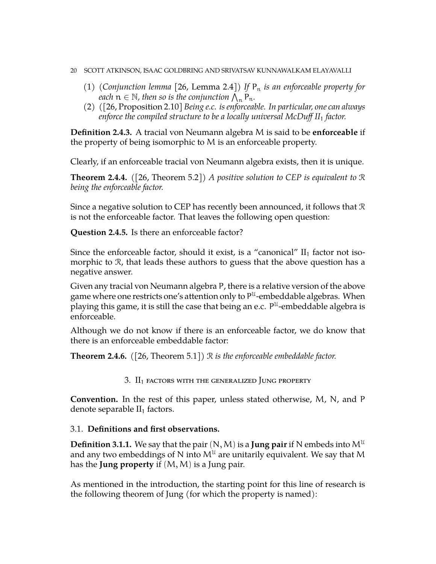- 20 SCOTT ATKINSON, ISAAC GOLDBRING AND SRIVATSAV KUNNAWALKAM ELAYAVALLI
	- (1) *(Conjunction lemma* [\[26,](#page-51-19) Lemma 2.4]) If  $P_n$  *is an enforceable property for each*  $n \in \mathbb{N}$ , then so is the conjunction  $\bigwedge_{n=1}^{\infty} P_n$ .
	- (2) *(*[\[26,](#page-51-19) Proposition 2.10] *Being e.c. is enforceable. In particular, one can always enforce the compiled structure to be a locally universal McDuff II*<sup>1</sup> *factor.*

**Definition 2.4.3.** A tracial von Neumann algebra M is said to be **enforceable** if the property of being isomorphic to M is an enforceable property.

Clearly, if an enforceable tracial von Neumann algebra exists, then it is unique.

**Theorem 2.4.4.** *(*[\[26,](#page-51-19) Theorem 5.2]*) A positive solution to CEP is equivalent to* R *being the enforceable factor.*

Since a negative solution to CEP has recently been announced, it follows that R is not the enforceable factor. That leaves the following open question:

**Question 2.4.5.** Is there an enforceable factor?

Since the enforceable factor, should it exist, is a "canonical"  $II<sub>1</sub>$  factor not isomorphic to R, that leads these authors to guess that the above question has a negative answer.

Given any tracial von Neumann algebra P, there is a relative version of the above game where one restricts one's attention only to  $\mathsf{P}^{\mathfrak{U}}$ -embeddable algebras. When playing this game, it is still the case that being an e.c.  $\mathsf{P}^{\mathfrak{U}}$ -embeddable algebra is enforceable.

Although we do not know if there is an enforceable factor, we do know that there is an enforceable embeddable factor:

<span id="page-19-0"></span>**Theorem 2.4.6.** *(*[\[26,](#page-51-19) Theorem 5.1]*)* R *is the enforceable embeddable factor.*

3.  $II_1$  factors with the generalized Jung property

**Convention.** In the rest of this paper, unless stated otherwise, M, N, and P denote separable  $II_1$  factors.

# <span id="page-19-1"></span>3.1. **Definitions and first observations.**

**Definition 3.1.1.** We say that the pair  $(N, M)$  is a **Jung pair** if N embeds into  $M^{\mathfrak{U}}$ and any two embeddings of N into  $M^{\mathfrak{U}}$  are unitarily equivalent. We say that M has the **Jung property** if (M,M) is a Jung pair.

As mentioned in the introduction, the starting point for this line of research is the following theorem of Jung (for which the property is named):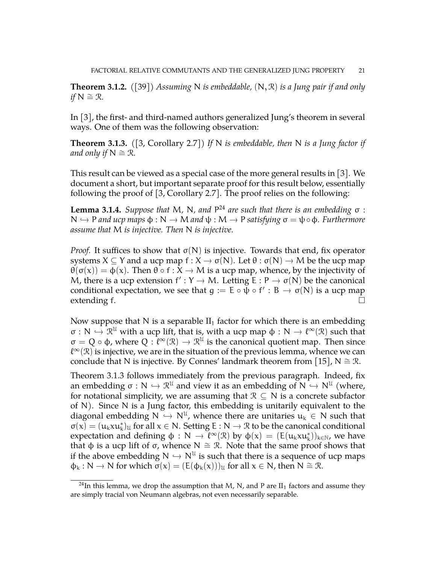**Theorem 3.1.2.** *(*[\[39\]](#page-52-1)*) Assuming* N *is embeddable,* (N, R) *is a Jung pair if and only if*  $N ≅ ∅$ *R.* 

In [\[3\]](#page-50-1), the first- and third-named authors generalized Jung's theorem in several ways. One of them was the following observation:

<span id="page-20-1"></span>**Theorem 3.1.3.** *(*[\[3,](#page-50-1) Corollary 2.7]*) If* N *is embeddable, then* N *is a Jung factor if and only if*  $N \cong \mathcal{R}$ *.* 

This result can be viewed as a special case of the more general results in [\[3\]](#page-50-1). We document a short, but important separate proof for this result below, essentially following the proof of [\[3,](#page-50-1) Corollary 2.7]. The proof relies on the following:

**Lemma 3.1.4.** *Suppose that* M*,* N*, and* P [24](#page-20-0) *are such that there is an embedding* σ : <sup>N</sup> ,<sup>→</sup> <sup>P</sup> *and ucp maps* <sup>φ</sup> : <sup>N</sup> <sup>→</sup> <sup>M</sup> *and* <sup>ψ</sup> : <sup>M</sup> <sup>→</sup> <sup>P</sup> *satisfying* <sup>σ</sup> <sup>=</sup> <sup>ψ</sup>◦φ*. Furthermore assume that* M *is injective. Then* N *is injective.*

*Proof.* It suffices to show that  $\sigma(N)$  is injective. Towards that end, fix operator systems  $X \subseteq Y$  and a ucp map  $f : X \to \sigma(N)$ . Let  $\theta : \sigma(N) \to M$  be the ucp map  $\theta(\sigma(x)) = \phi(x)$ . Then  $\theta \circ f : X \to M$  is a ucp map, whence, by the injectivity of M, there is a ucp extension  $f' : Y \to M$ . Letting  $E : P \to \sigma(N)$  be the canonical<br>can ditional expectation, we see that  $\varepsilon_{\text{A}} : F \to \sigma(N)$  is a sum manner. conditional expectation, we see that  $g := E \circ \bar{\psi} \circ f' : B \to \sigma(N)$  is a ucp map extending f.  $\Box$ 

Now suppose that N is a separable  $II_1$  factor for which there is an embedding  $\sigma : N \hookrightarrow \mathbb{R}^{\mathcal{U}}$  with a ucp lift, that is, with a ucp map  $\phi : N \to \ell^{\infty}(\mathcal{R})$  such that  $\sigma = Q \circ \phi$ , where  $Q : \ell^{\infty}(\mathcal{R}) \to \mathcal{R}^{\mathcal{U}}$  is the canonical quotient map. Then since  $\ell^\infty(\mathfrak{R})$  is injective, we are in the situation of the previous lemma, whence we can conclude that N is injective. By Connes' landmark theorem from [\[15\]](#page-51-0), N  $\cong \mathcal{R}$ .

Theorem [3.1.3](#page-20-1) follows immediately from the previous paragraph. Indeed, fix an embedding  $\sigma : N \hookrightarrow \mathbb{R}^{\mathcal{U}}$  and view it as an embedding of  $N \hookrightarrow N^{\mathcal{U}}$  (where, for notational simplicity, we are assuming that  $\mathcal{D} \subseteq N$  is a sequente subfactory for notational simplicity, we are assuming that  $\mathcal{R} \subseteq N$  is a concrete subfactor of N). Since N is a Jung factor, this embedding is unitarily equivalent to the diagonal embedding  $N \hookrightarrow N^{\mathcal{U}}$ , whence there are unitaries  $u_k \in N$  such that  $\pi(x) = (u, uu^*)$ , for all  $u \in N$ . Setting E,  $N \mapsto \mathcal{D}$  to be the conomical conditional  $\sigma(x) = (u_k x u_k^*)_{\mathfrak{U}}$  for all  $x \in \mathbb{N}$ . Setting  $E : \mathbb{N} \to \mathcal{R}$  to be the canonical conditional expectation and defining  $\phi : N \to \ell^{\infty}(\mathcal{R})$  by  $\phi(x) = (E(u_k x u_k^*))_{k \in \mathbb{N}}$ , we have that φ is a ucp lift of  $\sigma$ , whence N  $\cong \mathcal{R}$ . Note that the same proof shows that if the above embedding  $N \hookrightarrow N^U$  is such that there is a sequence of ucp maps  $A \times N$ ,  $N$  for which  $\pi(x) = (E(A, (x)))$ , for all  $x \in N$ , then  $N \simeq \mathcal{R}$  $\Phi_k : N \to N$  for which  $\sigma(x) = (E(\Phi_k(x)))_U$  for all  $x \in N$ , then  $N \cong \mathcal{R}$ .

<span id="page-20-0"></span><sup>&</sup>lt;sup>24</sup>In this lemma, we drop the assumption that M, N, and P are  $II_1$  factors and assume they are simply tracial von Neumann algebras, not even necessarily separable.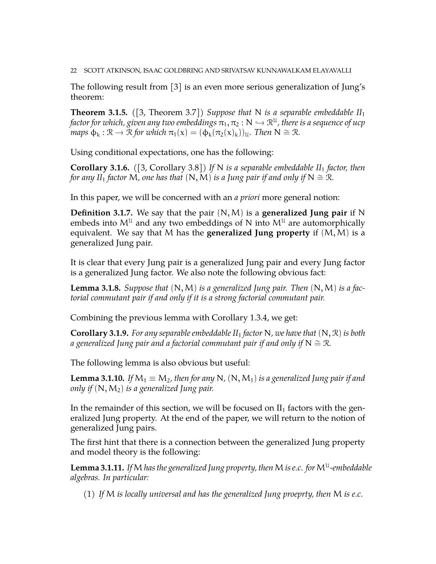22 SCOTT ATKINSON, ISAAC GOLDBRING AND SRIVATSAV KUNNAWALKAM ELAYAVALLI

The following result from [\[3\]](#page-50-1) is an even more serious generalization of Jung's theorem:

<span id="page-21-2"></span>**Theorem 3.1.5.** *(*[\[3,](#page-50-1) Theorem 3.7]*) Suppose that* N *is a separable embeddable II*<sup>1</sup> *factor for which, given any two embeddings*  $\pi_1, \pi_2 : N \hookrightarrow \mathbb{R}^{\mathfrak{U}}$ , there is a sequence of ucp<br>wave  $\phi \in \mathbb{R}^{\mathfrak{U}}$ ,  $\mathbb{R}^{\mathfrak{U}}$  for which  $\pi(\omega) \in (\phi \circ (\pi(\omega)))$ . Then  $N \cong \mathbb{R}$ *maps*  $\phi_k : \mathcal{R} \to \mathcal{R}$  *for which*  $\pi_1(x) = (\phi_k(\pi_2(x)_k))_u$ *. Then*  $N \cong \mathcal{R}$ *.* 

Using conditional expectations, one has the following:

**Corollary 3.1.6.** *(*[\[3,](#page-50-1) Corollary 3.8]*) If* N *is a separable embeddable II*<sup>1</sup> *factor, then for any II*<sub>1</sub> *factor* M, *one has that*  $(N, M)$  *is a Jung pair if and only if*  $N \cong \mathbb{R}$ *.* 

In this paper, we will be concerned with an *a priori* more general notion:

**Definition 3.1.7.** We say that the pair (N,M) is a **generalized Jung pair** if N embeds into  $M^{\mathfrak{U}}$  and any two embeddings of N into  $M^{\mathfrak{U}}$  are automorphically equivalent. We say that M has the **generalized Jung property** if (M,M) is a generalized Jung pair.

It is clear that every Jung pair is a generalized Jung pair and every Jung factor is a generalized Jung factor. We also note the following obvious fact:

<span id="page-21-3"></span>**Lemma 3.1.8.** *Suppose that* (N,M) *is a generalized Jung pair. Then* (N,M) *is a factorial commutant pair if and only if it is a strong factorial commutant pair.*

Combining the previous lemma with Corollary [1.3.4,](#page-10-2) we get:

<span id="page-21-1"></span>**Corollary 3.1.9.** *For any separable embeddable II*<sup>1</sup> *factor* N*, we have that* (N, R) *is both a generalized Jung pair and a factorial commutant pair if and only if* N  $\cong$  R.

The following lemma is also obvious but useful:

<span id="page-21-0"></span>**Lemma 3.1.10.** *If*  $M_1 \equiv M_2$ , then for any N,  $(N, M_1)$  is a generalized Jung pair if and *only if* (N,M2) *is a generalized Jung pair.*

In the remainder of this section, we will be focused on  $II_1$  factors with the generalized Jung property. At the end of the paper, we will return to the notion of generalized Jung pairs.

The first hint that there is a connection between the generalized Jung property and model theory is the following:

Lemma 3.1.11. If M has the generalized Jung property, then M is e.c. for M<sup>u</sup>-embeddable *algebras. In particular:*

(1) *If* M *is locally universal and has the generalized Jung proeprty, then* M *is e.c.*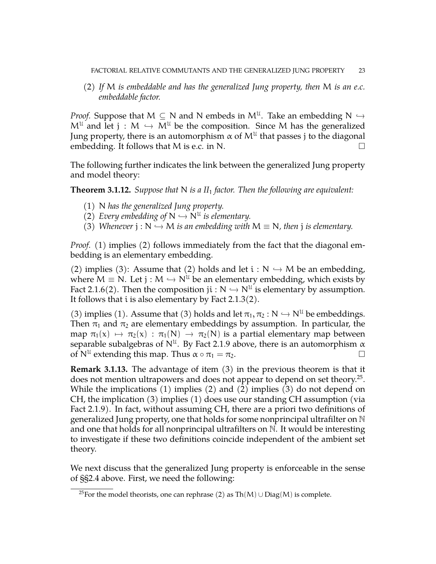(2) *If* M *is embeddable and has the generalized Jung property, then* M *is an e.c. embeddable factor.*

*Proof.* Suppose that  $M \subseteq N$  and N embeds in  $M^U$ . Take an embedding  $N \hookrightarrow M^U$  and let  $M \hookrightarrow M^U$  be the conventional  $M^{\mathfrak{U}}$  and let  $j : M \hookrightarrow M^{\mathfrak{U}}$  be the composition. Since M has the generalized Jung property, there is an automorphism  $\alpha$  of  $\mathsf{M}^{\mathfrak{U}}$  that passes  $\mathfrak j$  to the diagonal embedding. It follows that M is e.c. in N.  $\Box$ 

The following further indicates the link between the generalized Jung property and model theory:

**Theorem 3.1.12.** *Suppose that* N *is a II*<sup>1</sup> *factor. Then the following are equivalent:*

- (1) N *has the generalized Jung property.*
- (2) *Every embedding of*  $N \hookrightarrow N^U$  *is elementary.*<br>(2) *Mb argues i* a  $N \times M$  *is an authorities with*
- (3) *Whenever*  $j : N \hookrightarrow M$  *is an embedding with*  $M \equiv N$ *, then*  $j$  *is elementary.*

*Proof.* (1) implies (2) follows immediately from the fact that the diagonal embedding is an elementary embedding.

(2) implies (3): Assume that (2) holds and let  $i : N \hookrightarrow M$  be an embedding, where  $M \equiv N$ . Let j :  $M \hookrightarrow N^{\mathfrak{U}}$  be an elementary embedding, which exists by Fact [2.1.6\(](#page-13-0)2). Then the composition  $ji : N \hookrightarrow N^{\mathcal{U}}$  is elementary by assumption.<br>It follows that i is also alomantary by East 2.1.2(2). It follows that  $i$  is also elementary by Fact [2.1.3\(](#page-12-3)2).

(3) implies (1). Assume that (3) holds and let  $\pi_1, \pi_2 : N \hookrightarrow N^{\mathfrak{U}}$  be embeddings. Then  $\pi_1$  and  $\pi_2$  are elementary embeddings by assumption. In particular, the map  $\pi_1(x) \mapsto \pi_2(x) : \pi_1(N) \to \pi_2(N)$  is a partial elementary map between separable subalgebras of  $N^{\mathfrak{U}}$ . By Fact [2.1.9](#page-14-1) above, there is an automorphism  $\alpha$ of  $N^{\mathfrak{U}}$  extending this map. Thus  $\alpha \circ \pi_1 = \pi_2$ .

**Remark 3.1.13.** The advantage of item (3) in the previous theorem is that it does not mention ultrapowers and does not appear to depend on set theory. $^{25}$  $^{25}$  $^{25}$ . While the implications (1) implies (2) and (2) implies (3) do not depend on CH, the implication (3) implies (1) does use our standing CH assumption (via Fact [2.1.9\)](#page-14-1). In fact, without assuming CH, there are a priori two definitions of generalized Jung property, one that holds for some nonprincipal ultrafilter on  $\mathbb N$ and one that holds for all nonprincipal ultrafilters on  $\mathbb N$ . It would be interesting to investigate if these two definitions coincide independent of the ambient set theory.

We next discuss that the generalized Jung property is enforceable in the sense of §[§2.4](#page-18-0) above. First, we need the following:

<span id="page-22-0"></span><sup>&</sup>lt;sup>25</sup>For the model theorists, one can rephrase (2) as Th(M) ∪ Diag(M) is complete.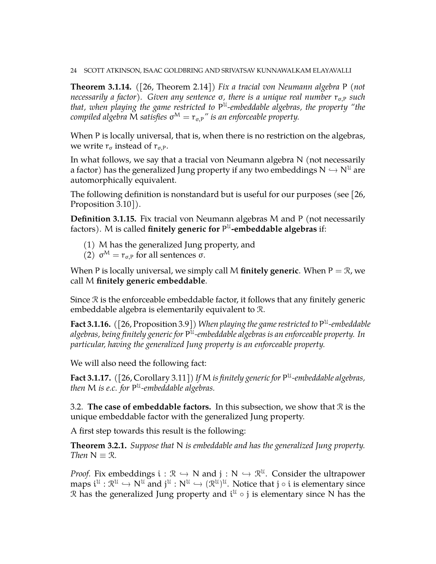24 SCOTT ATKINSON, ISAAC GOLDBRING AND SRIVATSAV KUNNAWALKAM ELAYAVALLI

**Theorem 3.1.14.** *(*[\[26,](#page-51-19) Theorem 2.14]*) Fix a tracial von Neumann algebra* P *(not necessarily a factor*). Given any sentence σ, there is a unique real number  $r_{σ,P}$  such *that, when playing the game restricted to* P U *-embeddable algebras, the property "the compiled algebra* M *satisfies* σ <sup>M</sup> = rσ,P*" is an enforceable property.*

When P is locally universal, that is, when there is no restriction on the algebras, we write  $r_{\sigma}$  instead of  $r_{\sigma,P}$ .

In what follows, we say that a tracial von Neumann algebra N (not necessarily a factor) has the generalized Jung property if any two embeddings  $N \hookrightarrow N^{\mathfrak{U}}$  are automorphically equivalent.

The following definition is nonstandard but is useful for our purposes (see [\[26,](#page-51-19) Proposition 3.10<sup>[]</sup>).

**Definition 3.1.15.** Fix tracial von Neumann algebras M and P (not necessarily factors). M is called **finitely generic for** P U **-embeddable algebras** if:

- (1) M has the generalized Jung property, and
- (2)  $σ<sup>M</sup> = r<sub>σ,P</sub>$  for all sentences  $σ$ .

When P is locally universal, we simply call M **finitely generic**. When  $P = \mathcal{R}$ , we call M **finitely generic embeddable**.

Since  $\Re$  is the enforceable embeddable factor, it follows that any finitely generic embeddable algebra is elementarily equivalent to R.

<span id="page-23-2"></span>**Fact 3.1.16.** *(*[\[26,](#page-51-19) Proposition 3.9]*) When playing the game restricted to* P U *-embeddable algebras, being finitely generic for* P U *-embeddable algebras is an enforceable property. In particular, having the generalized Jung property is an enforceable property.*

We will also need the following fact:

<span id="page-23-3"></span>**Fact 3.1.17.** *(*[\[26,](#page-51-19) Corollary 3.11]*) If* M *is finitely generic for* P U *-embeddable algebras, then* M *is e.c. for* P U *-embeddable algebras.*

<span id="page-23-0"></span>3.2. **The case of embeddable factors.** In this subsection, we show that R is the unique embeddable factor with the generalized Jung property.

A first step towards this result is the following:

<span id="page-23-1"></span>**Theorem 3.2.1.** *Suppose that* N *is embeddable and has the generalized Jung property. Then*  $N \equiv \mathcal{R}$ *.* 

*Proof.* Fix embeddings  $i : \mathbb{R} \to \mathbb{N}$  and  $j : \mathbb{N} \to \mathbb{R}^{\mathcal{U}}$ . Consider the ultrapower maps  $i^{\mathfrak{U}}$ :  $\mathcal{R}^{\mathfrak{U}} \hookrightarrow N^{\mathfrak{U}}$  and  $j^{\mathfrak{U}}$ :  $N^{\mathfrak{U}} \hookrightarrow (\mathcal{R}^{\mathfrak{U}})^{\mathfrak{U}}$ . Notice that  $j \circ i$  is elementary since R has the generalized Jung property and  $i^{\mathfrak{U}}\circ j$  is elementary since N has the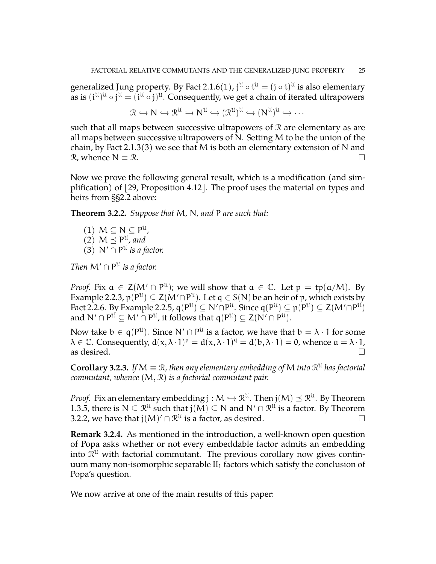generalized Jung property. By Fact [2.1.6\(](#page-13-0)1), j $^{\mathfrak{U}}\circ \mathfrak{i}^{\mathfrak{U}}=(\mathfrak{j}\circ \mathfrak{i})^{\mathfrak{U}}$  is also elementary as is  $(\mathfrak{i}^{\mathfrak{U}})^{\mathfrak{U}}\circ\mathfrak{j}^{\mathfrak{U}}=(\mathfrak{i}^{\mathfrak{U}}\circ\mathfrak{j})^{\mathfrak{U}}.$  Consequently, we get a chain of iterated ultrapowers

$$
\mathcal{R} \hookrightarrow N \hookrightarrow \mathcal{R}^{\mathcal{U}} \hookrightarrow N^{\mathcal{U}} \hookrightarrow (\mathcal{R}^{\mathcal{U}})^{\mathcal{U}} \hookrightarrow (N^{\mathcal{U}})^{\mathcal{U}} \hookrightarrow \cdots
$$

such that all maps between successive ultrapowers of  $\mathcal R$  are elementary as are all maps between successive ultrapowers of N. Setting M to be the union of the chain, by Fact [2.1.3\(](#page-12-3)3) we see that M is both an elementary extension of N and  $\mathcal{R}$ , whence N  $\equiv \mathcal{R}$ .

Now we prove the following general result, which is a modification (and simplification) of [\[29,](#page-51-6) Proposition 4.12]. The proof uses the material on types and heirs from §[§2.2](#page-14-0) above:

<span id="page-24-0"></span>**Theorem 3.2.2.** *Suppose that* M*,* N*, and* P *are such that:*

 $(1)$   $M \subseteq N \subseteq P^{\mathfrak{U}}$ ,  $(2)$   $M \preceq P^{\mathfrak{U}}$ , and (3)  $N' \cap P^{\mathfrak{U}}$  *is a factor.* 

*Then*  $M' \cap P^{\mathfrak{U}}$  *is a factor.* 

*Proof.* Fix  $a \in Z(M' \cap P^{\mathfrak{U}})$ ; we will show that  $a \in \mathbb{C}$ . Let  $p = tp(a/M)$ . By Example [2.2.3,](#page-14-2)  $p(P^{\mathfrak{U}})\subseteq \mathsf{Z}(M'\cap P^{\mathfrak{U}}).$  Let  $\mathfrak{q}\in \mathsf{S}(\mathsf{N})$  be an heir of  $\mathfrak{p}$ , which exists by Fact [2.2.6.](#page-15-0) By Example [2.2.5,](#page-15-1)  $\mathsf{q}(\mathsf{P}^{\mathfrak{U}})\subseteq \mathsf{N}'\cap \mathsf{P}^{\mathfrak{U}}$ . Since  $\mathsf{q}(\mathsf{P}^{\mathfrak{U}})\subseteq \mathsf{p}(\mathsf{P}^{\mathfrak{U}})\subseteq \mathsf{Z}(\mathsf{M}'\cap \mathsf{P}^{\mathfrak{U}})$ and  $\mathsf{N}'\cap\mathsf{P}^{\mathfrak{U}}\subseteq\mathsf{M}'\cap\mathsf{P}^{\mathfrak{U}},$  it follows that  $\mathsf{q}(\mathsf{P}^{\mathfrak{U}})\subseteq\mathsf{Z}(\mathsf{N}'\cap\mathsf{P}^{\mathfrak{U}}).$ 

Now take  $b \in q(P^{\mathfrak{U}})$ . Since  $\mathsf{N}' \cap P^{\mathfrak{U}}$  is a factor, we have that  $b = \lambda \cdot 1$  for some  $\lambda \in \mathbb{C}$ . Consequently,  $d(x, \lambda \cdot 1)^p = d(x, \lambda \cdot 1)^q = d(b, \lambda \cdot 1) = 0$ , whence  $a = \lambda \cdot 1$ , as desired.  $\Box$ 

<span id="page-24-1"></span>**Corollary 3.2.3.** If  $M \equiv \mathcal{R}$ , then any elementary embedding of  $M$  into  $\mathcal{R}^{\mathfrak{U}}$  has factorial *commutant, whence* (M, R) *is a factorial commutant pair.*

*Proof.* Fix an elementary embedding  $j : M \hookrightarrow \mathbb{R}^{\mathfrak{U}}$ . Then  $j(M) \preceq \mathbb{R}^{\mathfrak{U}}$ . By Theorem [1.3.5,](#page-10-3) there is  $N \subseteq \mathcal{R}^{\mathcal{U}}$  such that  $j(M) \subseteq N$  and  $N' \cap \mathcal{R}^{\mathcal{U}}$  is a factor. By Theorem [3.2.2,](#page-24-0) we have that  $j(M)' \cap \mathcal{R}^{\mathcal{U}}$  is a factor, as desired.

**Remark 3.2.4.** As mentioned in the introduction, a well-known open question of Popa asks whether or not every embeddable factor admits an embedding into  $\bar{\mathcal{R}}^{\mathfrak{U}}$  with factorial commutant. The previous corollary now gives continuum many non-isomorphic separable  $II<sub>1</sub>$  factors which satisfy the conclusion of Popa's question.

We now arrive at one of the main results of this paper: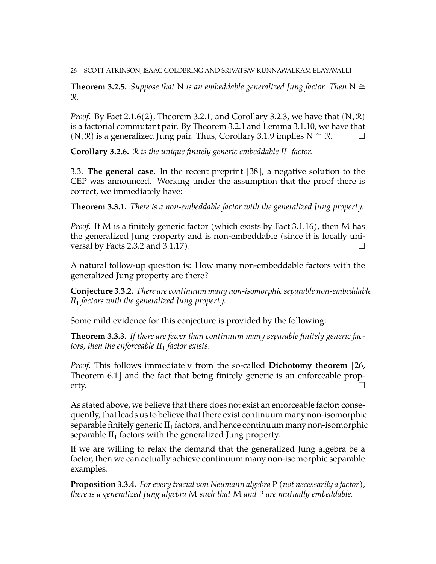26 SCOTT ATKINSON, ISAAC GOLDBRING AND SRIVATSAV KUNNAWALKAM ELAYAVALLI

<span id="page-25-2"></span>**Theorem 3.2.5.** *Suppose that* N *is an embeddable generalized Jung factor. Then*  $N \cong$ R*.*

*Proof.* By Fact [2.1.6\(](#page-13-0)2), Theorem [3.2.1,](#page-23-1) and Corollary [3.2.3,](#page-24-1) we have that  $(N, \mathcal{R})$ is a factorial commutant pair. By Theorem [3.2.1](#page-23-1) and Lemma [3.1.10,](#page-21-0) we have that  $(N, \mathcal{R})$  is a generalized Jung pair. Thus, Corollary [3.1.9](#page-21-1) implies N  $\cong \mathcal{R}$ .  $\Box$ 

**Corollary 3.2.6.** R *is the unique finitely generic embeddable II*<sup>1</sup> *factor.*

<span id="page-25-0"></span>3.3. **The general case.** In the recent preprint [\[38\]](#page-52-0), a negative solution to the CEP was announced. Working under the assumption that the proof there is correct, we immediately have:

<span id="page-25-1"></span>**Theorem 3.3.1.** *There is a non-embeddable factor with the generalized Jung property.*

*Proof.* If M is a finitely generic factor (which exists by Fact [3.1.16\)](#page-23-2), then M has the generalized Jung property and is non-embeddable (since it is locally uni-versal by Facts [2.3.2](#page-17-2) and [3.1.17\)](#page-23-3).  $\Box$ 

A natural follow-up question is: How many non-embeddable factors with the generalized Jung property are there?

**Conjecture 3.3.2.** *There are continuum many non-isomorphic separable non-embeddable II*<sup>1</sup> *factors with the generalized Jung property.*

Some mild evidence for this conjecture is provided by the following:

**Theorem 3.3.3.** *If there are fewer than continuum many separable finitely generic factors, then the enforceable II*<sup>1</sup> *factor exists.*

*Proof.* This follows immediately from the so-called **Dichotomy theorem** [\[26,](#page-51-19) Theorem 6.1] and the fact that being finitely generic is an enforceable property.  $\Box$ 

As stated above, we believe that there does not exist an enforceable factor; consequently, that leads us to believe that there exist continuum many non-isomorphic separable finitely generic  $II_1$  factors, and hence continuum many non-isomorphic separable  $II_1$  factors with the generalized Jung property.

If we are willing to relax the demand that the generalized Jung algebra be a factor, then we can actually achieve continuum many non-isomorphic separable examples:

**Proposition 3.3.4.** *For every tracial von Neumann algebra* P *(not necessarily a factor), there is a generalized Jung algebra* M *such that* M *and* P *are mutually embeddable.*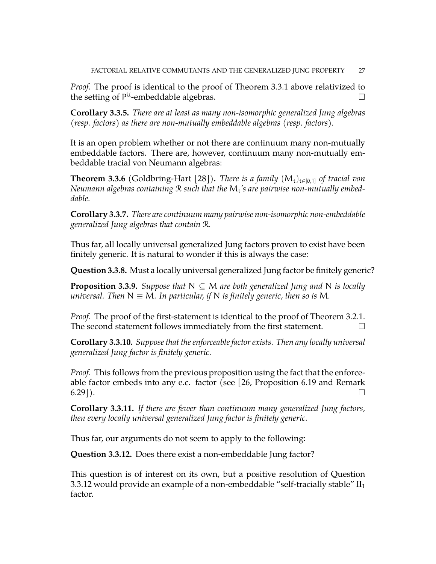*Proof.* The proof is identical to the proof of Theorem [3.3.1](#page-25-1) above relativized to the setting of  $P^{\mathfrak{U}}$ -embeddable algebras.

**Corollary 3.3.5.** *There are at least as many non-isomorphic generalized Jung algebras (resp. factors) as there are non-mutually embeddable algebras (resp. factors).*

It is an open problem whether or not there are continuum many non-mutually embeddable factors. There are, however, continuum many non-mutually embeddable tracial von Neumann algebras:

**Theorem 3.3.6** (Goldbring-Hart [\[28\]](#page-51-20)). *There is a family*  $(M_t)_{t \in [0,1]}$  *of tracial von Neumann algebras containing* R *such that the* M<sup>t</sup> *'s are pairwise non-mutually embeddable.*

**Corollary 3.3.7.** *There are continuum many pairwise non-isomorphic non-embeddable generalized Jung algebras that contain* R*.*

Thus far, all locally universal generalized Jung factors proven to exist have been finitely generic. It is natural to wonder if this is always the case:

**Question 3.3.8.** Must a locally universal generalized Jung factor be finitely generic?

**Proposition 3.3.9.** *Suppose that*  $N \subseteq M$  *are both generalized Jung and* N *is locally universal.* Then  $N \equiv M$ . In particular, if N is finitely generic, then so is M.

*Proof.* The proof of the first-statement is identical to the proof of Theorem [3.2.1.](#page-23-1) The second statement follows immediately from the first statement.  $\Box$ 

<span id="page-26-1"></span>**Corollary 3.3.10.** *Suppose that the enforceable factor exists. Then any locally universal generalized Jung factor is finitely generic.*

*Proof.* This follows from the previous proposition using the fact that the enforceable factor embeds into any e.c. factor (see [\[26,](#page-51-19) Proposition 6.19 and Remark  $(6.29)$ ).

**Corollary 3.3.11.** *If there are fewer than continuum many generalized Jung factors, then every locally universal generalized Jung factor is finitely generic.*

Thus far, our arguments do not seem to apply to the following:

<span id="page-26-0"></span>**Question 3.3.12.** Does there exist a non-embeddable Jung factor?

This question is of interest on its own, but a positive resolution of Question [3.3.12](#page-26-0) would provide an example of a non-embeddable "self-tracially stable"  $II_1$ factor.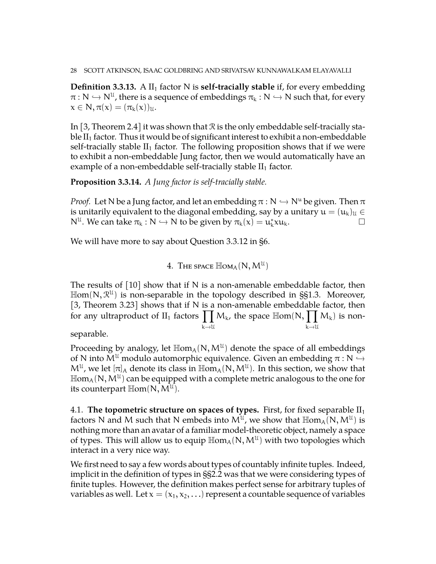**Definition 3.3.13.** A  $II_1$  factor N is **self-tracially stable** if, for every embedding  $\pi: N \hookrightarrow N^{\mathcal{U}}$ , there is a sequence of embeddings  $\pi_k: N \hookrightarrow N$  such that, for every  $x \in \mathbb{N}, \pi(x) = (\pi_k(x))_{\mathfrak{U}}.$ 

In [\[3,](#page-50-1) Theorem 2.4] it was shown that R is the only embeddable self-tracially stable  $II_1$  factor. Thus it would be of significant interest to exhibit a non-embeddable self-tracially stable  $II_1$  factor. The following proposition shows that if we were to exhibit a non-embeddable Jung factor, then we would automatically have an example of a non-embeddable self-tracially stable  $II_1$  factor.

**Proposition 3.3.14.** *A Jung factor is self-tracially stable.*

*Proof.* Let N be a Jung factor, and let an embedding  $\pi : N \hookrightarrow N^u$  be given. Then  $\pi$ is unitarily equivalent to the diagonal embedding, say by a unitary  $u = (u_k)_u \in$  $N^{\mathfrak{U}}$ . We can take  $\pi_{k} : N \hookrightarrow N$  to be given by  $\pi_{k}(x) = u_{k}^{*}xu_{k}$ .

<span id="page-27-0"></span>We will have more to say about Question [3.3.12](#page-26-0) in [§6.](#page-34-0)

 $4. \,$  The space  $\mathbb{H}\mathrm{om}_\mathcal{A}(\mathsf{N},\mathsf{M}^\mathcal{U})$ 

The results of  $\lceil 10 \rceil$  show that if N is a non-amenable embeddable factor, then  $\mathbb{H}$ om(N,  $\mathcal{R}^{u}$ ) is non-separable in the topology described in §[§1.3.](#page-9-0) Moreover, [\[3,](#page-50-1) Theorem 3.23] shows that if N is a non-amenable embeddable factor, then for any ultraproduct of  $II_1$  factors  $\prod M_k$ , the space  $\mathbb{H}$ om(N,  $\prod M_k$ ) is non $k\rightarrow 11$  $k\rightarrow \mathcal{U}$ 

separable.

Proceeding by analogy, let  $\mathbb{H}\text{om}_{A}(\mathsf{N},\mathsf{M}^{\mathcal{U}})$  denote the space of all embeddings of N into  $M^{\mathfrak{U}}$  modulo automorphic equivalence. Given an embedding  $\pi : \mathbb{N} \hookrightarrow$  $M^{\mathfrak{U}}$ , we let  $[\pi]_A$  denote its class in  $\mathbb{H}\text{om}_A(N, M^{\mathfrak{U}})$ . In this section, we show that  $\mathbb{H}\mathsf{om}_\mathsf{A}(\mathsf{N},\mathsf{M}^\mathfrak{U})$  can be equipped with a complete metric analogous to the one for its counterpart  $\mathbb{H}\mathrm{om}(\overline{\mathsf{N}}, \overline{\mathsf{M}}^{\mathcal{U}}).$ 

<span id="page-27-1"></span>4.1. **The topometric structure on spaces of types.** First, for fixed separable  $II_1$ factors N and M such that N embeds into  $M^{\mathfrak{U}}$ , we show that  $\mathbb{H}\text{om}_A(N,M^{\mathfrak{U}})$  is nothing more than an avatar of a familiar model-theoretic object, namely a space of types. This will allow us to equip  $\mathbb{H}\text{om}_{A}(\mathsf{N},\mathsf{M}^{\mathcal{U}})$  with two topologies which interact in a very nice way.

We first need to say a few words about types of countably infinite tuples. Indeed, implicit in the definition of types in §[§2.2](#page-14-0) was that we were considering types of finite tuples. However, the definition makes perfect sense for arbitrary tuples of variables as well. Let  $x = (x_1, x_2, ...)$  represent a countable sequence of variables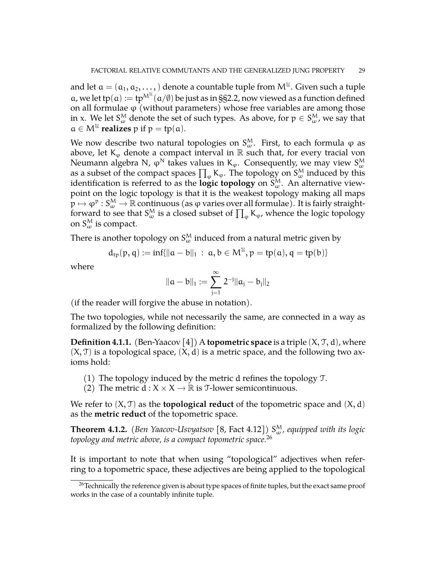and let  $\mathfrak{a}=(\mathfrak{a}_1,\mathfrak{a}_2,\dots, )$  denote a countable tuple from  $\mathsf{M}^{\mathfrak{U}}.$  Given such a tuple a, we let tp(a) := tp<sup>M<sup>u</sup>(a/ $\emptyset$ ) be just as in §[§2.2,](#page-14-0) now viewed as a function defined</sup> on all formulae  $\varphi$  (without parameters) whose free variables are among those in x. We let  $S_\omega^M$  denote the set of such types. As above, for  $p\in S_\omega^M$ , we say that  $a \in M^{\mathfrak{U}}$  **realizes**  $p$  if  $p = tp(a)$ .

We now describe two natural topologies on  $S_\omega^M$ . First, to each formula  $\varphi$  as above, let  $K_{\varphi}$  denote a compact interval in  $\mathbb R$  such that, for every tracial von Neumann algebra N,  $\phi^{\mathsf{N}}$  takes values in K<sub>φ</sub>. Consequently, we may view  $S_\omega^{\mathsf{M}}$ as a subset of the compact spaces  $\prod_{\phi} K_{\phi}$ . The topology on  $S^M_{\omega}$  induced by this identification is referred to as the  $\textbf{logic topology}$  on  $\mathsf{S}_{\omega}^\mathsf{M}.$  An alternative viewpoint on the logic topology is that it is the weakest topology making all maps  $p \mapsto \varphi^p : S_\omega^M \to \mathbb{R}$  continuous (as  $\varphi$  varies over all formulae). It is fairly straightforward to see that  $S^M_\omega$  is a closed subset of  $\prod_\varphi {\sf K}_\varphi$ , whence the logic topology on  $S^M_\omega$  is compact.

There is another topology on  $\boldsymbol{\mathrm{S}}_{\omega}^{\textsf{M}}$  induced from a natural metric given by

$$
d_{tp}(p,q):=inf\{\|a-b\|_1\ :\ a,b\in M^\mathfrak{U}, p=tp(a), q=tp(b)\}
$$

where

$$
\|a-b\|_1:=\sum_{j=1}^\infty 2^{-j}\|a_j-b_j\|_2
$$

(if the reader will forgive the abuse in notation).

The two topologies, while not necessarily the same, are connected in a way as formalized by the following definition:

**Definition 4.1.1.** (Ben-Yaacov [\[4\]](#page-50-6)) A **topometric space** is a triple  $(X, \mathcal{T}, d)$ , where  $(X, \mathcal{T})$  is a topological space,  $(X, d)$  is a metric space, and the following two axioms hold:

- (1) The topology induced by the metric d refines the topology T.
- (2) The metric  $d : X \times X \to \mathbb{R}$  is *T*-lower semicontinuous.

We refer to  $(X, \mathcal{T})$  as the **topological reduct** of the topometric space and  $(X, d)$ as the **metric reduct** of the topometric space.

**Theorem 4.1.2.** (Ben Yaacov-Usvyatsov [\[8,](#page-50-7) Fact 4.12])  $S^M_\omega$ , equipped with its logic *topology and metric above, is a compact topometric space.*[26](#page-28-0)

It is important to note that when using "topological" adjectives when referring to a topometric space, these adjectives are being applied to the topological

<span id="page-28-0"></span> $26$ Technically the reference given is about type spaces of finite tuples, but the exact same proof works in the case of a countably infinite tuple.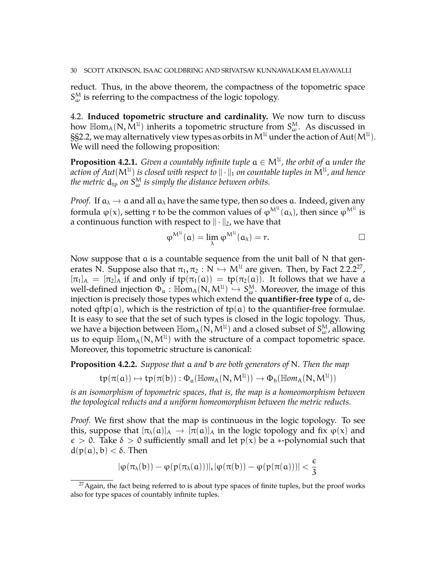reduct. Thus, in the above theorem, the compactness of the topometric space  $S^{\text{M}}_{\omega}$  is referring to the compactness of the logic topology.

<span id="page-29-0"></span>4.2. **Induced topometric structure and cardinality.** We now turn to discuss how  $\mathbb{H}\text{om}_{A}(\mathsf{N}, \tilde{\mathsf{M}}^{\mathcal{U}})$  inherits a topometric structure from  $\mathsf{S}_{\omega}^{\mathcal{M}}$ . As discussed in §[§2.2,](#page-14-0) we may alternatively view types as orbits in  $\mathsf{M}^{\mathfrak{U}}$  under the action of  $\mathsf{Aut}(\mathsf{M}^{\mathfrak{U}}).$ We will need the following proposition:

**Proposition 4.2.1.** Given a countably infinite tuple  $a \in M^{\mathfrak{U}}$ , the orbit of  $a$  under the action of  $Aut(\mathsf{M}^{\mathfrak{U}})$  is closed with respect to  $\|\cdot\|_1$  on countable tuples in  $\mathsf{M}^{\mathfrak{U}}$ , and hence the metric  $\rm{d_{tp}}$  on  $\rm{S_{\omega}^M}$  is simply the distance between orbits.

*Proof.* If  $a_{\lambda} \rightarrow a$  and all  $a_{\lambda}$  have the same type, then so does a. Indeed, given any formula φ(x), setting r to be the common values of  $\phi^{\mathsf{M}^{\mathfrak{U}}}(\mathfrak{a}_{\lambda})$ , then since  $\phi^{\mathsf{M}^{\mathfrak{U}}}$  is a continuous function with respect to  $\|\cdot\|_2$ , we have that

$$
\phi^{M^{U}}(a) = \lim_{\lambda} \phi^{M^{U}}(a_{\lambda}) = r.
$$

Now suppose that a is a countable sequence from the unit ball of N that generates N. Suppose also that  $\pi_1, \pi_2 : \mathbb{N} \hookrightarrow \mathbb{M}^{\mathcal{U}}$  are given. Then, by Fact [2.2.2](#page-14-3)<sup>[27](#page-29-1)</sup>,  $\pi_1$ ,  $\pi_2$  if and only if to  $(\pi_1(\alpha))$ , the  $(\pi_2(\alpha))$ . It follows that we have a  $[\pi_1]_A = [\pi_2]_A$  if and only if  $tp(\pi_1(\alpha)) = tp(\pi_2(\alpha))$ . It follows that we have a well-defined injection  $\Phi_a$  :  $\mathbb{H}\text{om}_A(N, M^{\mathcal{U}}) \to S^M_{\omega}$ . Moreover, the image of this injection is precisely those types which extend the **quantifier-free type** of a, denoted qftp(a), which is the restriction of tp(a) to the quantifier-free formulae. It is easy to see that the set of such types is closed in the logic topology. Thus, we have a bijection between  $\mathbb{H}\text{om}_\text{A}(\overset{\circ}{\text{N}},\text{M}^\text{U})$  and a closed subset of  $S_\omega^\text{M}$ , allowing us to equip  $\mathbb{H}$ om<sub>A</sub>(N, M<sup>U</sup>) with the structure of a compact topometric space. Moreover, this topometric structure is canonical:

**Proposition 4.2.2.** *Suppose that* a *and* b *are both generators of* N*. Then the map*

 $\mathfrak{tp}(\pi(\mathfrak{a})) \mapsto \mathfrak{tp}(\pi(\mathfrak{b})) : \Phi_{\mathfrak{a}}(\mathbb{H}\text{om}_{A}(\mathsf{N},\mathsf{M}^{\mathfrak{U}})) \to \Phi_{\mathfrak{b}}(\mathbb{H}\text{om}_{A}(\mathsf{N},\mathsf{M}^{\mathfrak{U}}))$ 

*is an isomorphism of topometric spaces, that is, the map is a homeomorphism between the topological reducts and a uniform homeomorphism between the metric reducts.*

*Proof.* We first show that the map is continuous in the logic topology. To see this, suppose that  $[\pi_{\lambda}(a)]_A \to [\pi(a)]_A$  in the logic topology and fix  $\varphi(x)$  and  $\epsilon > 0$ . Take  $\delta > 0$  sufficiently small and let  $p(x)$  be a  $\ast$ -polynomial such that  $d(p(a), b) < \delta$ . Then

$$
|\phi(\pi_{\lambda}(b)) - \phi(\mathfrak{p}(\pi_{\lambda}(a)))|, |\phi(\pi(b)) - \phi(\mathfrak{p}(\pi(a)))| < \frac{\varepsilon}{3}
$$

<span id="page-29-1"></span> $27$ Again, the fact being referred to is about type spaces of finite tuples, but the proof works also for type spaces of countably infinite tuples.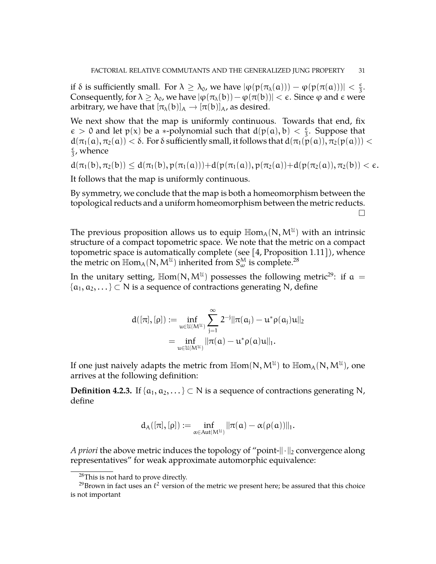if  $\delta$  is sufficiently small. For  $\lambda \geq \lambda_0$ , we have  $|\varphi(p(\pi_\lambda(\mathfrak{a}))) - \varphi(p(\pi(\mathfrak{a})))| < \frac{\epsilon}{3}$  $\frac{\epsilon}{3}$ . Consequently, for  $\lambda \geq \lambda_0$ , we have  $|\varphi(\pi_{\lambda}(b)) - \varphi(\pi(b))| < \varepsilon$ . Since  $\varphi$  and  $\epsilon$  were arbitrary, we have that  $[\pi_{\lambda}(b)]_A \rightarrow [\pi(b)]_A$ , as desired.

We next show that the map is uniformly continuous. Towards that end, fix  $\epsilon > 0$  and let  $p(x)$  be a  $\ast$ -polynomial such that  $d(p(a), b) < \frac{\epsilon}{3}$  $\frac{\epsilon}{3}$ . Suppose that  $d(\pi_1(a), \pi_2(a)) < \delta$ . For  $\delta$  sufficiently small, it follows that  $d(\pi_1(p(a)), \pi_2(p(a))) <$  $\epsilon$  $\frac{\epsilon}{3}$ , whence

$$
d(\pi_1(b), \pi_2(b)) \leq d(\pi_1(b), p(\pi_1(a))) + d(p(\pi_1(a)), p(\pi_2(a)) + d(p(\pi_2(a)), \pi_2(b)) < \varepsilon.
$$

It follows that the map is uniformly continuous.

By symmetry, we conclude that the map is both a homeomorphism between the topological reducts and a uniform homeomorphism between the metric reducts.  $\Box$ 

The previous proposition allows us to equip  $\mathbb{H}\text{om}_{A}(\mathsf{N},\mathsf{M}^{\mathfrak{U}})$  with an intrinsic structure of a compact topometric space. We note that the metric on a compact topometric space is automatically complete (see [\[4,](#page-50-6) Proposition 1.11]), whence the metric on  $\mathbb{H}\text{om}_{A}(\mathsf{N},\mathsf{M}^{\mathfrak{U}})$  inherited from  $S^{\mathsf{M}}_{\omega}$  is complete.<sup>[28](#page-30-0)</sup>

In the unitary setting,  $\text{Hom}(N, M^{\mathfrak{U}})$  possesses the following metric<sup>[29](#page-30-1)</sup>: if a =  $\{a_1, a_2, ...\} \subset N$  is a sequence of contractions generating N, define

$$
d([\pi],[\rho]):=\inf_{u\in\mathfrak{U}(M^{\mathfrak{U}})}\sum_{j=1}^{\infty}2^{-j}\|\pi(a_j)-u^*\rho(a_j)u\|_2\\=\inf_{u\in\mathfrak{U}(M^{\mathfrak{U}})}\|\pi(a)-u^*\rho(a)u\|_1.
$$

If one just naively adapts the metric from  $\mathbb{H}\text{om}(\mathsf{N},\mathsf{M}^{\mathcal{U}})$  to  $\mathbb{H}\text{om}_{\mathsf{A}}(\mathsf{N},\mathsf{M}^{\mathcal{U}})$ , one arrives at the following definition:

**Definition 4.2.3.** If { $a_1, a_2, \ldots$ } ⊂ N is a sequence of contractions generating N, define

$$
d_A([\pi],[\rho]):=\inf_{\alpha\in Aut(M^{\mathcal U})} \|\pi(\alpha)-\alpha(\rho(\alpha))\|_1.
$$

*A priori* the above metric induces the topology of "point- $\|\cdot\|_2$  convergence along representatives" for weak approximate automorphic equivalence:

<span id="page-30-1"></span><span id="page-30-0"></span><sup>28</sup>This is not hard to prove directly.

<sup>&</sup>lt;sup>29</sup>Brown in fact uses an  $\ell^2$  version of the metric we present here; be assured that this choice is not important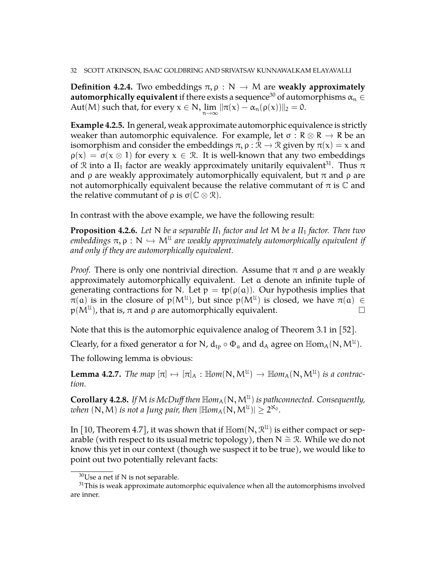**Definition 4.2.4.** Two embeddings  $\pi$ ,  $\rho : N \rightarrow M$  are **weakly approximately automorphically equivalent** if there exists a sequence<sup>[30](#page-31-0)</sup> of automorphisms  $\alpha_n \in$ Aut(M) such that, for every  $x \in N$ ,  $\lim_{n \to \infty} ||\pi(x) - \alpha_n(\rho(x))||_2 = 0$ .

**Example 4.2.5.** In general, weak approximate automorphic equivalence is strictly weaker than automorphic equivalence. For example, let  $\sigma : \mathbb{R} \otimes \mathbb{R} \to \mathbb{R}$  be an isomorphism and consider the embeddings  $\pi$ ,  $\rho$  :  $\mathcal{R} \to \mathcal{R}$  given by  $\pi(x) = x$  and  $\rho(x) = \sigma(x \otimes 1)$  for every  $x \in \mathcal{R}$ . It is well-known that any two embeddings of R into a II<sub>1</sub> factor are weakly approximately unitarily equivalent<sup>[31](#page-31-1)</sup>. Thus  $\pi$ and  $\rho$  are weakly approximately automorphically equivalent, but  $\pi$  and  $\rho$  are not automorphically equivalent because the relative commutant of π is  $C$  and the relative commutant of  $ρ$  is  $σ(C \otimes R)$ .

In contrast with the above example, we have the following result:

**Proposition 4.2.6.** *Let* N *be a separable II*<sup>1</sup> *factor and let* M *be a II*<sup>1</sup> *factor. Then two*  $e$ mbeddings  $\pi, \rho : N \hookrightarrow M^{\mathfrak{U}}$  are weakly approximately automorphically equivalent if *and only if they are automorphically equivalent.*

*Proof.* There is only one nontrivial direction. Assume that  $\pi$  and  $\rho$  are weakly approximately automorphically equivalent. Let a denote an infinite tuple of generating contractions for N. Let  $p = tp(\rho(a))$ . Our hypothesis implies that  $\pi(a)$  is in the closure of  $p(M^{\mathfrak{U}})$ , but since  $p(M^{\mathfrak{U}})$  is closed, we have  $\pi(a) \in$  $p(M^{\mathfrak{U}})$ , that is,  $\pi$  and  $\rho$  are automorphically equivalent.

Note that this is the automorphic equivalence analog of Theorem 3.1 in [\[52\]](#page-52-2).

Clearly, for a fixed generator  $\alpha$  for N,  $d_{tp} \circ \Phi_{\alpha}$  and  $d_A$  agree on  $\mathbb{H}$ om<sub>A</sub>(N, M<sup>U</sup>).

The following lemma is obvious:

**Lemma 4.2.7.** *The map*  $[\pi] \mapsto [\pi]_A : \mathbb{H}om(N, M^{\mathcal{U}}) \rightarrow \mathbb{H}om_A(N, M^{\mathcal{U}})$  *is a contraction tion.*

**Corollary 4.2.8.** If M is McDuff then  $\mathbb{H}om_A(\mathbb{N}, M^{\mathfrak{U}})$  is pathconnected. Consequently, when  $(N, M)$  *is not a Jung pair, then*  $|\mathbb{H}\text{om}_{A}(N, M^{\mathcal{U}})| \geq 2^{\aleph_{0}}$ *.* 

In [\[10,](#page-51-3) Theorem 4.7], it was shown that if  $\mathbb{H}\text{om}(N,\mathcal{R}^{\mathcal{U}})$  is either compact or separable (with respect to its usual metric topology), then  $N \cong \mathcal{R}$ . While we do not know this yet in our context (though we suspect it to be true), we would like to point out two potentially relevant facts:

<span id="page-31-1"></span><span id="page-31-0"></span> $^{30}\text{Use}$  a net if N is not separable.

 $31$ This is weak approximate automorphic equivalence when all the automorphisms involved are inner.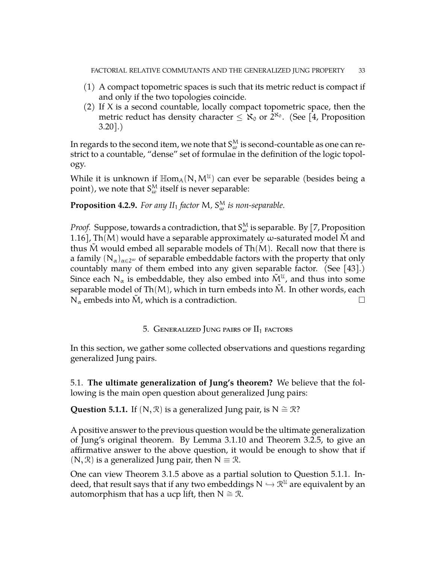- (1) A compact topometric spaces is such that its metric reduct is compact if and only if the two topologies coincide.
- (2) If  $X$  is a second countable, locally compact topometric space, then the metric reduct has density character  $\leq \aleph_0$  or  $2^{\aleph_0}$ . (See [\[4,](#page-50-6) Proposition  $3.20$ .)

In regards to the second item, we note that  $S_\omega^\mathsf{M}$  is second-countable as one can restrict to a countable, "dense" set of formulae in the definition of the logic topology.

While it is unknown if  $\mathbb{H}\text{om}_{A}(\mathsf{N},\mathsf{M}^{U})$  can ever be separable (besides being a point), we note that  $S^{\mathrm{M}}_{\omega}$  itself is never separable:

**Proposition 4.2.9.** For any  $II_1$  factor M,  $S_{\omega}^M$  is non-separable.

*Proof.* Suppose, towards a contradiction, that  $S_\omega^M$  is separable. By [\[7,](#page-50-8) Proposition 1.16], Th(M) would have a separable approximately  $\omega$ -saturated model M and thus M would embed all separable models of  $Th(M)$ . Recall now that there is a family  $(N_\alpha)_{\alpha\in 2^\omega}$  of separable embeddable factors with the property that only countably many of them embed into any given separable factor. (See [\[43\]](#page-52-13).) Since each N<sub>α</sub> is embeddable, they also embed into  $\tilde{M}^{\mathfrak{U}}$ , and thus into some separable model of Th $(M)$ , which in turn embeds into  $\tilde{M}$ . In other words, each  $N_\alpha$  embeds into  $\tilde{M}$ , which is a contradiction.

# 5. GENERALIZED JUNG PAIRS OF  $II_1$  factors

<span id="page-32-0"></span>In this section, we gather some collected observations and questions regarding generalized Jung pairs.

<span id="page-32-1"></span>5.1. **The ultimate generalization of Jung's theorem?** We believe that the following is the main open question about generalized Jung pairs:

<span id="page-32-2"></span>**Question 5.1.1.** If  $(N, \mathcal{R})$  is a generalized Jung pair, is  $N \cong \mathcal{R}$ ?

A positive answer to the previous question would be the ultimate generalization of Jung's original theorem. By Lemma [3.1.10](#page-21-0) and Theorem [3.2.5,](#page-25-2) to give an affirmative answer to the above question, it would be enough to show that if  $(N, \mathcal{R})$  is a generalized Jung pair, then  $N \equiv \mathcal{R}$ .

One can view Theorem [3.1.5](#page-21-2) above as a partial solution to Question [5.1.1.](#page-32-2) Indeed, that result says that if any two embeddings  $N \hookrightarrow \mathbb{R}^{\mathcal{U}}$  are equivalent by an automorphism that here a usp lift than  $N \simeq \mathbb{R}$ automorphism that has a ucp lift, then  $N \cong \mathcal{R}$ .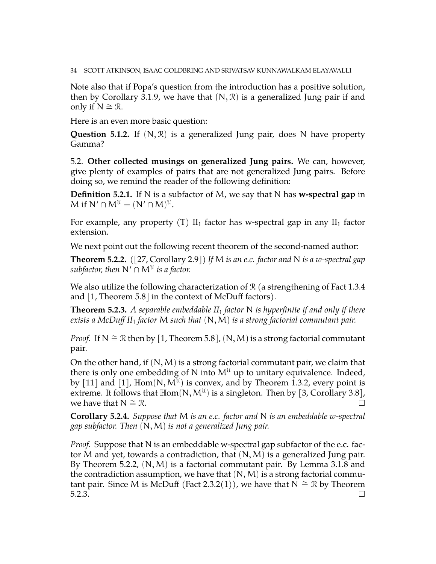Note also that if Popa's question from the introduction has a positive solution, then by Corollary [3.1.9,](#page-21-1) we have that  $(N, \mathcal{R})$  is a generalized Jung pair if and only if  $N ≅ ∅$ .

Here is an even more basic question:

**Question 5.1.2.** If  $(N, \mathcal{R})$  is a generalized Jung pair, does N have property Gamma?

<span id="page-33-0"></span>5.2. **Other collected musings on generalized Jung pairs.** We can, however, give plenty of examples of pairs that are not generalized Jung pairs. Before doing so, we remind the reader of the following definition:

**Definition 5.2.1.** If N is a subfactor of M, we say that N has **w-spectral gap** in M if  $N' \cap M^{\mathcal{U}} = (N' \cap M)^{\mathcal{U}}$ .

For example, any property (T)  $II_1$  factor has w-spectral gap in any  $II_1$  factor extension.

We next point out the following recent theorem of the second-named author:

<span id="page-33-1"></span>**Theorem 5.2.2.** *(*[\[27,](#page-51-21) Corollary 2.9]*) If* M *is an e.c. factor and* N *is a w-spectral gap*  $\mathit{subfactor},$  then  $\mathsf{N}' \cap \mathsf{M}^{\mathfrak{U}}$  is a factor.

We also utilize the following characterization of  $\mathcal R$  (a strengthening of Fact [1.3.4](#page-10-2) and [\[1,](#page-50-2) Theorem 5.8] in the context of McDuff factors).

<span id="page-33-2"></span>**Theorem 5.2.3.** *A separable embeddable II*<sup>1</sup> *factor* N *is hyperfinite if and only if there exists a McDuff II*<sup>1</sup> *factor* M *such that* (N,M) *is a strong factorial commutant pair.*

*Proof.* If N  $\cong \mathcal{R}$  then by [\[1,](#page-50-2) Theorem 5.8],  $(N, M)$  is a strong factorial commutant pair.

On the other hand, if  $(N, M)$  is a strong factorial commutant pair, we claim that there is only one embedding of N into  $M^{\mathfrak{U}}$  up to unitary equivalence. Indeed, by [\[11\]](#page-51-4) and [\[1\]](#page-50-2),  $\mathbb{H}om(N, M^{\mathfrak{U}})$  is convex, and by Theorem [1.3.2,](#page-10-0) every point is extreme. It follows that  $Hom(N, M^{\mathcal{U}})$  is a singleton. Then by [\[3,](#page-50-1) Corollary 3.8], we have that  $N \cong \mathcal{R}$ .  $\Box$ 

**Corollary 5.2.4.** *Suppose that* M *is an e.c. factor and* N *is an embeddable w-spectral gap subfactor. Then* (N,M) *is not a generalized Jung pair.*

*Proof.* Suppose that N is an embeddable w-spectral gap subfactor of the e.c. factor M and yet, towards a contradiction, that  $(N, M)$  is a generalized Jung pair. By Theorem [5.2.2,](#page-33-1)  $(N, M)$  is a factorial commutant pair. By Lemma [3.1.8](#page-21-3) and the contradiction assumption, we have that  $(N, M)$  is a strong factorial commu-tant pair. Since M is McDuff (Fact [2.3.2\(](#page-17-2)1)), we have that  $N \cong \mathcal{R}$  by Theorem  $5.2.3.$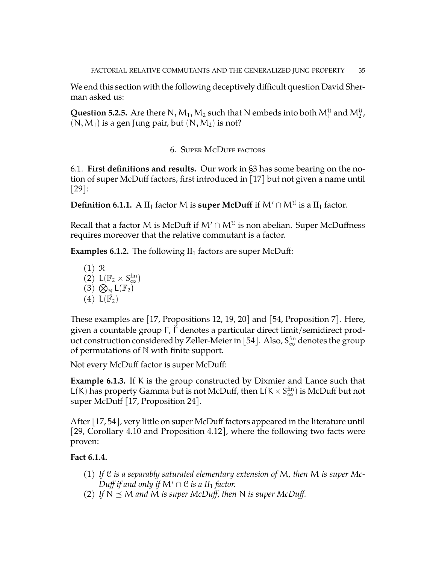We end this section with the following deceptively difficult question David Sherman asked us:

**Question 5.2.5.** Are there N,  $M_1, M_2$  such that N embeds into both  $M_1^{\mathfrak{U}}$  and  $M_2^{\mathfrak{U}}$ ,  $(N, M_1)$  is a gen Jung pair, but  $(N, M_2)$  is not?

# 6. Super McDuff factors

<span id="page-34-1"></span><span id="page-34-0"></span>6.1. **First definitions and results.** Our work in [§3](#page-19-0) has some bearing on the notion of super McDuff factors, first introduced in [\[17\]](#page-51-5) but not given a name until  $|29|$ :

**Definition 6.1.1.** A  $II_1$  factor M is **super McDuff** if  $M' \cap M^{\mathcal{U}}$  is a  $II_1$  factor.

Recall that a factor M is McDuff if  $M' \cap M^{\mathfrak{U}}$  is non abelian. Super McDuffness requires moreover that the relative commutant is a factor.

<span id="page-34-2"></span>**Examples 6.1.2.** The following  $II_1$  factors are super McDuff:

(1) R  $(2)$   $L(\mathbb{F}_2 \times S_{\infty}^{\text{fin}})$  $(3)$   $\bigotimes_{\mathbb{N}}$   $L(\mathbb{F}_2)$ (4)  $L(\vec{\mathbb{F}}_2)$ 

These examples are [\[17,](#page-51-5) Propositions 12, 19, 20] and [\[54,](#page-52-14) Proposition 7]. Here, given a countable group Γ, Γ̆ denotes a particular direct limit/semidirect prod-uct construction considered by Zeller-Meier in [\[54\]](#page-52-14). Also,  $S_{\infty}^{\text{fin}}$  denotes the group of permutations of N with finite support.

Not every McDuff factor is super McDuff:

<span id="page-34-3"></span>**Example 6.1.3.** If K is the group constructed by Dixmier and Lance such that L(K) has property Gamma but is not McDuff, then  $L(K \times S_{\infty}^{fin})$  is McDuff but not super McDuff [\[17,](#page-51-5) Proposition 24].

After [\[17,](#page-51-5) [54\]](#page-52-14), very little on super McDuff factors appeared in the literature until [\[29,](#page-51-6) Corollary 4.10 and Proposition 4.12], where the following two facts were proven:

# <span id="page-34-4"></span>**Fact 6.1.4.**

- (1) *If* C *is a separably saturated elementary extension of* M*, then* M *is super Mc-Duff if and only if*  $M' \cap C$  *is a II*<sub>1</sub> *factor.*
- (2) If  $N \preceq M$  and M is super McDuff, then N is super McDuff.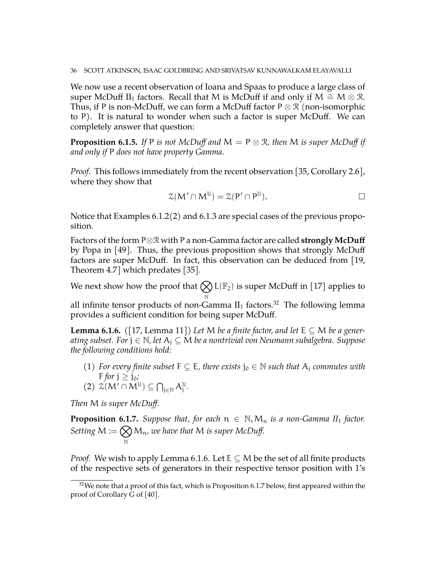We now use a recent observation of Ioana and Spaas to produce a large class of super McDuff II<sub>1</sub> factors. Recall that M is McDuff if and only if M  $\cong M \otimes \mathcal{R}$ . Thus, if P is non-McDuff, we can form a McDuff factor  $P \otimes \mathcal{R}$  (non-isomorphic to P). It is natural to wonder when such a factor is super McDuff. We can completely answer that question:

<span id="page-35-3"></span>**Proposition 6.1.5.** *If* P *is not McDuff and*  $M = P \otimes R$ *, then* M *is super McDuff if and only if* P *does not have property Gamma.*

*Proof.* This follows immediately from the recent observation [\[35,](#page-52-15) Corollary 2.6], where they show that

$$
\mathcal{Z}(M' \cap M^{\mathcal{U}}) = \mathcal{Z}(P' \cap P^{\mathcal{U}}).
$$

Notice that Examples [6.1.2\(](#page-34-2)2) and [6.1.3](#page-34-3) are special cases of the previous proposition.

Factors of the form P⊗R with P a non-Gamma factor are called **strongly McDuff** by Popa in [\[49\]](#page-52-16). Thus, the previous proposition shows that strongly McDuff factors are super McDuff. In fact, this observation can be deduced from [\[19,](#page-51-22) Theorem 4.7] which predates [\[35\]](#page-52-15).

We next show how the proof that  $\bigotimes \mathsf{L}(\mathbb{F}_2)$  is super McDuff in [\[17\]](#page-51-5) applies to N

all infinite tensor products of non-Gamma  $II_1$  factors.<sup>[32](#page-35-0)</sup> The following lemma provides a sufficient condition for being super McDuff.

<span id="page-35-1"></span>**Lemma 6.1.6.** ([\[17,](#page-51-5) Lemma 11]) Let M be a finite factor, and let  $E \subseteq M$  be a gener*ating subset. For* j ∈ N*, let* A<sup>j</sup> ⊆ M *be a nontrivial von Neumann subalgebra. Suppose the following conditions hold:*

(1) *For every finite subset*  $F \subseteq E$ , there exists  $j_0 \in \mathbb{N}$  such that  $A_i$  commutes with F *for*  $j \ge j_0$ *;* 

$$
(2) \ \mathcal{Z}(M' \cap M^{\mathcal{U}}) \subseteq \bigcap\nolimits_{j \in \mathbb{N}} A_j^{\mathcal{U}}.
$$

*Then* M *is super McDuff.*

<span id="page-35-2"></span>**Proposition 6.1.7.** *Suppose that, for each*  $n \in \mathbb{N}, M_n$  *is a non-Gamma II*<sub>1</sub> *factor. Setting*  $M := \bigotimes$ N Mn*, we have that* M *is super McDuff.*

*Proof.* We wish to apply Lemma [6.1.6.](#page-35-1) Let  $E \subset M$  be the set of all finite products of the respective sets of generators in their respective tensor position with 1's

<span id="page-35-0"></span> $32$ We note that a proof of this fact, which is Proposition [6.1.7](#page-35-2) below, first appeared within the proof of Corollary G of [\[40\]](#page-52-17).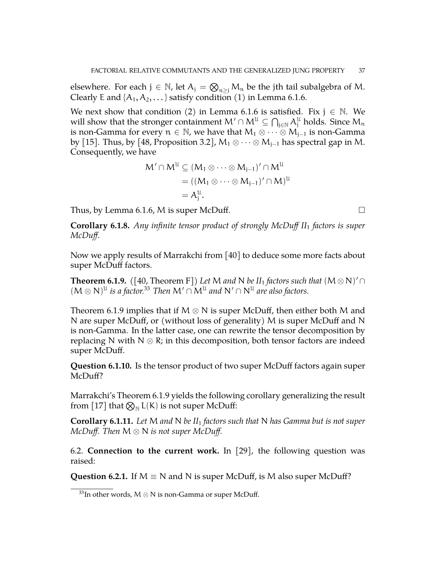elsewhere. For each  $j \in \mathbb{N}$ , let  $A_j = \bigotimes_{n \geq j} M_n$  be the jth tail subalgebra of M. Clearly E and  $\{A_1, A_2, \ldots\}$  satisfy condition (1) in Lemma [6.1.6.](#page-35-1)

We next show that condition (2) in Lemma [6.1.6](#page-35-1) is satisfied. Fix  $j \in \mathbb{N}$ . We will show that the stronger containment  $\mathsf{M}'\cap\mathsf{M}^{\mathfrak{U}}\subseteq \bigcap_{\mathfrak{j}\in\mathbb{N}}\mathcal{A}^{\mathfrak{U}}_\mathfrak{j}$  holds. Since  $\mathsf{M}_\mathfrak{n}$ is non-Gamma for every  $n \in \mathbb{N}$ , we have that  $M_1 \otimes \cdots \otimes M_{j-1}$  is non-Gamma by [\[15\]](#page-51-0). Thus, by [\[48,](#page-52-18) Proposition 3.2],  $M_1 \otimes \cdots \otimes M_{j-1}$  has spectral gap in M. Consequently, we have

$$
M' \cap M^{U} \subseteq (M_1 \otimes \cdots \otimes M_{j-1})' \cap M^{U}
$$
  
=  $((M_1 \otimes \cdots \otimes M_{j-1})' \cap M)^{U}$   
=  $A_j^U$ .

Thus, by Lemma [6.1.6,](#page-35-1) M is super McDuff.  $\Box$ 

<span id="page-36-4"></span>**Corollary 6.1.8.** *Any infinite tensor product of strongly McDuff II*<sup>1</sup> *factors is super McDuff.*

Now we apply results of Marrakchi from [\[40\]](#page-52-17) to deduce some more facts about super McDuff factors.

<span id="page-36-2"></span>**Theorem 6.1.9.** ([\[40,](#page-52-17) Theorem F]) Let M and N be  $II_1$  factors such that  $(M \otimes N)' \cap$  $(M \otimes N)^{\mathfrak{U}}$  *is a factor.*<sup>[33](#page-36-1)</sup> *Then*  $M' \cap M^{\mathfrak{U}}$  *and*  $N' \cap N^{\mathfrak{U}}$  *are also factors.* 

Theorem [6.1.9](#page-36-2) implies that if M  $\otimes$  N is super McDuff, then either both M and N are super McDuff, or (without loss of generality) M is super McDuff and N is non-Gamma. In the latter case, one can rewrite the tensor decomposition by replacing N with N  $\otimes$  R; in this decomposition, both tensor factors are indeed super McDuff.

**Question 6.1.10.** Is the tensor product of two super McDuff factors again super McDuff?

Marrakchi's Theorem [6.1.9](#page-36-2) yields the following corollary generalizing the result from [\[17\]](#page-51-5) that  $\bigotimes_{\mathbb{N}} L(K)$  is not super McDuff:

**Corollary 6.1.11.** *Let* M *and* N *be II*<sup>1</sup> *factors such that* N *has Gamma but is not super McDuff. Then* M ⊗ N *is not super McDuff.*

<span id="page-36-0"></span>6.2. **Connection to the current work.** In [\[29\]](#page-51-6), the following question was raised:

<span id="page-36-3"></span>**Question 6.2.1.** If  $M \equiv N$  and N is super McDuff, is M also super McDuff?

<span id="page-36-1"></span><sup>&</sup>lt;sup>33</sup>In other words, M  $\otimes$  N is non-Gamma or super McDuff.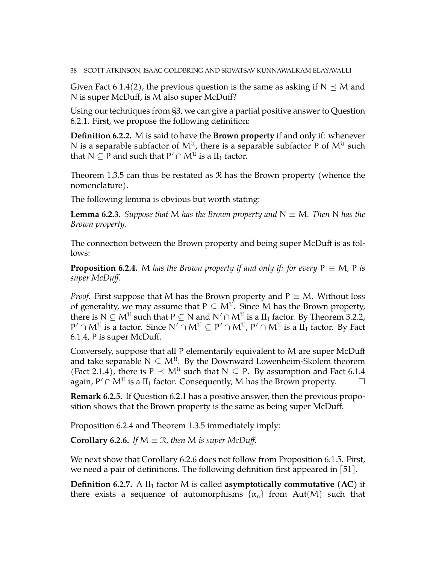Given Fact [6.1.4\(](#page-34-4)2), the previous question is the same as asking if  $N \preceq M$  and N is super McDuff, is M also super McDuff?

Using our techniques from [§3,](#page-19-0) we can give a partial positive answer to Question [6.2.1.](#page-36-3) First, we propose the following definition:

**Definition 6.2.2.** M is said to have the **Brown property** if and only if: whenever N is a separable subfactor of  $M^{\mathfrak{U}}$ , there is a separable subfactor P of  $M^{\mathfrak{U}}$  such that  $N \subseteq P$  and such that  $P' \cap M^{\mathcal{U}}$  is a  $II_1$  factor.

Theorem [1.3.5](#page-10-3) can thus be restated as R has the Brown property (whence the nomenclature).

The following lemma is obvious but worth stating:

**Lemma 6.2.3.** *Suppose that* M *has the Brown property and*  $N \equiv M$ *. Then* N *has the Brown property.*

The connection between the Brown property and being super McDuff is as follows:

<span id="page-37-0"></span>**Proposition 6.2.4.** M *has the Brown property if and only if: for every*  $P \equiv M$ , P *is super McDuff.*

*Proof.* First suppose that M has the Brown property and  $P \equiv M$ . Without loss of generality, we may assume that  $P \subseteq M^{U}$ . Since M has the Brown property, there is N  $\subseteq$   $\mathsf{M}^{\mathfrak{U}}$  such that P  $\subseteq$  N and N′  $\cap$   $\mathsf{M}^{\mathfrak{U}}$  is a  $\text{II}_1$  factor. By Theorem [3.2.2,](#page-24-0)  $P' \cap M^{\mathfrak{U}}$  is a factor. Since  $\mathsf{N}' \cap M^{\mathfrak{U}} \subseteq P' \cap M^{\mathfrak{U}}, P' \cap M^{\mathfrak{U}}$  is a  $\mathrm{II}_1$  factor. By Fact [6.1.4,](#page-34-4) P is super McDuff.

Conversely, suppose that all P elementarily equivalent to M are super McDuff and take separable  $N \subseteq M^{\mathfrak{U}}$ . By the Downward Lowenheim-Skolem theorem (Fact [2.1.4\)](#page-12-4), there is  $P \preceq M^{\mathfrak{U}}$  such that  $N \subseteq P$ . By assumption and Fact [6.1.4](#page-34-4) again, P'  $\cap$  M<sup>U</sup> is a II<sub>1</sub> factor. Consequently, M has the Brown property.  $\qquad \Box$ 

**Remark 6.2.5.** If Question [6.2.1](#page-36-3) has a positive answer, then the previous proposition shows that the Brown property is the same as being super McDuff.

Proposition [6.2.4](#page-37-0) and Theorem [1.3.5](#page-10-3) immediately imply:

<span id="page-37-1"></span>**Corollary 6.2.6.** *If*  $M \equiv \mathcal{R}$ , *then*  $M$  *is super McDuff.* 

We next show that Corollary [6.2.6](#page-37-1) does not follow from Proposition [6.1.5.](#page-35-3) First, we need a pair of definitions. The following definition first appeared in  $|51|$ .

**Definition 6.2.7.** A  $II_1$  factor M is called **asymptotically commutative** (AC) if there exists a sequence of automorphisms  $\{\alpha_n\}$  from Aut(M) such that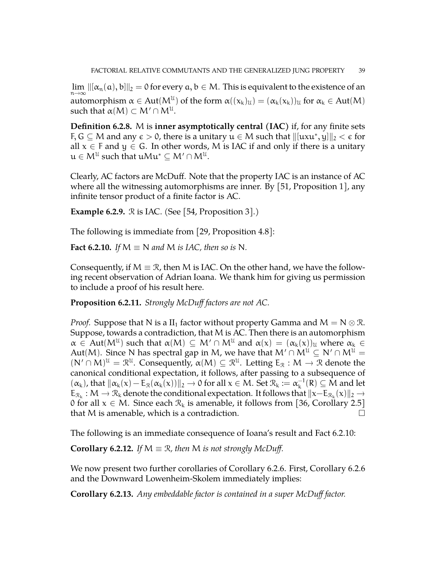$\lim_{n\to\infty} ||[\alpha_n(a), b]||_2 = 0$  for every  $a, b \in M$ . This is equivalent to the existence of an automorphism  $\alpha \in Aut(M^{\mathfrak{U}})$  of the form  $\alpha((x_k)_{\mathfrak{U}}) = (\alpha_k(x_k))_{\mathfrak{U}}$  for  $\alpha_k \in Aut(M)$ such that  $\alpha(M)\subset M'\cap M^{\mathfrak{U}}.$ 

**Definition 6.2.8.** M is **inner asymptotically central (IAC)** if, for any finite sets F, G  $\subseteq$  M and any  $\epsilon >$  0, there is a unitary  $\mathfrak{u} \in \mathsf{M}$  such that  $\|[\mathfrak{u}x\mathfrak{u}^*,y]\|_2 < \epsilon$  for all  $x \in F$  and  $y \in G$ . In other words, M is IAC if and only if there is a unitary  $\mathfrak{u}\in\mathsf{M}^{\mathfrak{U}}$  such that  $\mathfrak{u}\mathsf{M}\mathfrak{u}^{\ast}\subseteq\mathsf{M}^{\prime}\cap\mathsf{M}^{\mathfrak{U}}.$ 

Clearly, AC factors are McDuff. Note that the property IAC is an instance of AC where all the witnessing automorphisms are inner. By [\[51,](#page-52-19) Proposition 1], any infinite tensor product of a finite factor is AC.

<span id="page-38-3"></span>**Example 6.2.9.**  $\Re$  is IAC. (See [\[54,](#page-52-14) Proposition 3].)

The following is immediate from [\[29,](#page-51-6) Proposition 4.8]:

<span id="page-38-1"></span>**Fact 6.2.10.** *If*  $M \equiv N$  *and*  $M$  *is IAC, then so is* N.

Consequently, if  $M \equiv \mathcal{R}$ , then M is IAC. On the other hand, we have the following recent observation of Adrian Ioana. We thank him for giving us permission to include a proof of his result here.

<span id="page-38-0"></span>**Proposition 6.2.11.** *Strongly McDuff factors are not AC.*

*Proof.* Suppose that N is a II<sub>1</sub> factor without property Gamma and  $M = N \otimes \mathcal{R}$ . Suppose, towards a contradiction, that M is AC. Then there is an automorphism  $\alpha \in Aut(M^{\mathfrak{U}})$  such that  $\alpha(M) \subseteq M' \cap M^{\mathfrak{U}}$  and  $\alpha(x) = (\alpha_k(x))_{\mathfrak{U}}$  where  $\alpha_k \in$ Aut(M). Since N has spectral gap in M, we have that  $M' \cap M^{\mathfrak{U}} \subseteq N' \cap M^{\mathfrak{U}} =$  $(N' \cap M)^{\mathcal{U}} = \mathcal{R}^{\mathcal{U}}$ . Consequently,  $\alpha(M) \subseteq \mathcal{R}^{\mathcal{U}}$ . Letting  $E_{\mathcal{R}} : M \to \mathcal{R}$  denote the canonical conditional expectation, it follows, after passing to a subsequence of  $(\alpha_k)$ , that  $\|\alpha_k(x) - \mathbb{E}_\mathcal{R}(\alpha_k(x))\|_2 \to 0$  for all  $x \in M$ . Set  $\mathcal{R}_k := \alpha_k^{-1}$  $_{k}^{-1}(R) \subseteq M$  and let  $E_{\mathcal{R}_k}: M \to \mathcal{R}_k$  denote the conditional expectation. It follows that  $||x - E_{\mathcal{R}_k}(x)||_2 \to 0$  for all  $x \in M$ , Since each  $\mathcal{R}_k$  is amonghla it follows from [26] Capallary 2.51 0 for all  $x \in M$ . Since each  $\mathcal{R}_k$  is amenable, it follows from [\[36,](#page-52-20) Corollary 2.5] that M is amenable, which is a contradiction.  $\Box$ 

The following is an immediate consequence of Ioana's result and Fact [6.2.10:](#page-38-1)

**Corollary 6.2.12.** *If*  $M \equiv \mathcal{R}$ , then M is not strongly McDuff.

We now present two further corollaries of Corollary [6.2.6.](#page-37-1) First, Corollary [6.2.6](#page-37-1) and the Downward Lowenheim-Skolem immediately implies:

<span id="page-38-2"></span>**Corollary 6.2.13.** *Any embeddable factor is contained in a super McDuff factor.*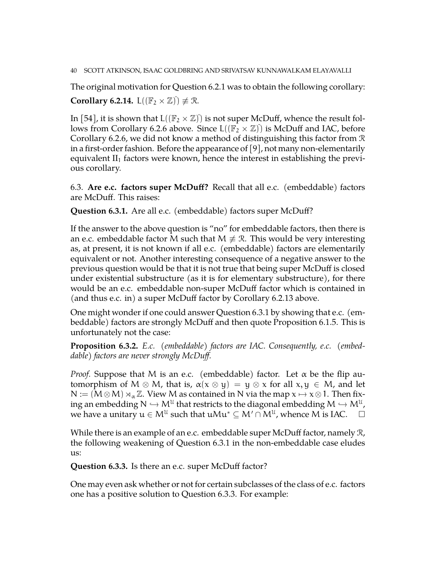### 40 SCOTT ATKINSON, ISAAC GOLDBRING AND SRIVATSAV KUNNAWALKAM ELAYAVALLI

The original motivation for Question [6.2.1](#page-36-3) was to obtain the following corollary: **Corollary 6.2.14.**  $L((\mathbb{F}_2 \times \mathbb{Z})) \not\equiv \mathbb{R}$ .

In [\[54\]](#page-52-14), it is shown that  $L((\mathbb{F}_2 \times \mathbb{Z})^2)$  is not super McDuff, whence the result fol-lows from Corollary [6.2.6](#page-37-1) above. Since  $L((\mathbb{F}_2 \times \mathbb{Z})^2)$  is McDuff and IAC, before Corollary [6.2.6,](#page-37-1) we did not know a method of distinguishing this factor from  $\mathcal R$ in a first-order fashion. Before the appearance of [\[9\]](#page-50-9), not many non-elementarily equivalent  $II_1$  factors were known, hence the interest in establishing the previous corollary.

<span id="page-39-0"></span>6.3. **Are e.c. factors super McDuff?** Recall that all e.c. (embeddable) factors are McDuff. This raises:

<span id="page-39-1"></span>**Question 6.3.1.** Are all e.c. (embeddable) factors super McDuff?

If the answer to the above question is "no" for embeddable factors, then there is an e.c. embeddable factor M such that  $M \neq \mathcal{R}$ . This would be very interesting as, at present, it is not known if all e.c. (embeddable) factors are elementarily equivalent or not. Another interesting consequence of a negative answer to the previous question would be that it is not true that being super McDuff is closed under existential substructure (as it is for elementary substructure), for there would be an e.c. embeddable non-super McDuff factor which is contained in (and thus e.c. in) a super McDuff factor by Corollary [6.2.13](#page-38-2) above.

One might wonder if one could answer Question [6.3.1](#page-39-1) by showing that e.c. (embeddable) factors are strongly McDuff and then quote Proposition [6.1.5.](#page-35-3) This is unfortunately not the case:

<span id="page-39-3"></span>**Proposition 6.3.2.** *E.c. (embeddable) factors are IAC. Consequently, e.c. (embeddable) factors are never strongly McDuff.*

*Proof.* Suppose that M is an e.c. (embeddable) factor. Let  $\alpha$  be the flip automorphism of M  $\otimes$  M, that is,  $\alpha(x \otimes y) = y \otimes x$  for all  $x, y \in M$ , and let  $N := (M \otimes M) \rtimes_{\alpha} \mathbb{Z}$ . View M as contained in N via the map  $x \mapsto x \otimes 1$ . Then fixing an embedding  $N \hookrightarrow M^U$  that restricts to the diagonal embedding  $M \hookrightarrow M^U$ ,  $\longrightarrow M^U$ we have a unitary  $u \in M^{\mathfrak{U}}$  such that  $u\mathcal{M}u^* \subseteq M' \cap M^{\mathfrak{U}}$ , whence  $M$  is IAC.  $\Box$ 

While there is an example of an e.c. embeddable super McDuff factor, namely  $\mathcal{R}$ , the following weakening of Question [6.3.1](#page-39-1) in the non-embeddable case eludes us:

<span id="page-39-2"></span>**Question 6.3.3.** Is there an e.c. super McDuff factor?

One may even ask whether or not for certain subclasses of the class of e.c. factors one has a positive solution to Question [6.3.3.](#page-39-2) For example: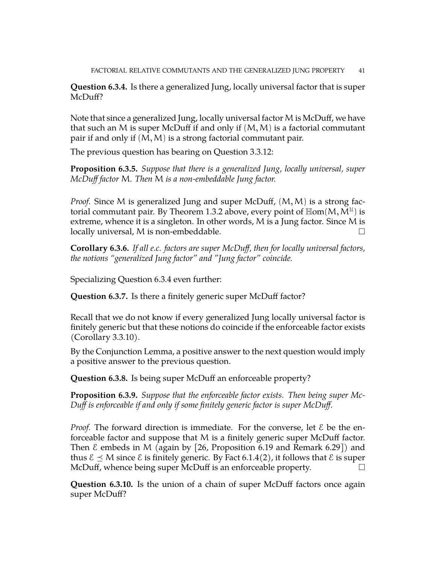<span id="page-40-0"></span>**Question 6.3.4.** Is there a generalized Jung, locally universal factor that is super McDuff?

Note that since a generalized Jung, locally universal factor M is McDuff, we have that such an M is super McDuff if and only if  $(M, M)$  is a factorial commutant pair if and only if  $(M, M)$  is a strong factorial commutant pair.

The previous question has bearing on Question [3.3.12:](#page-26-0)

**Proposition 6.3.5.** *Suppose that there is a generalized Jung, locally universal, super McDuff factor* M*. Then* M *is a non-embeddable Jung factor.*

*Proof.* Since M is generalized Jung and super McDuff,  $(M, M)$  is a strong fac-torial commutant pair. By Theorem [1.3.2](#page-10-0) above, every point of  $\mathbb{H}\mathsf{om}(M, \breve{M}^{\mathfrak{U}})$  is extreme, whence it is a singleton. In other words,  $M$  is a Jung factor. Since  $M$  is locally universal, M is non-embeddable. □

**Corollary 6.3.6.** *If all e.c. factors are super McDuff, then for locally universal factors, the notions "generalized Jung factor" and "Jung factor" coincide.*

Specializing Question [6.3.4](#page-40-0) even further:

<span id="page-40-2"></span>**Question 6.3.7.** Is there a finitely generic super McDuff factor?

Recall that we do not know if every generalized Jung locally universal factor is finitely generic but that these notions do coincide if the enforceable factor exists (Corollary [3.3.10\)](#page-26-1).

By the Conjunction Lemma, a positive answer to the next question would imply a positive answer to the previous question.

**Question 6.3.8.** Is being super McDuff an enforceable property?

**Proposition 6.3.9.** *Suppose that the enforceable factor exists. Then being super Mc-Duff is enforceable if and only if some finitely generic factor is super McDuff.*

*Proof.* The forward direction is immediate. For the converse, let  $\epsilon$  be the enforceable factor and suppose that M is a finitely generic super McDuff factor. Then  $\epsilon$  embeds in M (again by [\[26,](#page-51-19) Proposition 6.19 and Remark 6.29]) and thus  $\mathcal{E} \preceq M$  since  $\mathcal{E}$  is finitely generic. By Fact [6.1.4\(](#page-34-4)2), it follows that  $\mathcal{E}$  is super McDuff, whence being super McDuff is an enforceable property.

<span id="page-40-1"></span>**Question 6.3.10.** Is the union of a chain of super McDuff factors once again super McDuff?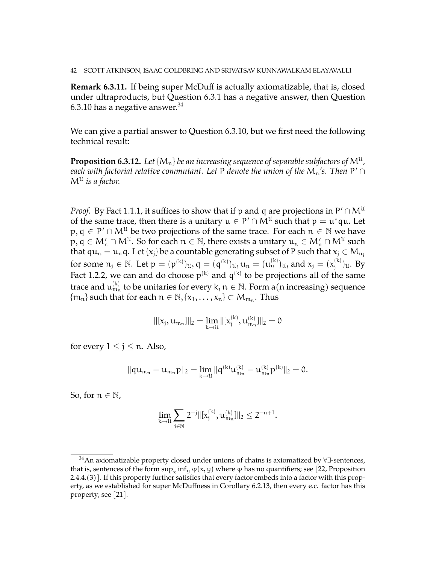**Remark 6.3.11.** If being super McDuff is actually axiomatizable, that is, closed under ultraproducts, but Question [6.3.1](#page-39-1) has a negative answer, then Question [6.3.10](#page-40-1) has a negative answer. $34$ 

We can give a partial answer to Question [6.3.10,](#page-40-1) but we first need the following technical result:

<span id="page-41-1"></span> ${\bf Proposition \ 6.3.12.}$  Let  $\{M_n\}$  be an increasing sequence of separable subfactors of  $\mathsf{M}^\mathfrak{U}$  , *each with factorial relative commutant. Let* P *denote the union of the*  $\mathsf{M}_{\mathfrak{n}}$ *'s. Then* P'  $\cap$ M<sup>U</sup> *is a factor.*

*Proof.* By Fact [1.1.1,](#page-6-2) it suffices to show that if p and q are projections in  $P' \cap M^{\mathfrak{U}}$ of the same trace, then there is a unitary  $u \in P' \cap M^{\mathfrak{U}}$  such that  $p = u^*$ qu. Let  $p, q \in P' \cap M^{\mathfrak{U}}$  be two projections of the same trace. For each  $n \in \mathbb{N}$  we have  $p, q \in M'_n \cap M^{\mathfrak{U}}$ . So for each  $n \in \mathbb{N}$ , there exists a unitary  $u_n \in M'_n \cap M^{\mathfrak{U}}$  such that  $qu_n = u_n q$ . Let  $\{x_j\}$  be a countable generating subset of P such that  $x_j \in M_{n_j}$ for some  $n_j \in \mathbb{N}$ . Let  $p = (p^{(k)})_{\mathfrak{U}}, q = (q^{(k)})_{\mathfrak{U}}, u_n = (u_n^{(k)})_{\mathfrak{U}},$  and  $x_j = (x_i^{(k)})_{\mathfrak{U}},$  $j^{(k)}$ <sub>j</sub> $u$ . By Fact [1.2.2,](#page-8-1) we can and do choose  $p^{(k)}$  and  $q^{(k)}$  to be projections all of the same trace and  $\mathfrak{u}_{\mathfrak{m}_\mathfrak{n}}^{(k)}$  to be unitaries for every k,  $\mathfrak{n}\in\mathbb{N}.$  Form a(n increasing) sequence  $\{\mathfrak{m_n}\}$  such that for each  $\mathfrak{n} \in \mathbb{N}, \{x_1, \ldots, x_n\} \subset \mathcal{M}_{\mathfrak{m}_n}$ . Thus

$$
||[x_j, u_{m_n}]||_2 = \lim_{k \to \mathcal{U}} ||[x_j^{(k)}, u_{m_n}^{(k)}]||_2 = 0
$$

for every  $1 \le j \le n$ . Also,

$$
\|qu_{m_n}-u_{m_n}p\|_2=\lim_{k\to\mathcal U}\|q^{(k)}u_{m_n}^{(k)}-u_{m_n}^{(k)}p^{(k)}\|_2=0.
$$

So, for  $n \in \mathbb{N}$ ,

$$
\lim_{k\to \mathfrak{U}}\sum_{j\in \mathbb{N}} 2^{-j} ||[x_j^{(k)},u_{m_n}^{(k)}]||_2\leq 2^{-n+1}.
$$

<span id="page-41-0"></span><sup>&</sup>lt;sup>34</sup>An axiomatizable property closed under unions of chains is axiomatized by  $\forall \exists$ -sentences, that is, sentences of the form  $\sup_x \inf_y \varphi(x,y)$  where  $\varphi$  has no quantifiers; see [\[22,](#page-51-14) Proposition 2.4.4.(3)]. If this property further satisfies that every factor embeds into a factor with this property, as we established for super McDuffness in Corollary [6.2.13,](#page-38-2) then every e.c. factor has this property; see [\[21\]](#page-51-16).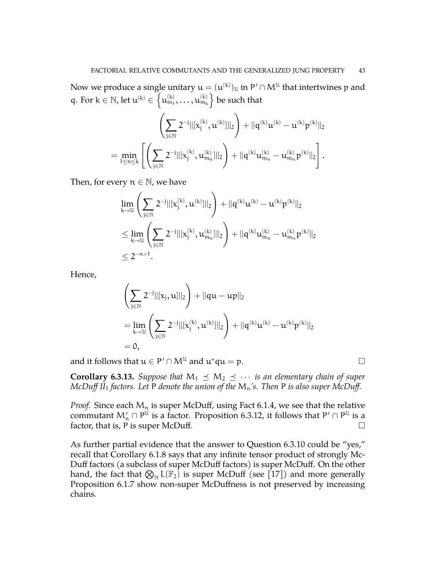Now we produce a single unitary  $\mathfrak{u} = (\mathfrak{u}^{(\mathsf{k})})_\mathfrak{U}$  in  $\mathsf{P}' \cap \mathsf{M}^\mathfrak{U}$  that intertwines  $\mathfrak{p}$  and q. For  $k \in \mathbb{N}$ , let  $u^{(k)} \in \{u^{(k)}_{m_1}, \ldots, u^{(k)}_{m_k}\}$  be such that

$$
\left(\sum_{j\in \mathbb{N}}2^{-j}\|[x_j^{(k)},u^{(k)}]\|_2\right)+\|q^{(k)}u^{(k)}-u^{(k)}p^{(k)}\|_2\\=\min_{1\leq n\leq k}\left[\left(\sum_{j\in \mathbb{N}}2^{-j}\|[x_j^{(k)},u_{m_n}^{(k)}]\|_2\right)+\|q^{(k)}u_{m_n}^{(k)}-u_{m_n}^{(k)}p^{(k)}\|_2\right].
$$

Then, for every  $n \in \mathbb{N}$ , we have

$$
\begin{aligned} &\lim_{k\rightarrow \mathcal{U}}\left(\sum_{j\in \mathbb{N}}2^{-j}\|[x_j^{(k)},u^{(k)}]\|_2\right)+\|q^{(k)}u^{(k)}-u^{(k)}p^{(k)}\|_2\\ &\leq \lim_{k\rightarrow \mathcal{U}}\left(\sum_{j\in \mathbb{N}}2^{-j}\|[x_j^{(k)},u_{m_n}^{(k)}]\|_2\right)+\|q^{(k)}u_{m_n}^{(k)}-u_{m_n}^{(k)}p^{(k)}\|_2\\ &\leq 2^{-n+1}. \end{aligned}
$$

Hence,

$$
\left(\sum_{j\in\mathbb{N}}2^{-j}||(x_j,u)||_2\right)+||qu-up||_2\\=\lim_{k\rightarrow\mathbb{U}}\left(\sum_{j\in\mathbb{N}}2^{-j}||(x_j^{(k)},u^{(k)})||_2\right)+||q^{(k)}u^{(k)}-u^{(k)}p^{(k)}||_2\\=0,
$$

and it follows that  $u \in P' \cap M^{\mathfrak{U}}$  and  $u^*qu = p$ .

**Corollary 6.3.13.** *Suppose that*  $M_1 \preceq M_2 \preceq \cdots$  *is an elementary chain of super McDuff II*<sub>1</sub> *factors. Let* P *denote the union of the*  $M_n$ 's. *Then* P *is also super McDuff.* 

*Proof.* Since each  $M_n$  is super McDuff, using Fact [6.1.4,](#page-34-4) we see that the relative commutant  $M'_n \cap P^{\mathfrak{U}}$  is a factor. Proposition [6.3.12,](#page-41-1) it follows that  $P' \cap P^{\mathfrak{U}}$  is a factor, that is, P is super McDuff.

As further partial evidence that the answer to Question [6.3.10](#page-40-1) could be "yes," recall that Corollary [6.1.8](#page-36-4) says that any infinite tensor product of strongly Mc-Duff factors (a subclass of super McDuff factors) is super McDuff. On the other hand, the fact that  $\bigotimes_{\mathbb{N}} L(\mathbb{F}_2)$  is super McDuff (see [\[17\]](#page-51-5)) and more generally Proposition [6.1.7](#page-35-2) show non-super McDuffness is not preserved by increasing chains.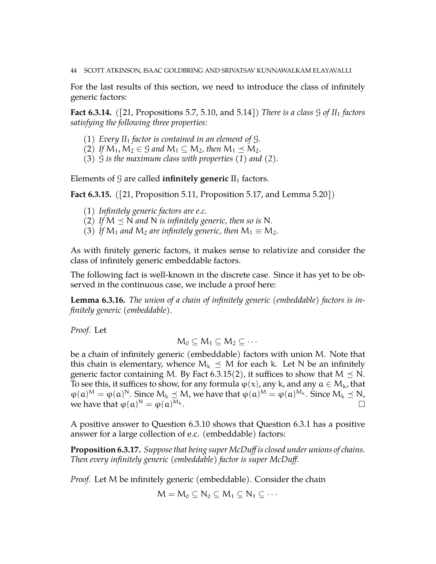44 SCOTT ATKINSON, ISAAC GOLDBRING AND SRIVATSAV KUNNAWALKAM ELAYAVALLI

For the last results of this section, we need to introduce the class of infinitely generic factors:

**Fact 6.3.14.** *(*[\[21,](#page-51-16) Propositions 5.7, 5.10, and 5.14]*) There is a class* G *of II*<sup>1</sup> *factors satisfying the following three properties:*

- (1) *Every II*<sub>1</sub> *factor is contained in an element of*  $\mathcal{G}$ *.*
- (2) If  $M_1, M_2 \in \mathcal{G}$  and  $M_1 \subseteq M_2$ , then  $M_1 \preceq M_2$ .
- (3) G *is the maximum class with properties (1) and (2).*

Elements of  $G$  are called **infinitely generic**  $II_1$  factors.

<span id="page-43-0"></span>**Fact 6.3.15.** *(*[\[21,](#page-51-16) Proposition 5.11, Proposition 5.17, and Lemma 5.20]*)*

- (1) *Infinitely generic factors are e.c.*
- (2) If  $M \preceq N$  and N is infinitely generic, then so is N.
- (3) If  $M_1$  and  $M_2$  are infinitely generic, then  $M_1 \equiv M_2$ .

As with finitely generic factors, it makes sense to relativize and consider the class of infinitely generic embeddable factors.

The following fact is well-known in the discrete case. Since it has yet to be observed in the continuous case, we include a proof here:

<span id="page-43-1"></span>**Lemma 6.3.16.** *The union of a chain of infinitely generic (embeddable) factors is infinitely generic (embeddable).*

*Proof.* Let

$$
M_0\subseteq M_1\subseteq M_2\subseteq\cdots
$$

be a chain of infinitely generic (embeddable) factors with union M. Note that this chain is elementary, whence  $M_k \preceq M$  for each k. Let N be an infinitely generic factor containing M. By Fact [6.3.15\(](#page-43-0)2), it suffices to show that  $M \leq N$ . To see this, it suffices to show, for any formula  $\varphi(x)$ , any k, and any  $a \in M_k$ , that  $\varphi(\mathfrak{a})^M = \varphi(\mathfrak{a})^N$ . Since  $M_k \preceq M$ , we have that  $\varphi(\mathfrak{a})^M = \varphi(\mathfrak{a})^{M_k}$ . Since  $M_k \preceq N$ , we have that  $\varphi(\mathfrak{a})^N = \varphi(\mathfrak{a})$  $M_k$ .

A positive answer to Question [6.3.10](#page-40-1) shows that Question [6.3.1](#page-39-1) has a positive answer for a large collection of e.c. (embeddable) factors:

**Proposition 6.3.17.** *Suppose that being super McDuff is closed under unions of chains. Then every infinitely generic (embeddable) factor is super McDuff.*

*Proof.* Let M be infinitely generic (embeddable). Consider the chain

$$
M=M_0\subseteq N_0\subseteq M_1\subseteq N_1\subseteq\cdots
$$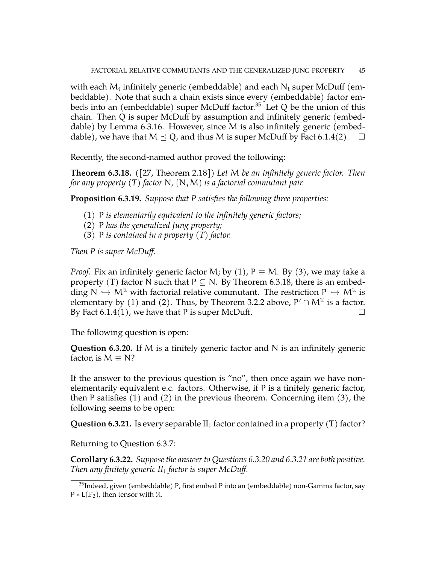with each  $\mathsf{M}_{\mathfrak{i}}$  infinitely generic (embeddable) and each  $\mathsf{N}_{\mathfrak{i}}$  super McDuff (embeddable). Note that such a chain exists since every (embeddable) factor em-beds into an (embeddable) super McDuff factor.<sup>[35](#page-44-0)</sup> Let Q be the union of this chain. Then Q is super McDuff by assumption and infinitely generic (embeddable) by Lemma [6.3.16.](#page-43-1) However, since M is also infinitely generic (embeddable), we have that  $M \preceq Q$ , and thus M is super McDuff by Fact [6.1.4\(](#page-34-4)2).  $\Box$ 

Recently, the second-named author proved the following:

<span id="page-44-1"></span>**Theorem 6.3.18.** *(*[\[27,](#page-51-21) Theorem 2.18]*) Let* M *be an infinitely generic factor. Then for any property (T) factor* N*,* (N,M) *is a factorial commutant pair.*

**Proposition 6.3.19.** *Suppose that P satisfies the following three properties:*

- (1) P *is elementarily equivalent to the infinitely generic factors;*
- (2) P *has the generalized Jung property;*
- (3) P *is contained in a property (T) factor.*

*Then P is super McDuff.*

*Proof.* Fix an infinitely generic factor M; by (1),  $P \equiv M$ . By (3), we may take a property (T) factor N such that  $P \subseteq N$ . By Theorem [6.3.18,](#page-44-1) there is an embedding  $N \hookrightarrow M^{\mathcal{U}}$  with factorial relative commutant. The restriction  $P \hookrightarrow M^{\mathcal{U}}$  is<br>alamentary by (1) and (2). These by Theorem 2.2.2 above  $P' \odot M^{\mathcal{U}}$  is a factor elementary by (1) and (2). Thus, by Theorem [3.2.2](#page-24-0) above,  $P' \cap M^{\mathfrak{U}}$  is a factor. By Fact [6.1.4\(](#page-34-4)1), we have that P is super McDuff.  $\Box$ 

The following question is open:

<span id="page-44-2"></span>**Question 6.3.20.** If M is a finitely generic factor and N is an infinitely generic factor, is  $M \equiv N$ ?

If the answer to the previous question is "no", then once again we have nonelementarily equivalent e.c. factors. Otherwise, if P is a finitely generic factor, then P satisfies (1) and (2) in the previous theorem. Concerning item (3), the following seems to be open:

<span id="page-44-3"></span>**Question 6.3.21.** Is every separable  $II_1$  factor contained in a property (T) factor?

Returning to Question [6.3.7:](#page-40-2)

**Corollary 6.3.22.** *Suppose the answer to Questions [6.3.20](#page-44-2) and [6.3.21](#page-44-3) are both positive. Then any finitely generic II*<sup>1</sup> *factor is super McDuff.*

<span id="page-44-0"></span> $35$ Indeed, given (embeddable) P, first embed P into an (embeddable) non-Gamma factor, say  $P * L(\mathbb{F}_2)$ , then tensor with  $\mathcal{R}$ .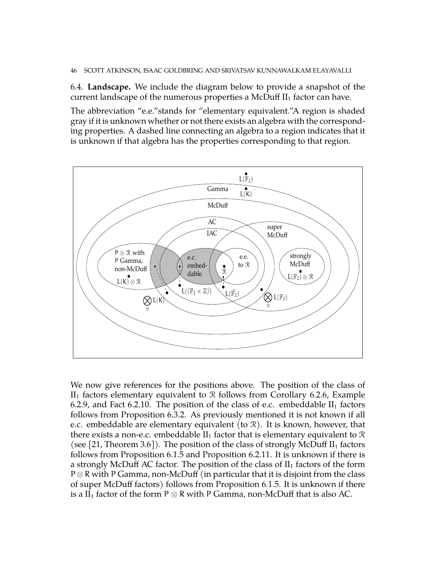<span id="page-45-0"></span>6.4. **Landscape.** We include the diagram below to provide a snapshot of the current landscape of the numerous properties a McDuff  $II_1$  factor can have.

The abbreviation "e.e."stands for "elementary equivalent."A region is shaded gray if it is unknown whether or not there exists an algebra with the corresponding properties. A dashed line connecting an algebra to a region indicates that it is unknown if that algebra has the properties corresponding to that region.



We now give references for the positions above. The position of the class of  $II<sub>1</sub>$  factors elementary equivalent to  $R$  follows from Corollary [6.2.6,](#page-37-1) Example [6.2.9,](#page-38-3) and Fact [6.2.10.](#page-38-1) The position of the class of e.c. embeddable  $II_1$  factors follows from Proposition [6.3.2.](#page-39-3) As previously mentioned it is not known if all e.c. embeddable are elementary equivalent (to  $\mathcal{R}$ ). It is known, however, that there exists a non-e.c. embeddable  $II_1$  factor that is elementary equivalent to  $\mathcal R$ (see [\[21,](#page-51-16) Theorem 3.6]). The position of the class of strongly McDuff  $II_1$  factors follows from Proposition [6.1.5](#page-35-3) and Proposition [6.2.11.](#page-38-0) It is unknown if there is a strongly McDuff AC factor. The position of the class of  $II<sub>1</sub>$  factors of the form  $P \otimes R$  with P Gamma, non-McDuff (in particular that it is disjoint from the class of super McDuff factors) follows from Proposition [6.1.5.](#page-35-3) It is unknown if there is a  $II_1$  factor of the form P  $\otimes$  R with P Gamma, non-McDuff that is also AC.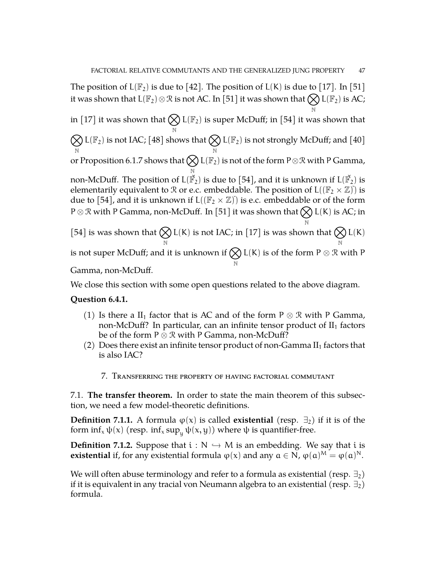N

N

The position of  $L(\mathbb{F}_2)$  is due to [\[42\]](#page-52-6). The position of  $L(K)$  is due to [\[17\]](#page-51-5). In [\[51\]](#page-52-19) it was shown that  $\text{L}(\mathbb{F}_2)\otimes\mathcal{R}$  is not AC. In [\[51\]](#page-52-19) it was shown that  $\bigotimes\text{L}(\mathbb{F}_2)$  is AC;

in [\[17\]](#page-51-5) it was shown that  $\bigotimes \mathsf{L}(\mathbb{F}_2)$  is super McDuff; in [\[54\]](#page-52-14) it was shown that

N  $\infty$ N  $L(\mathbb{F}_2)$  is not IAC; [\[48\]](#page-52-18) shows that  $\bigotimes$ N  $L(\mathbb{F}_2)$  is not strongly McDuff; and [\[40\]](#page-52-17) or Proposition [6.1.7](#page-35-2) shows that  $\bigotimes \mathsf{L}(\mathbb{F}_2)$  is not of the form P $\otimes \mathfrak{R}$  with P Gamma,

N non-McDuff. The position of  $\mathsf{L}(\breve{\mathbb{F}}_2)$  is due to  $[54]$ , and it is unknown if  $\mathsf{L}(\breve{\mathbb{F}}_2)$  is elementarily equivalent to  $\mathcal R$  or e.c. embeddable. The position of  $L((\mathbb F_2\times \mathbb Z))^2$  is due to [\[54\]](#page-52-14), and it is unknown if  $L((\mathbb{F}_2 \times \mathbb{Z})^n)$  is e.c. embeddable or of the form <code>P $\otimes$ R</code> with <code>P</code> Gamma, non-McDuff. In [\[51\]](#page-52-19) it was shown that  $\bigotimes$  <code>L(K)</code> is AC; in

[\[54\]](#page-52-14) is was shown that  $\bigotimes$ N L(K) is not IAC; in [\[17\]](#page-51-5) is was shown that  $\bigotimes$ N  $L(K)$ is not super McDuff; and it is unknown if  $\bigotimes$ N L(K) is of the form  $P \otimes R$  with P

Gamma, non-McDuff.

We close this section with some open questions related to the above diagram.

### **Question 6.4.1.**

- (1) Is there a II<sub>1</sub> factor that is AC and of the form P  $\otimes$  R with P Gamma, non-McDuff? In particular, can an infinite tensor product of  $II_1$  factors be of the form P ⊗ R with P Gamma, non-McDuff?
- <span id="page-46-0"></span>(2) Does there exist an infinite tensor product of non-Gamma  $II_1$  factors that is also IAC?
	- 7. Transferring the property of having factorial commutant

<span id="page-46-1"></span>7.1. **The transfer theorem.** In order to state the main theorem of this subsection, we need a few model-theoretic definitions.

**Definition 7.1.1.** A formula  $\varphi(x)$  is called **existential** (resp.  $\exists$ <sub>2</sub>) if it is of the form  $\inf_x \psi(x)$  (resp.  $\inf_x \sup_u \psi(x, y)$ ) where  $\psi$  is quantifier-free.

**Definition 7.1.2.** Suppose that  $i : N \rightarrow M$  is an embedding. We say that i is **existential** if, for any existential formula  $\varphi(x)$  and any  $a \in N$ ,  $\varphi(a)^M = \varphi(a)^N$ .

We will often abuse terminology and refer to a formula as existential (resp.  $\exists_2$ ) if it is equivalent in any tracial von Neumann algebra to an existential (resp.  $\exists_2$ ) formula.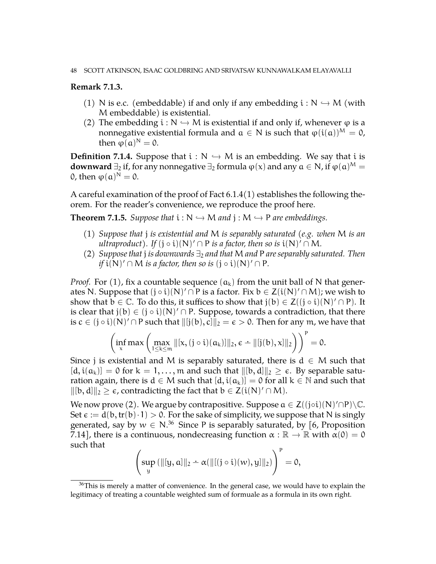### **Remark 7.1.3.**

- (1) N is e.c. (embeddable) if and only if any embedding  $i : N \hookrightarrow M$  (with M embeddable) is existential.
- (2) The embedding  $i : N \hookrightarrow M$  is existential if and only if, whenever  $\varphi$  is a nonnegative existential formula and  $a \in N$  is such that  $\varphi(i(a))^M = 0$ , then  $\varphi(\mathfrak{a})^N = 0$ .

**Definition 7.1.4.** Suppose that  $i : N \hookrightarrow M$  is an embedding. We say that i is **downward**  $\exists_2$  if, for any nonnegative  $\exists_2$  formula  $\phi(x)$  and any  $a \in N$ , if  $\phi(a)^M =$ 0, then  $\varphi(\alpha)^N = 0$ .

A careful examination of the proof of Fact [6.1.4\(](#page-34-4)1) establishes the following theorem. For the reader's convenience, we reproduce the proof here.

<span id="page-47-1"></span>**Theorem 7.1.5.** *Suppose that*  $i : N \hookrightarrow M$  *and*  $j : M \hookrightarrow P$  *are embeddings.* 

- (1) *Suppose that* j *is existential and* M *is separably saturated (e.g. when* M *is an ultraproduct*). If  $(j \circ i)(N)' \cap P$  *is a factor, then so is*  $i(N)' \cap M$ *.*
- (2) *Suppose that* j *is downwards* ∃<sup>2</sup> *and that* M *and* P *are separably saturated. Then if*  $i(N)' \cap M$  *is a factor, then so is*  $(j \circ i)(N)' \cap P$ *.*

*Proof.* For (1), fix a countable sequence  $(a_k)$  from the unit ball of N that generates N. Suppose that  $(j \circ i)(N)' \cap P$  is a factor. Fix  $b \in Z(i(N)' \cap M)$ ; we wish to show that  $\mathbf{b} \in \mathbb{C}$ . To do this, it suffices to show that  $\mathbf{j}(\mathbf{b}) \in \mathsf{Z}((\mathbf{j} \circ \mathbf{i})(\mathsf{N})' \cap \mathsf{P})$ . It is clear that  $j(b) \in (j \circ i)(N)' \cap P$ . Suppose, towards a contradiction, that there is  $c\in (j\circ i)(N)' \cap P$  such that  $\|[j(b), c]\|_2 = \epsilon > 0.$  Then for any  $m$ , we have that

$$
\left(\inf_x\max\left(\max_{1\leq k\leq m}\|[x,(j\circ i)(a_k)]\|_2,\varepsilon-\|[j(b),x]\|_2\right)\right)^p=0.
$$

Since j is existential and M is separably saturated, there is  $d \in M$  such that  $[d, i(a_k)] = 0$  for  $k = 1, ..., m$  and such that  $\|[b, d]\|_2 \geq \epsilon$ . By separable saturation again, there is  $d \in M$  such that  $[d, i(a_k)] = 0$  for all  $k \in \mathbb{N}$  and such that  $\|[b, d]\|_2 \geq \epsilon$ , contradicting the fact that  $b \in Z(i(N)^{r} \cap M)$ .

We now prove (2). We argue by contrapositive. Suppose  $a \in Z((j \circ i)(N)' \cap P) \backslash \mathbb{C}$ . Set  $\epsilon := d(b, tr(b) \cdot 1) > 0$ . For the sake of simplicity, we suppose that N is singly generated, say by  $w \in N^{36}$  $w \in N^{36}$  $w \in N^{36}$  Since P is separably saturated, by [\[6,](#page-50-4) Proposition 7.14], there is a continuous, nondecreasing function  $\alpha : \mathbb{R} \to \mathbb{R}$  with  $\alpha(0) = 0$ such that

$$
\left(\sup_{y} (\|[y, a]\|_2 - \alpha(\|[[j \circ i)(w), y]\|_2)\right)^p = 0,
$$

<span id="page-47-0"></span> $36$ This is merely a matter of convenience. In the general case, we would have to explain the legitimacy of treating a countable weighted sum of formuale as a formula in its own right.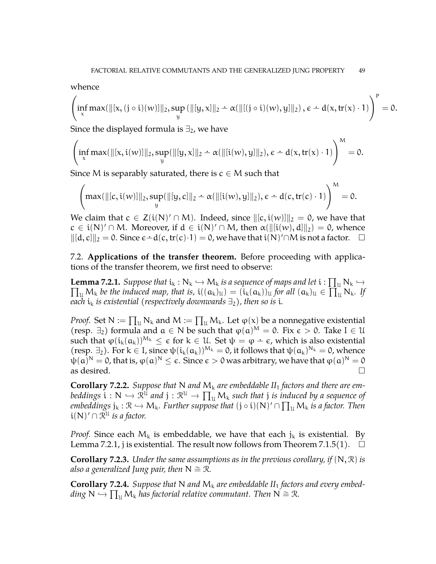whence

$$
\left(\inf_x\max(\|[x,(j\circ i)(w)]\|_2,\sup_y\left(\|[y,x]\|_2-\alpha(\|[(j\circ i)(w),y]\|_2\right),\varepsilon-d(x,tr(x)\cdot 1)\right)^p=0.
$$

Since the displayed formula is  $\exists_2$ , we have

$$
\left(\inf_x \max(\|[x,i(w)]\|_2,\sup_y(\|[y,x]\|_2-\alpha(\|[i(w),y]\|_2),\varepsilon-d(x,tr(x)\cdot 1)\right)^M=0.
$$

Since M is separably saturated, there is  $c \in M$  such that

$$
\left( \max(\|[c, i(w)]\|_2, \sup_y (\|[y, c]\|_2 \div \alpha(\|[i(w), y]\|_2), \varepsilon \div d(c, tr(c) \cdot 1) \right)^M = 0.
$$

We claim that  $c \in Z(i(N) \cap M)$ . Indeed, since  $\|[c, i(w)]\|_2 = 0$ , we have that  $c \in i(N)' \cap M$ . Moreover, if  $d \in i(N)' \cap M$ , then  $\alpha(\Vert [i(w), d] \Vert_2) = 0$ , whence  $||(d, c)||_2 = 0$ . Since  $\epsilon - d(c, tr(c) \cdot 1) = 0$ , we have that  $i(N) \cap M$  is not a factor.  $\square$ 

<span id="page-48-0"></span>7.2. **Applications of the transfer theorem.** Before proceeding with applications of the transfer theorem, we first need to observe:

<span id="page-48-1"></span>**Lemma 7.2.1.** *Suppose that*  $i_k : N_k \hookrightarrow M_k$  *is a sequence of maps and let*  $i : \prod_u N_k \hookrightarrow \prod_{v \in M} N_v$  $\prod_u M_k$  *be the induced map, that is,*  $i((a_k)_u) = (i_k(a_k))_u$  *for all*  $(a_k)_u \in \prod_u^{\infty} N_k$ . If *each*  $i_k$  *is existential (respectively downwards*  $\exists_2$ ), *then so is i*.

*Proof.* Set  $N := \prod_u N_k$  and  $M := \prod_u M_k$ . Let  $\varphi(x)$  be a nonnegative existential (resp.  $\exists_2$ ) formula and  $\alpha \in N$  be such that  $\varphi(\alpha)^M = 0$ . Fix  $\epsilon > 0$ . Take  $I \in \mathcal{U}$ such that  $\varphi(i_k(a_k))^{M_k} \leq \varepsilon$  for  $k \in \mathcal{U}$ . Set  $\psi = \varphi - \varepsilon$ , which is also existential  $(resp. \exists_2)$ . For  $k \in I$ , since  $\psi(i_k(a_k))^{M_k} = 0$ , it follows that  $\psi(a_k)^{N_k} = 0$ , whence  $ψ(α)^N = 0$ , that is,  $φ(α)^N \le ε$  . Since  $ε > 0$  was arbitrary, we have that  $φ(α)^N = 0$ as desired.  $\Box$ 

<span id="page-48-2"></span>**Corollary 7.2.2.** Suppose that N and  $M_k$  are embeddable  $II_1$  factors and there are em $b$ eddings  $\mathbf{i} : \mathbb{N} \hookrightarrow \mathbb{R}^{\mathfrak{U}}$  and  $\mathbf{j} : \mathbb{R}^{\mathfrak{U}} \to \prod_{\mathfrak{U}} \mathsf{M}_{\mathfrak{h}}$  such that  $\mathbf{j}$  is induced by a sequence of  $e^{i\lambda}$  and  $e^{i\lambda}$  is  $\lambda \rightarrow \infty$  and  $f: S$  is  $\lambda$  is the particle of the problem of  $e^{i\lambda}$  and  $f$  is a factor. Then  $i(\lambda)$ ,  $\in \mathbb{R}^d$  is a factor. Then  $i(N)' \cap \mathcal{R}^{\mathcal{U}}$  *is a factor.* 

*Proof.* Since each  $M_k$  is embeddable, we have that each  $j_k$  is existential. By Lemma [7.2.1,](#page-48-1) j is existential. The result now follows from Theorem [7.1.5\(](#page-47-1)1).  $\Box$ 

**Corollary 7.2.3.** *Under the same assumptions as in the previous corollary, if* (N, R) *is also a generalized Jung pair, then*  $N \cong \mathcal{R}$ *.* 

**Corollary 7.2.4.** Suppose that N and  $M_k$  are embeddable  $II_1$  factors and every embed- $\lim_{M \to \infty} N \rightarrow \prod_{\mathfrak{U}} M_{k}$  *has factorial relative commutant. Then*  $N \cong \mathfrak{R}$ *.*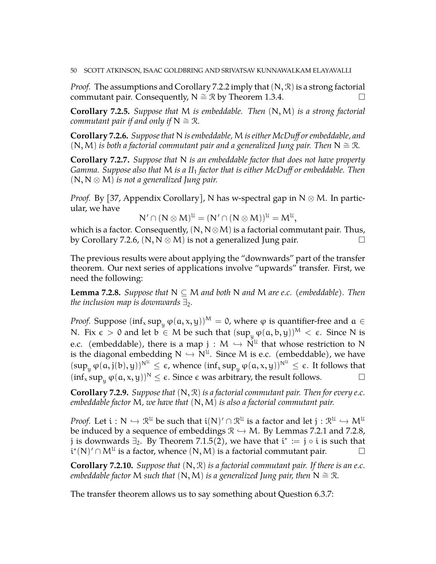*Proof.* The assumptions and Corollary [7.2.2](#page-48-2) imply that  $(N, \mathcal{R})$  is a strong factorial commutant pair. Consequently,  $N \cong \mathcal{R}$  by Theorem [1.3.4.](#page-10-2)  $□$ 

**Corollary 7.2.5.** *Suppose that* M *is embeddable. Then* (N,M) *is a strong factorial commutant pair if and only if*  $N \cong \mathbb{R}$ *.* 

<span id="page-49-0"></span>**Corollary 7.2.6.** *Suppose that* N *is embeddable,* M*is either McDuff or embeddable, and*  $(N, M)$  *is both a factorial commutant pair and a generalized Jung pair. Then*  $N \cong \mathcal{R}$ *.* 

**Corollary 7.2.7.** *Suppose that* N *is an embeddable factor that does not have property Gamma. Suppose also that* M *is a II*<sup>1</sup> *factor that is either McDuff or embeddable. Then* (N, N ⊗ M) *is not a generalized Jung pair.*

*Proof.* By [\[37,](#page-52-21) Appendix Corollary], N has w-spectral gap in  $N \otimes M$ . In particular, we have

$$
N' \cap (N \otimes M)^{\mathcal{U}} = (N' \cap (N \otimes M))^{\mathcal{U}} = M^{\mathcal{U}},
$$

which is a factor. Consequently,  $(N, N \otimes M)$  is a factorial commutant pair. Thus, by Corollary [7.2.6,](#page-49-0)  $(N, N \otimes M)$  is not a generalized Jung pair.

The previous results were about applying the "downwards" part of the transfer theorem. Our next series of applications involve "upwards" transfer. First, we need the following:

<span id="page-49-1"></span>**Lemma 7.2.8.** *Suppose that*  $N \subseteq M$  *and both* N *and* M *are e.c.* (*embeddable*). Then *the inclusion map is downwards*  $\exists$ .

*Proof.* Suppose  $(inf_x sup_y \varphi(a, x, y))^M = 0$ , where  $\varphi$  is quantifier-free and  $\alpha \in$ N. Fix  $\epsilon > 0$  and let  $b \in M$  be such that  $(sup_y \varphi(a, b, y))^M < \epsilon$ . Since N is e.c. (embeddable), there is a map  $j : M \hookrightarrow N^{\mathcal{U}}$  that whose restriction to N<br>is the discoverly embedding  $N \hookrightarrow N^{\mathcal{U}}$ . Since M is a c. (embeddable), we have is the diagonal embedding  $N \hookrightarrow N^{\mathcal{U}}$ . Since M is e.c. (embeddable), we have  $(\sup_y \varphi(a, j(b), y))^{N^U} \le \epsilon$ , whence  $(\inf_x \sup_y \varphi(a, x, y))^{N^U} \le \epsilon$ . It follows that  $(\inf_x \sup_y \varphi(a, x, y))^N \leq \epsilon$ . Since  $\epsilon$  was arbitrary, the result follows.

**Corollary 7.2.9.** *Suppose that* (N, R) *is a factorial commutant pair. Then for every e.c. embeddable factor* M*, we have that* (N,M) *is also a factorial commutant pair.*

*Proof.* Let  $i : N \hookrightarrow \mathbb{R}^{\mathfrak{U}}$  be such that  $i(N)' \cap \mathbb{R}^{\mathfrak{U}}$  is a factor and let  $j : \mathbb{R}^{\mathfrak{U}} \hookrightarrow M^{\mathfrak{U}}$ be induced by a sequence of embeddings  $\mathcal{R} \hookrightarrow M$ . By Lemmas [7.2.1](#page-48-1) and [7.2.8,](#page-49-1) j is downwards  $\exists_2$ . By Theorem [7.1.5\(](#page-47-1)2), we have that  $\mathfrak{i}^*:=\mathfrak{j}\circ\mathfrak{i}$  is such that  $\tilde{\mathbf{u}}^*(N)' \cap M^{\mathfrak{U}}$  is a factor, whence  $(N, M)$  is a factorial commutant pair.  $\Box$ 

**Corollary 7.2.10.** *Suppose that* (N, R) *is a factorial commutant pair. If there is an e.c. embeddable factor* M *such that*  $(N, M)$  *is a generalized Jung pair, then*  $N \cong \mathbb{R}$ *.* 

The transfer theorem allows us to say something about Question [6.3.7:](#page-40-2)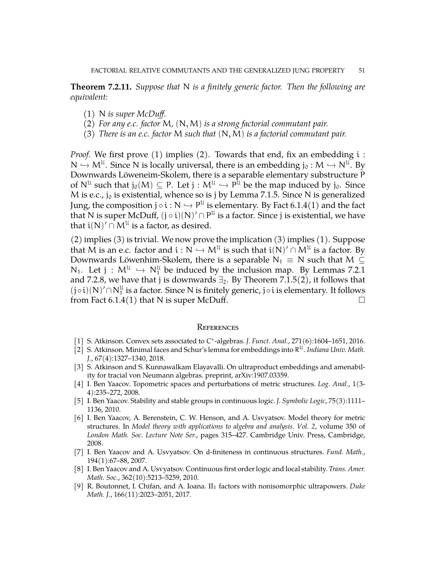**Theorem 7.2.11.** *Suppose that* N *is a finitely generic factor. Then the following are equivalent:*

- (1) N *is super McDuff.*
- (2) *For any e.c. factor* M*,* (N,M) *is a strong factorial commutant pair.*
- (3) *There is an e.c. factor* M *such that* (N,M) *is a factorial commutant pair.*

*Proof.* We first prove (1) implies (2). Towards that end, fix an embedding i:  $N \hookrightarrow M^{\mathcal{U}}$ . Since N is locally universal, there is an embedding  $j_0 : M \hookrightarrow N^{\mathcal{U}}$ . By Downwards Löweneim-Skolem, there is a separable elementary substructure P of  $N^{\mathfrak{U}}$  such that  $j_0(M) \subseteq P$ . Let  $j : M^{\mathfrak{U}} \hookrightarrow P^{\mathfrak{U}}$  be the map induced by  $j_0$ . Since M is e.c., jo is existential, whence so is j by Lemma [7.1.5.](#page-47-1) Since N is generalized Jung, the composition  $j \circ i : N \to P^{\mathfrak{U}}$  is elementary. By Fact [6.1.4\(](#page-34-4)1) and the fact that  $N$  is even  $M$  . Dutter  $(i, j)(N)/\supseteq P^{\mathfrak{U}}$  is a factor fine is in our tradict and have that N is super McDuff,  $(j \circ i)(N)' \cap P^{\mathfrak{U}}$  is a factor. Since  $j$  is existential, we have that  $\mathfrak{i}(\mathsf{N})^{\prime}\cap\mathsf{M}^{\mathfrak{U}}$  is a factor, as desired.

(2) implies (3) is trivial. We now prove the implication (3) implies (1). Suppose that M is an e.c. factor and  $i : N \hookrightarrow M^{\mathcal{U}}$  is such that  $i(N)' \cap M^{\mathcal{U}}$  is a factor. By Downwards Löwenhim-Skolem, there is a separable  $N_1 \equiv N$  such that  $M \subseteq$  $N_1$ . Let  $j : M^{\mathcal{U}} \hookrightarrow N_1^{\mathcal{U}}$  be induced by the inclusion map. By Lemmas [7.2.1](#page-48-1) and [7.2.8,](#page-49-1) we have that j is downwards  $\exists_2$ . By Theorem [7.1.5\(](#page-47-1)2), it follows that  $(j \circ i)(N)' \cap N_1^{\mathfrak{U}}$  is a factor. Since N is finitely generic,  $j \circ i$  is elementary. It follows from Fact  $6.1.4(1)$  that N is super McDuff.

#### <span id="page-50-0"></span>**REFERENCES**

- <span id="page-50-2"></span>[1] S. Atkinson. Convex sets associated to C<sup>\*</sup>-algebras. *J. Funct. Anal.*, 271(6):1604–1651, 2016.
- <span id="page-50-3"></span>[2] S. Atkinson. Minimal faces and Schur's lemma for embeddings into R <sup>U</sup>. *Indiana Univ. Math. J.*, 67(4):1327–1340, 2018.
- <span id="page-50-1"></span>[3] S. Atkinson and S. Kunnawalkam Elayavalli. On ultraproduct embeddings and amenability for tracial von Neumann algebras. preprint, arXiv:1907.03359.
- <span id="page-50-6"></span>[4] I. Ben Yaacov. Topometric spaces and perturbations of metric structures. *Log. Anal.*, 1(3- 4):235–272, 2008.
- <span id="page-50-5"></span>[5] I. Ben Yaacov. Stability and stable groups in continuous logic. *J. Symbolic Logic*, 75(3):1111– 1136, 2010.
- <span id="page-50-4"></span>[6] I. Ben Yaacov, A. Berenstein, C. W. Henson, and A. Usvyatsov. Model theory for metric structures. In *Model theory with applications to algebra and analysis. Vol. 2*, volume 350 of *London Math. Soc. Lecture Note Ser.*, pages 315–427. Cambridge Univ. Press, Cambridge, 2008.
- <span id="page-50-8"></span>[7] I. Ben Yaacov and A. Usvyatsov. On d-finiteness in continuous structures. *Fund. Math.*, 194(1):67–88, 2007.
- <span id="page-50-7"></span>[8] I. Ben Yaacov and A. Usvyatsov. Continuous first order logic and local stability. *Trans. Amer. Math. Soc.*, 362(10):5213–5259, 2010.
- <span id="page-50-9"></span>[9] R. Boutonnet, I. Chifan, and A. Ioana. II<sup>1</sup> factors with nonisomorphic ultrapowers. *Duke Math. J.*, 166(11):2023–2051, 2017.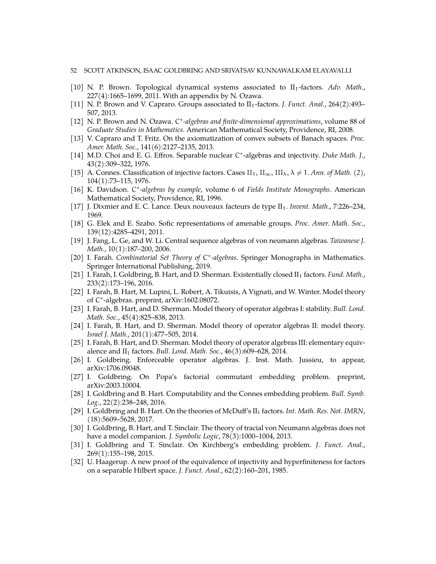#### 52 SCOTT ATKINSON, ISAAC GOLDBRING AND SRIVATSAV KUNNAWALKAM ELAYAVALLI

- <span id="page-51-3"></span>[10] N. P. Brown. Topological dynamical systems associated to II<sub>1</sub>-factors. *Adv. Math.*, 227(4):1665–1699, 2011. With an appendix by N. Ozawa.
- <span id="page-51-4"></span>[11] N. P. Brown and V. Capraro. Groups associated to II<sub>1</sub>-factors. *J. Funct. Anal.*, 264(2):493– 507, 2013.
- <span id="page-51-10"></span>[12] N. P. Brown and N. Ozawa. C<sup>\*</sup>-algebras and finite-dimensional approximations, volume 88 of *Graduate Studies in Mathematics*. American Mathematical Society, Providence, RI, 2008.
- <span id="page-51-12"></span>[13] V. Capraro and T. Fritz. On the axiomatization of convex subsets of Banach spaces. *Proc. Amer. Math. Soc.*, 141(6):2127–2135, 2013.
- <span id="page-51-7"></span>[14] M.D. Choi and E. G. Effros. Separable nuclear C\*-algebras and injectivity. Duke Math. J., 43(2):309–322, 1976.
- <span id="page-51-0"></span>[15] A. Connes. Classification of injective factors. Cases II<sub>1</sub>, II<sub>∞</sub>, III<sub> $<sub>\lambda</sub>$ ,  $\lambda \neq 1$ . *Ann. of Math.* (2),</sub></sub> 104(1):73–115, 1976.
- <span id="page-51-9"></span>[16] K. Davidson. C\*-algebras by example, volume 6 of Fields Institute Monographs. American Mathematical Society, Providence, RI, 1996.
- <span id="page-51-5"></span>[17] J. Dixmier and E. C. Lance. Deux nouveaux facteurs de type II1. *Invent. Math.*, 7:226–234, 1969.
- <span id="page-51-2"></span>[18] G. Elek and E. Szabo. Sofic representations of amenable groups. *Proc. Amer. Math. Soc.*, 139(12):4285–4291, 2011.
- <span id="page-51-22"></span>[19] J. Fang, L. Ge, and W. Li. Central sequence algebras of von neumann algebras. *Taiwanese J. Math.*, 10(1):187–200, 2006.
- <span id="page-51-1"></span>[20] I. Farah. Combinatorial Set Theory of C<sup>\*</sup>-algebras. Springer Monographs in Mathematics. Springer International Publishing, 2019.
- <span id="page-51-16"></span>[21] I. Farah, I. Goldbring, B. Hart, and D. Sherman. Existentially closed II<sub>1</sub> factors. *Fund. Math.*, 233(2):173–196, 2016.
- <span id="page-51-14"></span>[22] I. Farah, B. Hart, M. Lupini, L. Robert, A. Tikuisis, A Vignati, and W. Winter. Model theory of C ∗ -algebras. preprint, arXiv:1602.08072.
- <span id="page-51-11"></span>[23] I. Farah, B. Hart, and D. Sherman. Model theory of operator algebras I: stability. *Bull. Lond. Math. Soc.*, 45(4):825–838, 2013.
- <span id="page-51-13"></span>[24] I. Farah, B. Hart, and D. Sherman. Model theory of operator algebras II: model theory. *Israel J. Math.*, 201(1):477–505, 2014.
- <span id="page-51-15"></span>[25] I. Farah, B. Hart, and D. Sherman. Model theory of operator algebras III: elementary equivalence and II<sub>1</sub> factors. *Bull. Lond. Math. Soc.*, 46(3):609–628, 2014.
- <span id="page-51-19"></span>[26] I. Goldbring. Enforceable operator algebras. J. Inst. Math. Jussieu, to appear, arXiv:1706.09048.
- <span id="page-51-21"></span>[27] I. Goldbring. On Popa's factorial commutant embedding problem. preprint, arXiv:2003.10004.
- <span id="page-51-20"></span>[28] I. Goldbring and B. Hart. Computability and the Connes embedding problem. *Bull. Symb. Log.*, 22(2):238–248, 2016.
- <span id="page-51-6"></span>[29] I. Goldbring and B. Hart. On the theories of McDuff's II<sup>1</sup> factors. *Int. Math. Res. Not. IMRN*, (18):5609–5628, 2017.
- <span id="page-51-18"></span>[30] I. Goldbring, B. Hart, and T. Sinclair. The theory of tracial von Neumann algebras does not have a model companion. *J. Symbolic Logic*, 78(3):1000–1004, 2013.
- <span id="page-51-17"></span>[31] I. Goldbring and T. Sinclair. On Kirchberg's embedding problem. *J. Funct. Anal.*, 269(1):155–198, 2015.
- <span id="page-51-8"></span>[32] U. Haagerup. A new proof of the equivalence of injectivity and hyperfiniteness for factors on a separable Hilbert space. *J. Funct. Anal.*, 62(2):160–201, 1985.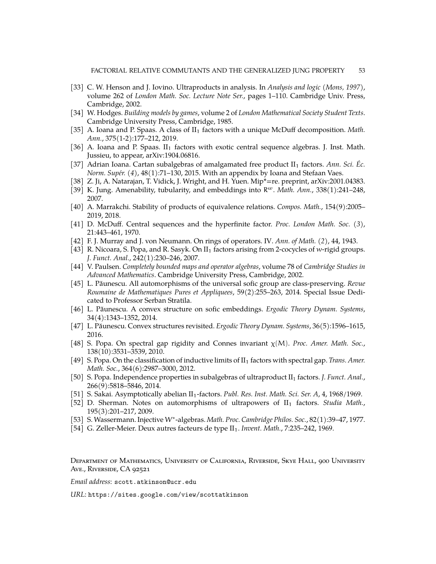- <span id="page-52-10"></span>[33] C. W. Henson and J. Iovino. Ultraproducts in analysis. In *Analysis and logic (Mons, 1997)*, volume 262 of *London Math. Soc. Lecture Note Ser.*, pages 1–110. Cambridge Univ. Press, Cambridge, 2002.
- <span id="page-52-12"></span>[34] W. Hodges. *Building models by games*, volume 2 of *London Mathematical Society Student Texts*. Cambridge University Press, Cambridge, 1985.
- <span id="page-52-15"></span>[35] A. Ioana and P. Spaas. A class of II<sub>1</sub> factors with a unique McDuff decomposition. *Math. Ann.*, 375(1-2):177–212, 2019.
- <span id="page-52-20"></span>[36] A. Ioana and P. Spaas.  $II_1$  factors with exotic central sequence algebras. J. Inst. Math. Jussieu, to appear, arXiv:1904.06816.
- <span id="page-52-21"></span>[37] Adrian Ioana. Cartan subalgebras of amalgamated free product II<sup>1</sup> factors. *Ann. Sci. Éc. Norm. Supér. (4)*, 48(1):71–130, 2015. With an appendix by Ioana and Stefaan Vaes.
- <span id="page-52-0"></span>[38] Z. Ji, A. Natarajan, T. Vidick, J. Wright, and H. Yuen. Mip\*=re. preprint, arXiv:2001.04383.
- <span id="page-52-1"></span>[39] K. Jung. Amenability, tubularity, and embeddings into  $R^{\omega}$ . Math. Ann., 338(1):241-248, 2007.
- <span id="page-52-17"></span>[40] A. Marrakchi. Stability of products of equivalence relations. *Compos. Math.*, 154(9):2005– 2019, 2018.
- <span id="page-52-8"></span>[41] D. McDuff. Central sequences and the hyperfinite factor. *Proc. London Math. Soc. (3)*, 21:443–461, 1970.
- <span id="page-52-6"></span>[42] F. J. Murray and J. von Neumann. On rings of operators. IV. *Ann. of Math. (2)*, 44, 1943.
- <span id="page-52-13"></span>[43] R. Nicoara, S. Popa, and R. Sasyk. On  $II_1$  factors arising from 2-cocycles of w-rigid groups. *J. Funct. Anal.*, 242(1):230–246, 2007.
- <span id="page-52-9"></span>[44] V. Paulsen. *Completely bounded maps and operator algebras*, volume 78 of *Cambridge Studies in Advanced Mathematics*. Cambridge University Press, Cambridge, 2002.
- <span id="page-52-3"></span>[45] L. Păunescu. All automorphisms of the universal sofic group are class-preserving. Revue *Roumaine de Mathematiques Pures et Appliquees*, 59(2):255–263, 2014. Special Issue Dedicated to Professor Serban Stratila.
- <span id="page-52-4"></span>[46] L. Păunescu. A convex structure on sofic embeddings. *Ergodic Theory Dynam. Systems*, 34(4):1343–1352, 2014.
- <span id="page-52-5"></span>[47] L. Păunescu. Convex structures revisited. *Ergodic Theory Dynam. Systems*, 36(5):1596-1615, 2016.
- <span id="page-52-18"></span>[48] S. Popa. On spectral gap rigidity and Connes invariant χ(M). *Proc. Amer. Math. Soc.*, 138(10):3531–3539, 2010.
- <span id="page-52-16"></span>[49] S. Popa. On the classification of inductive limits of II<sup>1</sup> factors with spectral gap. *Trans. Amer. Math. Soc.*, 364(6):2987–3000, 2012.
- <span id="page-52-11"></span>[50] S. Popa. Independence properties in subalgebras of ultraproduct II<sup>1</sup> factors. *J. Funct. Anal.*, 266(9):5818–5846, 2014.
- <span id="page-52-19"></span>[51] S. Sakai. Asymptotically abelian II1-factors. *Publ. Res. Inst. Math. Sci. Ser. A*, 4, 1968/1969.
- <span id="page-52-2"></span>[52] D. Sherman. Notes on automorphisms of ultrapowers of II<sup>1</sup> factors. *Studia Math.*, 195(3):201–217, 2009.
- <span id="page-52-7"></span>[53] S. Wassermann. Injective W<sup>∗</sup> -algebras. *Math. Proc. Cambridge Philos. Soc.*, 82(1):39–47, 1977.
- <span id="page-52-14"></span>[54] G. Zeller-Meier. Deux autres facteurs de type II<sub>1</sub>. *Invent. Math.*, 7:235–242, 1969.

Department of Mathematics, University of California, Riverside, Skye Hall, 900 University Ave., Riverside, CA 92521

*Email address*: scott.atkinson@ucr.edu

*URL*: https://sites.google.com/view/scottatkinson